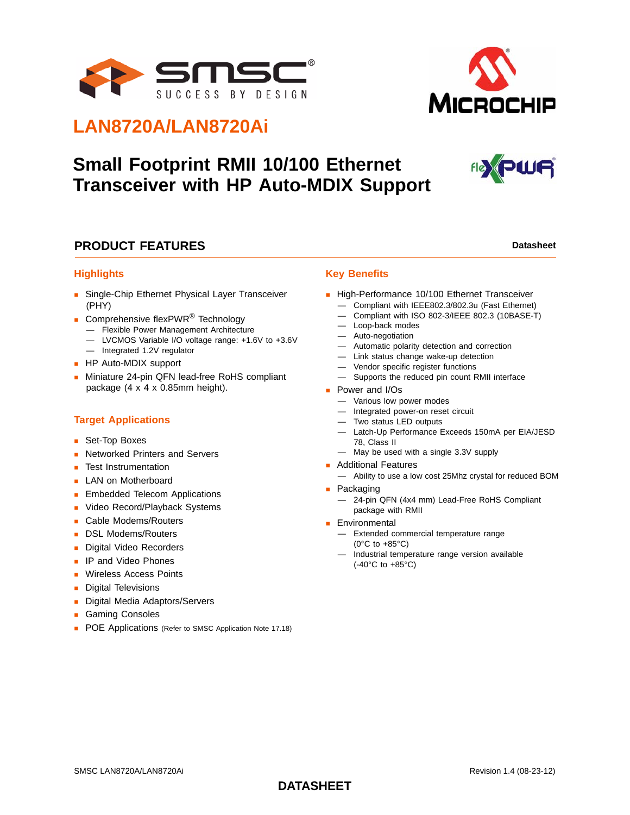



# **LAN8720A/LAN8720Ai**

# **Small Footprint RMII 10/100 Ethernet Transceiver with HP Auto-MDIX Support**



## **PRODUCT FEATURES Datasheet Datasheet Datasheet**

### **Highlights**

- **Single-Chip Ethernet Physical Layer Transceiver** (PHY)
- Comprehensive flexPWR<sup>®</sup> Technology — Flexible Power Management Architecture
	- LVCMOS Variable I/O voltage range: +1.6V to +3.6V
- Integrated 1.2V regulator
- **HP Auto-MDIX support**
- **Miniature 24-pin QFN lead-free RoHS compliant** package (4 x 4 x 0.85mm height).

## **Target Applications**

- Set-Top Boxes
- **Networked Printers and Servers**
- Test Instrumentation
- **LAN on Motherboard**
- **Embedded Telecom Applications**
- **Video Record/Playback Systems**
- **Cable Modems/Routers**
- DSL Modems/Routers
- Digital Video Recorders
- **IP and Video Phones**
- **Wireless Access Points**
- **Digital Televisions**
- **Digital Media Adaptors/Servers**
- **Gaming Consoles**
- **POE Applications** (Refer to SMSC Application Note 17.18)

#### **Key Benefits**

- High-Performance 10/100 Ethernet Transceiver
	- Compliant with IEEE802.3/802.3u (Fast Ethernet)
	- Compliant with ISO 802-3/IEEE 802.3 (10BASE-T)
	- Loop-back modes
	- Auto-negotiation
	- Automatic polarity detection and correction
	- Link status change wake-up detection
	- Vendor specific register functions
	- Supports the reduced pin count RMII interface
- **Power and I/Os** 
	- Various low power modes
	- Integrated power-on reset circuit
	- Two status LED outputs
	- Latch-Up Performance Exceeds 150mA per EIA/JESD 78, Class II
	- May be used with a single 3.3V supply
- **Additional Features** 
	- Ability to use a low cost 25Mhz crystal for reduced BOM
- **Packaging** 
	- 24-pin QFN (4x4 mm) Lead-Free RoHS Compliant package with RMII
- **Environmental** 
	- Extended commercial temperature range (0°C to +85°C)
	- Industrial temperature range version available (-40°C to +85°C)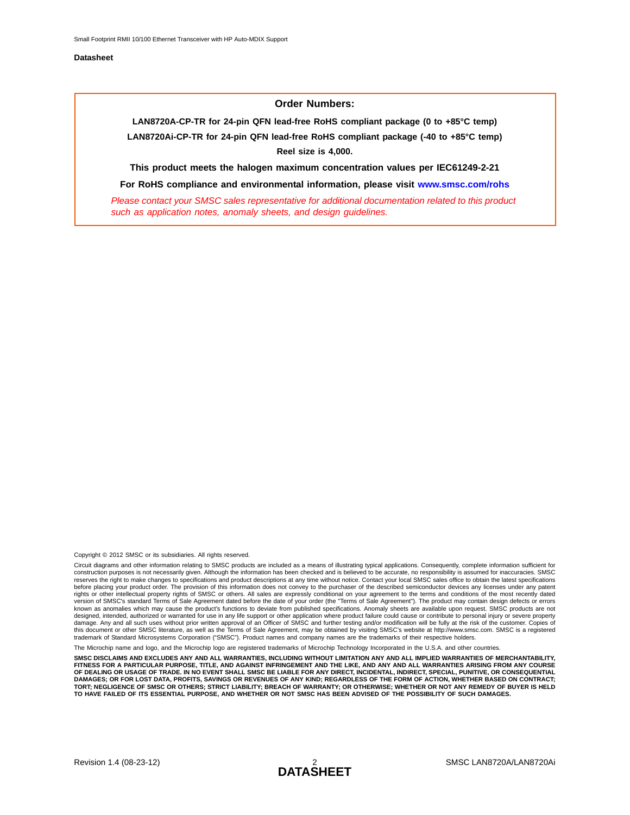#### **Order Numbers:**

**LAN8720A-CP-TR for 24-pin QFN lead-free RoHS compliant package (0 to +85°C temp) LAN8720Ai-CP-TR for 24-pin QFN lead-free RoHS compliant package (-40 to +85°C temp) Reel size is 4,000.**

**This product meets the halogen maximum concentration values per IEC61249-2-21**

**For RoHS compliance and environmental information, please visit [www.smsc.com/rohs](http://www.smsc.com/index.php?tid=219
)** *Please contact your SMSC sales representative for additional documentation related to this product* 

*such as application notes, anomaly sheets, and design guidelines.*

Copyright © 2012 SMSC or its subsidiaries. All rights reserved.

Circuit diagrams and other information relating to SMSC products are included as a means of illustrating typical applications. Consequently, complete information sufficient for construction purposes is not necessarily given. Although the information has been checked and is believed to be accurate, no responsibility is assumed for inaccuracies. SMSC reserves the right to make changes to specifications and product descriptions at any time without notice. Contact your local SMSC sales office to obtain the latest specifications before placing your product order. The provision of this information does not convey to the purchaser of the described semiconductor devices any licenses under any patent rights or other intellectual property rights of SMSC or others. All sales are expressly conditional on your agreement to the terms and conditions of the most recently dated<br>version of SMSC's standard Terms of Sale Agreemen designed, intended, authorized or warranted for use in any life support or other application where product failure could cause or contribute to personal injury or severe property<br>damage. Any and all such uses without prior trademark of Standard Microsystems Corporation ("SMSC"). Product names and company names are the trademarks of their respective holders.

The Microchip name and logo, and the Microchip logo are registered trademarks of Microchip Technology Incorporated in the U.S.A. and other countries.

**SMSC DISCLAIMS AND EXCLUDES ANY AND ALL WARRANTIES, INCLUDING WITHOUT LIMITATION ANY AND ALL IMPLIED WARRANTIES OF MERCHANTABILITY,** FITNESS FOR A PARTICULAR PURPOSE, TITLE, AND AGAINST INFRINGEMENT AND THE LIKE, AND ANY AND ALL WARRANTIES ARISING FROM ANY COURSE<br>OF DEALING OR USAGE OF TRADE. IN NO EVENT SHALL SMSC BE LIABLE FOR ANY DIRECT, INCIDENTAL, **DAMAGES; OR FOR LOST DATA, PROFITS, SAVINGS OR REVENUES OF ANY KIND; REGARDLESS OF THE FORM OF ACTION, WHETHER BASED ON CONTRACT; TORT; NEGLIGENCE OF SMSC OR OTHERS; STRICT LIABILITY; BREACH OF WARRANTY; OR OTHERWISE; WHETHER OR NOT ANY REMEDY OF BUYER IS HELD TO HAVE FAILED OF ITS ESSENTIAL PURPOSE, AND WHETHER OR NOT SMSC HAS BEEN ADVISED OF THE POSSIBILITY OF SUCH DAMAGES.**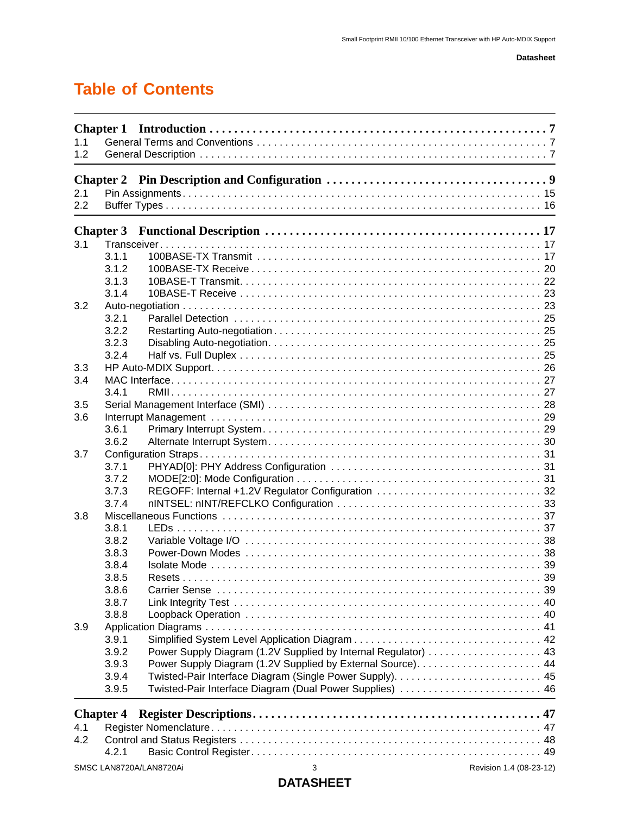# **Table of Contents**

| 1.1<br>1.2 |                  |                         |                                                                |                         |
|------------|------------------|-------------------------|----------------------------------------------------------------|-------------------------|
|            |                  |                         |                                                                |                         |
|            | <b>Chapter 2</b> |                         |                                                                |                         |
| 2.1        |                  |                         |                                                                |                         |
| 2.2        |                  |                         |                                                                |                         |
|            |                  |                         |                                                                |                         |
| 3.1        | <b>Chapter 3</b> |                         |                                                                |                         |
|            | 3.1.1            |                         |                                                                |                         |
|            | 3.1.2            |                         |                                                                |                         |
|            | 3.1.3            |                         |                                                                |                         |
|            | 3.1.4            |                         |                                                                |                         |
| 3.2        |                  |                         |                                                                |                         |
|            | 3.2.1            |                         |                                                                |                         |
|            | 3.2.2            |                         |                                                                |                         |
|            |                  |                         |                                                                |                         |
|            | 3.2.3            |                         |                                                                |                         |
|            | 3.2.4            |                         |                                                                |                         |
| 3.3        |                  |                         |                                                                |                         |
| 3.4        |                  |                         |                                                                |                         |
|            | 3.4.1            |                         |                                                                |                         |
| 3.5        |                  |                         |                                                                |                         |
| 3.6        |                  |                         |                                                                |                         |
|            | 3.6.1            |                         |                                                                |                         |
|            | 3.6.2            |                         |                                                                |                         |
| 3.7        |                  |                         |                                                                |                         |
|            | 3.7.1            |                         |                                                                |                         |
|            | 3.7.2            |                         |                                                                |                         |
|            | 3.7.3            |                         | REGOFF: Internal +1.2V Regulator Configuration  32             |                         |
|            | 3.7.4            |                         |                                                                |                         |
| 3.8        |                  |                         |                                                                |                         |
|            | 3.8.1            |                         |                                                                |                         |
|            | 3.8.2            |                         |                                                                |                         |
|            | 3.8.3            |                         |                                                                |                         |
|            | 3.8.4            |                         |                                                                |                         |
|            | 3.8.5            |                         |                                                                |                         |
|            | 3.8.6            |                         |                                                                |                         |
|            | 3.8.7            |                         |                                                                |                         |
|            | 3.8.8            |                         |                                                                |                         |
| 3.9        |                  |                         |                                                                |                         |
|            | 3.9.1            |                         |                                                                |                         |
|            | 3.9.2            |                         | Power Supply Diagram (1.2V Supplied by Internal Regulator)  43 |                         |
|            | 3.9.3            |                         |                                                                |                         |
|            | 3.9.4            |                         |                                                                |                         |
|            | 3.9.5            |                         | Twisted-Pair Interface Diagram (Dual Power Supplies)  46       |                         |
|            |                  |                         |                                                                |                         |
|            | <b>Chapter 4</b> |                         |                                                                |                         |
| 4.1        |                  |                         |                                                                |                         |
| 4.2        |                  |                         |                                                                |                         |
|            | 4.2.1            |                         |                                                                |                         |
|            |                  | SMSC LAN8720A/LAN8720Ai | 3                                                              | Revision 1.4 (08-23-12) |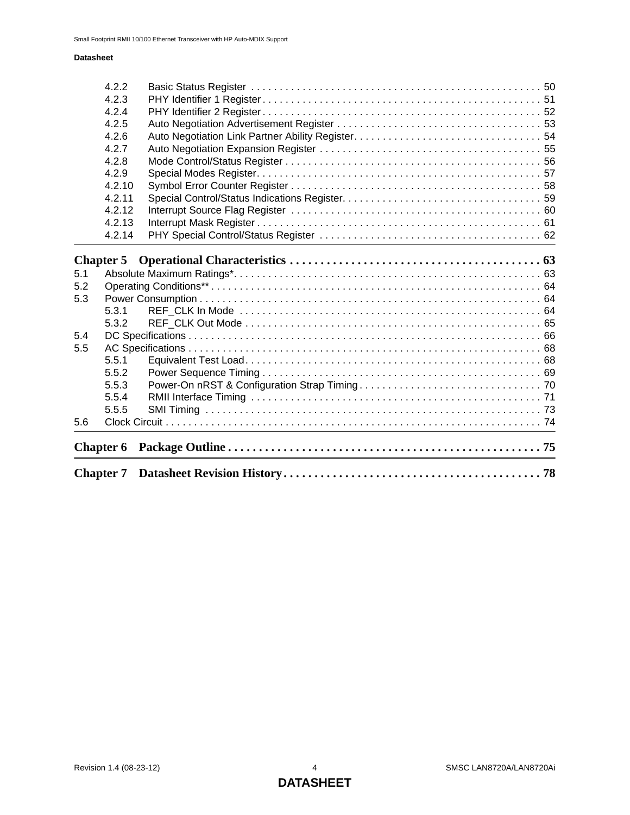|            | <b>Chapter 6</b> |  |
|------------|------------------|--|
| 5.6        |                  |  |
|            | 5.5.5            |  |
|            | 5.5.4            |  |
|            | 5.5.3            |  |
|            | 5.5.2            |  |
|            | 5.5.1            |  |
| 5.5        |                  |  |
| 5.4        |                  |  |
|            | 5.3.2            |  |
|            | 5.3.1            |  |
| 5.2<br>5.3 |                  |  |
| 5.1        |                  |  |
|            | <b>Chapter 5</b> |  |
|            | 4.2.14           |  |
|            | 4.2.13           |  |
|            | 4.2.12           |  |
|            | 4.2.11           |  |
|            | 4.2.10           |  |
|            | 4.2.9            |  |
|            | 4.2.8            |  |
|            | 4.2.7            |  |
|            | 4.2.6            |  |
|            | 4.2.5            |  |
|            | 4.2.4            |  |
|            | 4.2.2<br>4.2.3   |  |
|            |                  |  |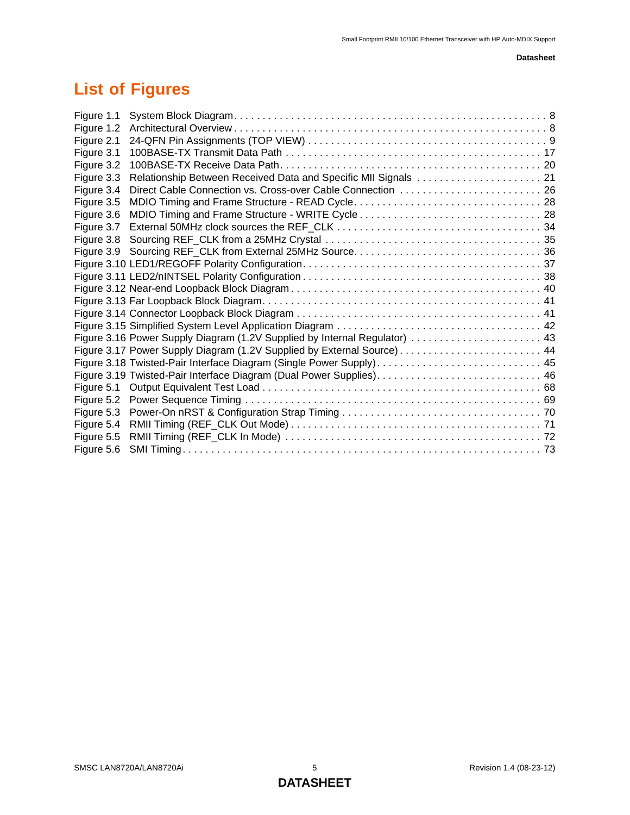# **List of Figures**

| Direct Cable Connection vs. Cross-over Cable Connection  26 |                                                                                                                                                                                                                          |
|-------------------------------------------------------------|--------------------------------------------------------------------------------------------------------------------------------------------------------------------------------------------------------------------------|
|                                                             |                                                                                                                                                                                                                          |
|                                                             |                                                                                                                                                                                                                          |
|                                                             |                                                                                                                                                                                                                          |
|                                                             |                                                                                                                                                                                                                          |
|                                                             |                                                                                                                                                                                                                          |
|                                                             |                                                                                                                                                                                                                          |
|                                                             |                                                                                                                                                                                                                          |
|                                                             |                                                                                                                                                                                                                          |
|                                                             |                                                                                                                                                                                                                          |
|                                                             |                                                                                                                                                                                                                          |
|                                                             |                                                                                                                                                                                                                          |
|                                                             |                                                                                                                                                                                                                          |
|                                                             |                                                                                                                                                                                                                          |
|                                                             |                                                                                                                                                                                                                          |
|                                                             |                                                                                                                                                                                                                          |
|                                                             |                                                                                                                                                                                                                          |
|                                                             |                                                                                                                                                                                                                          |
|                                                             |                                                                                                                                                                                                                          |
|                                                             |                                                                                                                                                                                                                          |
|                                                             |                                                                                                                                                                                                                          |
|                                                             |                                                                                                                                                                                                                          |
|                                                             | Figure 3.16 Power Supply Diagram (1.2V Supplied by Internal Regulator)  43<br>Figure 3.18 Twisted-Pair Interface Diagram (Single Power Supply) 45<br>Figure 3.19 Twisted-Pair Interface Diagram (Dual Power Supplies) 46 |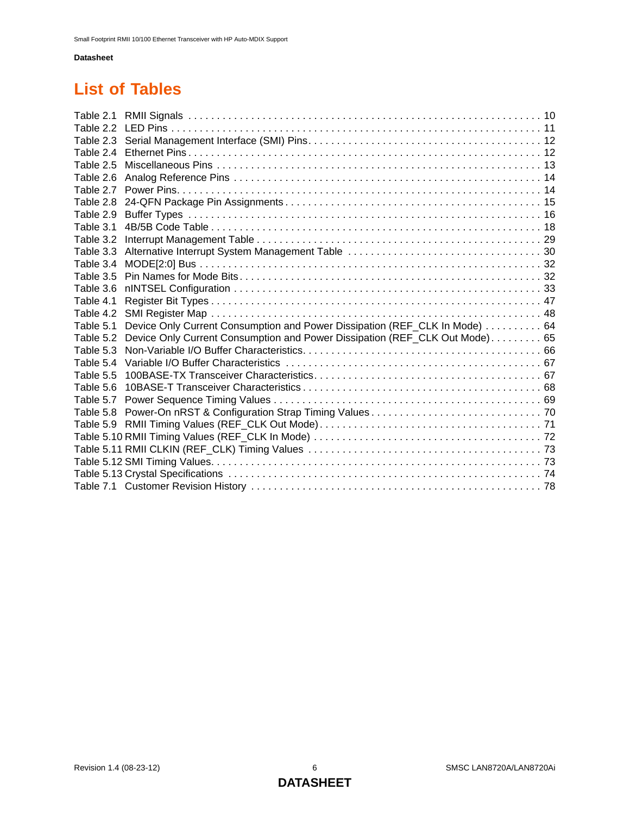# **List of Tables**

| Table 2.2 |                                                                             |  |
|-----------|-----------------------------------------------------------------------------|--|
| Table 2.3 |                                                                             |  |
| Table 2.4 |                                                                             |  |
| Table 2.5 |                                                                             |  |
| Table 2.6 |                                                                             |  |
| Table 2.7 |                                                                             |  |
| Table 2.8 |                                                                             |  |
| Table 2.9 |                                                                             |  |
| Table 3.1 |                                                                             |  |
| Table 3.2 |                                                                             |  |
| Table 3.3 |                                                                             |  |
| Table 3.4 |                                                                             |  |
| Table 3.5 |                                                                             |  |
| Table 3.6 |                                                                             |  |
| Table 4.1 |                                                                             |  |
| Table 4.2 |                                                                             |  |
| Table 5.1 | Device Only Current Consumption and Power Dissipation (REF_CLK In Mode) 64  |  |
| Table 5.2 | Device Only Current Consumption and Power Dissipation (REF_CLK Out Mode) 65 |  |
| Table 5.3 |                                                                             |  |
| Table 5.4 |                                                                             |  |
| Table 5.5 |                                                                             |  |
| Table 5.6 |                                                                             |  |
| Table 5.7 |                                                                             |  |
| Table 5.8 |                                                                             |  |
|           |                                                                             |  |
|           |                                                                             |  |
|           |                                                                             |  |
|           |                                                                             |  |
|           |                                                                             |  |
|           |                                                                             |  |
|           |                                                                             |  |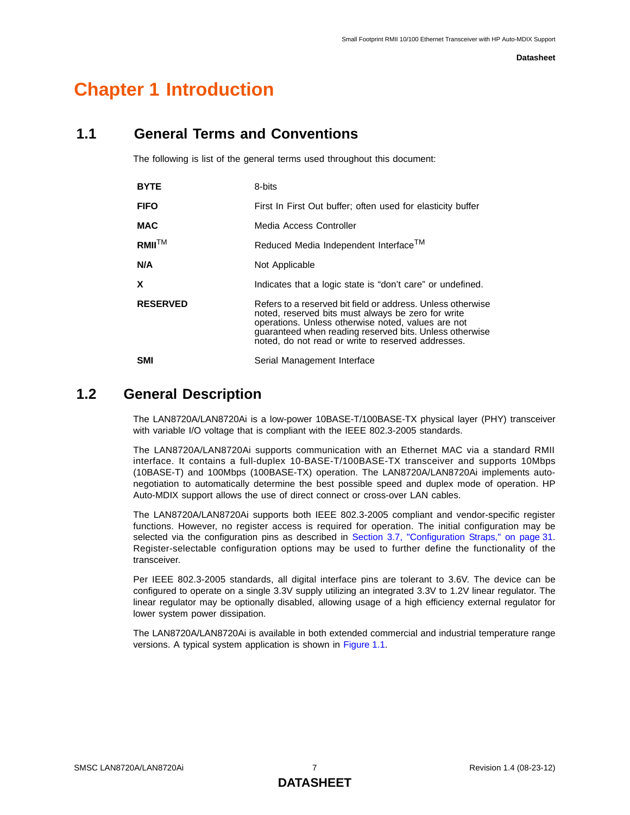# <span id="page-6-0"></span>**Chapter 1 Introduction**

## <span id="page-6-1"></span>**1.1 General Terms and Conventions**

The following is list of the general terms used throughout this document:

| <b>BYTE</b>     | 8-bits                                                                                                                                                                                                                                                                                   |  |  |
|-----------------|------------------------------------------------------------------------------------------------------------------------------------------------------------------------------------------------------------------------------------------------------------------------------------------|--|--|
| <b>FIFO</b>     | First In First Out buffer; often used for elasticity buffer                                                                                                                                                                                                                              |  |  |
| <b>MAC</b>      | Media Access Controller                                                                                                                                                                                                                                                                  |  |  |
| $RMII^{TM}$     | Reduced Media Independent Interface <sup>TM</sup>                                                                                                                                                                                                                                        |  |  |
| N/A             | Not Applicable                                                                                                                                                                                                                                                                           |  |  |
| X               | Indicates that a logic state is "don't care" or undefined.                                                                                                                                                                                                                               |  |  |
| <b>RESERVED</b> | Refers to a reserved bit field or address. Unless otherwise<br>noted, reserved bits must always be zero for write<br>operations. Unless otherwise noted, values are not<br>guaranteed when reading reserved bits. Unless otherwise<br>noted, do not read or write to reserved addresses. |  |  |
| SMI             | Serial Management Interface                                                                                                                                                                                                                                                              |  |  |

## <span id="page-6-2"></span>**1.2 General Description**

The LAN8720A/LAN8720Ai is a low-power 10BASE-T/100BASE-TX physical layer (PHY) transceiver with variable I/O voltage that is compliant with the IEEE 802.3-2005 standards.

The LAN8720A/LAN8720Ai supports communication with an Ethernet MAC via a standard RMII interface. It contains a full-duplex 10-BASE-T/100BASE-TX transceiver and supports 10Mbps (10BASE-T) and 100Mbps (100BASE-TX) operation. The LAN8720A/LAN8720Ai implements autonegotiation to automatically determine the best possible speed and duplex mode of operation. HP Auto-MDIX support allows the use of direct connect or cross-over LAN cables.

The LAN8720A/LAN8720Ai supports both IEEE 802.3-2005 compliant and vendor-specific register functions. However, no register access is required for operation. The initial configuration may be selected via the configuration pins as described in [Section 3.7, "Configuration Straps," on page 31](#page-30-3). Register-selectable configuration options may be used to further define the functionality of the transceiver.

Per IEEE 802.3-2005 standards, all digital interface pins are tolerant to 3.6V. The device can be configured to operate on a single 3.3V supply utilizing an integrated 3.3V to 1.2V linear regulator. The linear regulator may be optionally disabled, allowing usage of a high efficiency external regulator for lower system power dissipation.

The LAN8720A/LAN8720Ai is available in both extended commercial and industrial temperature range versions. A typical system application is shown in [Figure 1.1](#page-7-0).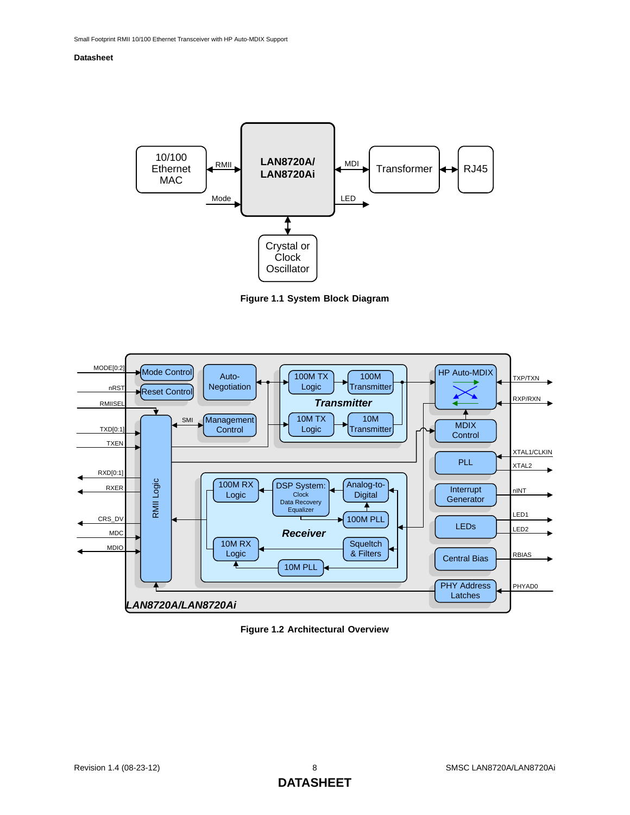

**Figure 1.1 System Block Diagram**

<span id="page-7-0"></span>

<span id="page-7-1"></span>**Figure 1.2 Architectural Overview**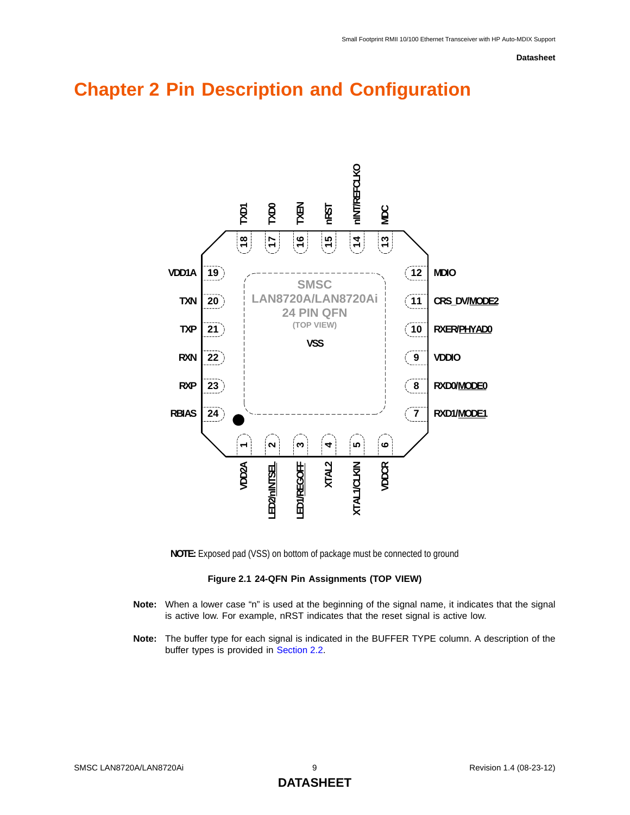# <span id="page-8-0"></span>**Chapter 2 Pin Description and Configuration**



**NOTE:** Exposed pad (VSS) on bottom of package must be connected to ground

#### **Figure 2.1 24-QFN Pin Assignments (TOP VIEW)**

- <span id="page-8-1"></span>**Note:** When a lower case "n" is used at the beginning of the signal name, it indicates that the signal is active low. For example, nRST indicates that the reset signal is active low.
- **Note:** The buffer type for each signal is indicated in the BUFFER TYPE column. A description of the buffer types is provided in [Section 2.2](#page-15-0).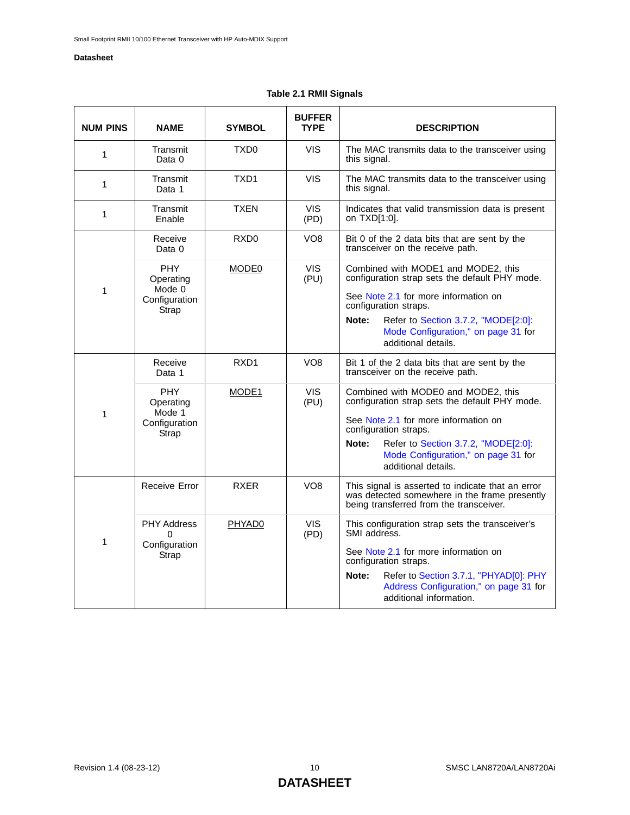## **Table 2.1 RMII Signals**

<span id="page-9-0"></span>

| <b>NUM PINS</b> | <b>NAME</b>                                                 | <b>SYMBOL</b>      | <b>BUFFER</b><br><b>TYPE</b> | <b>DESCRIPTION</b>                                                                                                                                                                                                                                                   |
|-----------------|-------------------------------------------------------------|--------------------|------------------------------|----------------------------------------------------------------------------------------------------------------------------------------------------------------------------------------------------------------------------------------------------------------------|
| 1               | Transmit<br>Data 0                                          | TXD <sub>0</sub>   | <b>VIS</b>                   | The MAC transmits data to the transceiver using<br>this signal.                                                                                                                                                                                                      |
| 1               | Transmit<br>Data 1                                          | TXD1               | <b>VIS</b>                   | The MAC transmits data to the transceiver using<br>this signal.                                                                                                                                                                                                      |
| 1               | Transmit<br>Enable                                          | <b>TXEN</b>        | VIS.<br>(PD)                 | Indicates that valid transmission data is present<br>on TXD[1:0].                                                                                                                                                                                                    |
|                 | Receive<br>Data 0                                           | RXD <sub>0</sub>   | VO <sub>8</sub>              | Bit 0 of the 2 data bits that are sent by the<br>transceiver on the receive path.                                                                                                                                                                                    |
| 1               | <b>PHY</b><br>Operating<br>Mode 0<br>Configuration<br>Strap | MODE0              | <b>VIS</b><br>(PU)           | Combined with MODE1 and MODE2, this<br>configuration strap sets the default PHY mode.<br>See Note 2.1 for more information on<br>configuration straps.<br>Refer to Section 3.7.2, "MODE[2:0]:<br>Note:<br>Mode Configuration," on page 31 for<br>additional details. |
|                 | Receive<br>Data 1                                           | RXD <sub>1</sub>   | VO <sub>8</sub>              | Bit 1 of the 2 data bits that are sent by the<br>transceiver on the receive path.                                                                                                                                                                                    |
| 1               | <b>PHY</b><br>Operating<br>Mode 1<br>Configuration<br>Strap | MODE <sub>1</sub>  | <b>VIS</b><br>(PU)           | Combined with MODE0 and MODE2, this<br>configuration strap sets the default PHY mode.<br>See Note 2.1 for more information on<br>configuration straps.<br>Note:<br>Refer to Section 3.7.2, "MODE[2:0]:<br>Mode Configuration," on page 31 for<br>additional details. |
|                 | Receive Error                                               | <b>RXFR</b>        | VO <sub>8</sub>              | This signal is asserted to indicate that an error<br>was detected somewhere in the frame presently<br>being transferred from the transceiver.                                                                                                                        |
| 1               | <b>PHY Address</b><br>$\Omega$<br>Configuration<br>Strap    | PHYAD <sub>0</sub> | <b>VIS</b><br>(PD)           | This configuration strap sets the transceiver's<br>SMI address.<br>See Note 2.1 for more information on<br>configuration straps.<br>Note:<br>Refer to Section 3.7.1, "PHYAD[0]: PHY<br>Address Configuration," on page 31 for<br>additional information.             |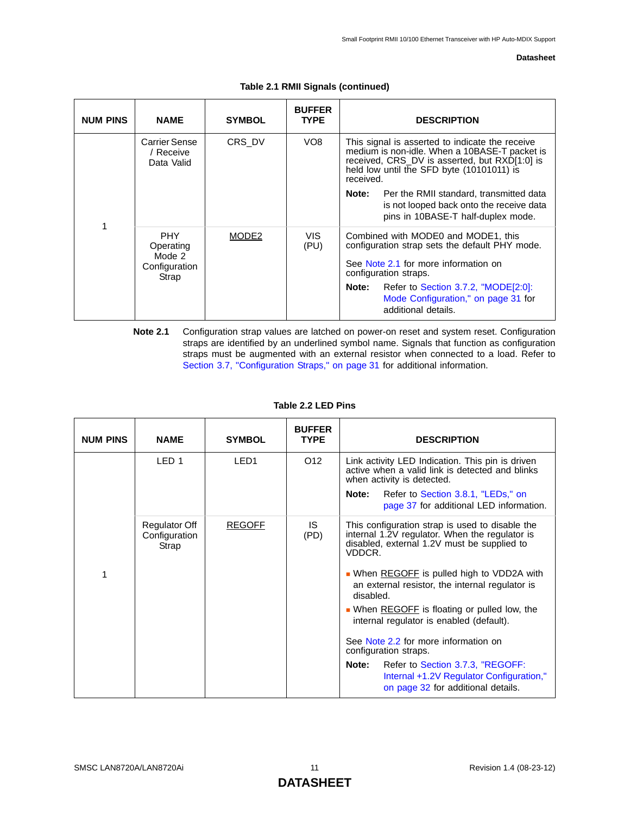| <b>NUM PINS</b> | <b>NAME</b>                                                 | <b>SYMBOL</b>     | <b>BUFFER</b><br><b>TYPE</b> | <b>DESCRIPTION</b>                                                                                                                                                                                          |
|-----------------|-------------------------------------------------------------|-------------------|------------------------------|-------------------------------------------------------------------------------------------------------------------------------------------------------------------------------------------------------------|
|                 | Carrier Sense<br>/ Receive<br>Data Valid                    | CRS DV            | VO <sub>8</sub>              | This signal is asserted to indicate the receive<br>medium is non-idle. When a 10BASE-T packet is<br>received, CRS_DV is asserted, but RXD[1:0] is<br>held low until the SFD byte (10101011) is<br>received. |
| 1               |                                                             |                   |                              | Per the RMII standard, transmitted data<br>Note:<br>is not looped back onto the receive data<br>pins in 10BASE-T half-duplex mode.                                                                          |
|                 | <b>PHY</b><br>Operating<br>Mode 2<br>Configuration<br>Strap | MODE <sub>2</sub> | VIS.<br>(PU)                 | Combined with MODE0 and MODE1, this<br>configuration strap sets the default PHY mode.<br>See Note 2.1 for more information on<br>configuration straps.                                                      |
|                 |                                                             |                   |                              | Refer to Section 3.7.2, "MODE[2:0]:<br>Note:<br>Mode Configuration," on page 31 for<br>additional details.                                                                                                  |

**Table 2.1 RMII Signals (continued)** 

<span id="page-10-1"></span>**Note 2.1** Configuration strap values are latched on power-on reset and system reset. Configuration straps are identified by an underlined symbol name. Signals that function as configuration straps must be augmented with an external resistor when connected to a load. Refer to [Section 3.7, "Configuration Straps," on page 31](#page-30-3) for additional information.

<span id="page-10-0"></span>

| <b>NUM PINS</b> | <b>NAME</b>                             | <b>SYMBOL</b>    | <b>BUFFER</b><br><b>TYPE</b> | <b>DESCRIPTION</b>                                                                                                                                         |
|-----------------|-----------------------------------------|------------------|------------------------------|------------------------------------------------------------------------------------------------------------------------------------------------------------|
|                 | LED <sub>1</sub>                        | LED <sub>1</sub> | O <sub>12</sub>              | Link activity LED Indication. This pin is driven<br>active when a valid link is detected and blinks<br>when activity is detected.                          |
|                 |                                         |                  |                              | Refer to Section 3.8.1, "LEDs," on<br>Note:<br>page 37 for additional LED information.                                                                     |
|                 | Regulator Off<br>Configuration<br>Strap | <b>REGOFF</b>    | IS.<br>(PD)                  | This configuration strap is used to disable the<br>internal 1.2V regulator. When the regulator is<br>disabled, external 1.2V must be supplied to<br>VDDCR. |
| 1               |                                         |                  |                              | • When REGOFF is pulled high to VDD2A with<br>an external resistor, the internal regulator is<br>disabled.                                                 |
|                 |                                         |                  |                              | • When REGOFF is floating or pulled low, the<br>internal regulator is enabled (default).                                                                   |
|                 |                                         |                  |                              | See Note 2.2 for more information on<br>configuration straps.                                                                                              |
|                 |                                         |                  |                              | Refer to Section 3.7.3, "REGOFF:<br>Note:<br>Internal +1.2V Regulator Configuration,"<br>on page 32 for additional details.                                |

#### **Table 2.2 LED Pins**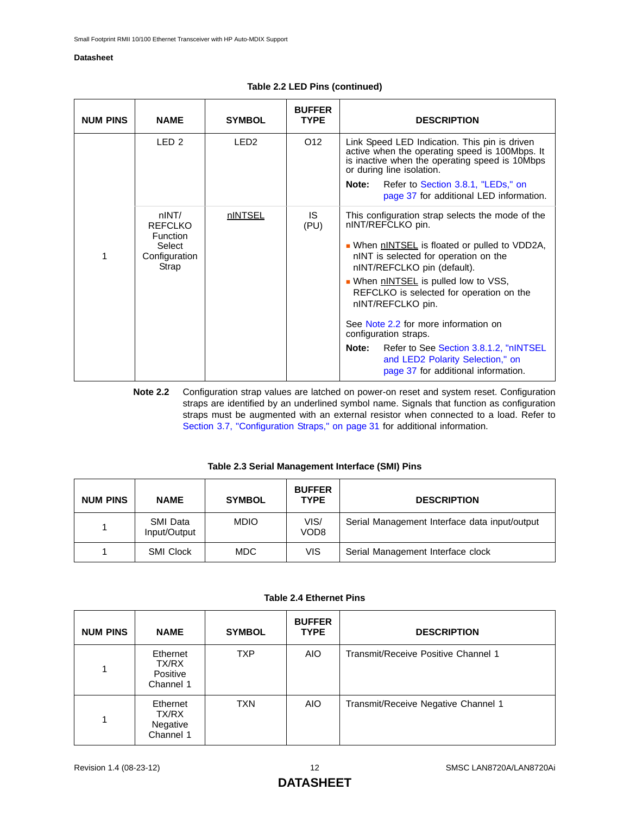| <b>NUM PINS</b> | <b>NAME</b>                                                             | <b>SYMBOL</b>    | <b>BUFFER</b><br><b>TYPE</b> | <b>DESCRIPTION</b>                                                                                                                                                                                                                                                                                                                                                                                                                                                                                          |
|-----------------|-------------------------------------------------------------------------|------------------|------------------------------|-------------------------------------------------------------------------------------------------------------------------------------------------------------------------------------------------------------------------------------------------------------------------------------------------------------------------------------------------------------------------------------------------------------------------------------------------------------------------------------------------------------|
|                 | LED <sub>2</sub>                                                        | LED <sub>2</sub> | O <sub>12</sub>              | Link Speed LED Indication. This pin is driven<br>active when the operating speed is 100Mbps. It<br>is inactive when the operating speed is 10Mbps<br>or during line isolation.<br>Note:<br>Refer to Section 3.8.1, "LEDs," on<br>page 37 for additional LED information.                                                                                                                                                                                                                                    |
| 1               | nINT/<br><b>REFCLKO</b><br>Function<br>Select<br>Configuration<br>Strap | nINTSEL          | IS.<br>(PU)                  | This configuration strap selects the mode of the<br>nINT/REFCLKO pin.<br>• When nINTSEL is floated or pulled to VDD2A,<br>nINT is selected for operation on the<br>nINT/REFCLKO pin (default).<br>When <b>nINTSEL</b> is pulled low to VSS,<br>REFCLKO is selected for operation on the<br>nINT/REFCLKO pin.<br>See Note 2.2 for more information on<br>configuration straps.<br>Refer to See Section 3.8.1.2, "nINTSEL<br>Note:<br>and LED2 Polarity Selection," on<br>page 37 for additional information. |

### **Table 2.2 LED Pins (continued)**

<span id="page-11-2"></span>**Note 2.2** Configuration strap values are latched on power-on reset and system reset. Configuration straps are identified by an underlined symbol name. Signals that function as configuration straps must be augmented with an external resistor when connected to a load. Refer to [Section 3.7, "Configuration Straps," on page 31](#page-30-3) for additional information.

#### **Table 2.3 Serial Management Interface (SMI) Pins**

<span id="page-11-0"></span>

| <b>NUM PINS</b> | <b>NAME</b>              | <b>SYMBOL</b> | <b>BUFFER</b><br><b>TYPE</b> | <b>DESCRIPTION</b>                            |
|-----------------|--------------------------|---------------|------------------------------|-----------------------------------------------|
|                 | SMI Data<br>Input/Output | <b>MDIO</b>   | VIS/<br>VOD <sub>8</sub>     | Serial Management Interface data input/output |
|                 | <b>SMI Clock</b>         | <b>MDC</b>    | VIS                          | Serial Management Interface clock             |

|  |  | Table 2.4 Ethernet Pins |  |
|--|--|-------------------------|--|
|--|--|-------------------------|--|

<span id="page-11-1"></span>

| <b>NUM PINS</b> | <b>NAME</b>                                | <b>SYMBOL</b> | <b>BUFFER</b><br><b>TYPE</b> | <b>DESCRIPTION</b>                  |
|-----------------|--------------------------------------------|---------------|------------------------------|-------------------------------------|
| 1               | Ethernet<br>TX/RX<br>Positive<br>Channel 1 | <b>TXP</b>    | <b>AIO</b>                   | Transmit/Receive Positive Channel 1 |
| 1               | Ethernet<br>TX/RX<br>Negative<br>Channel 1 | <b>TXN</b>    | <b>AIO</b>                   | Transmit/Receive Negative Channel 1 |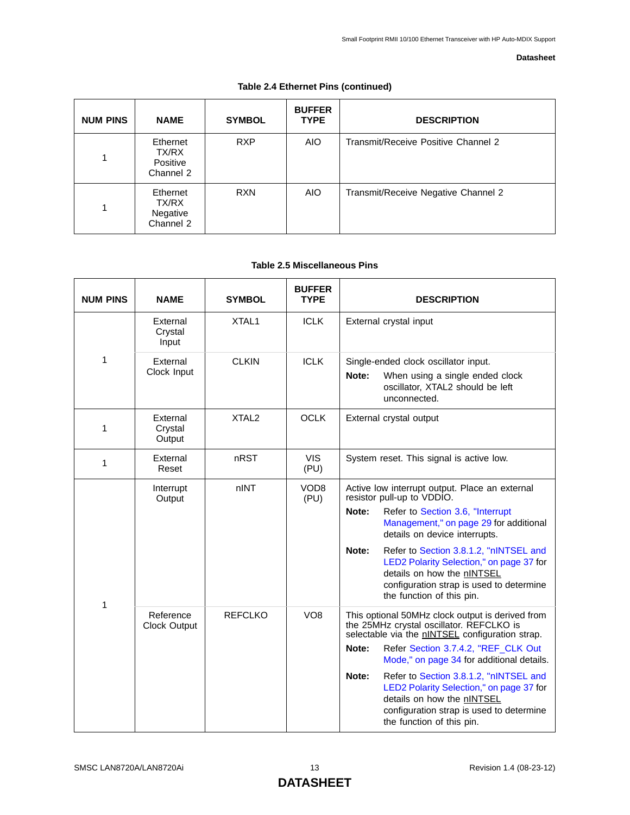| <b>NUM PINS</b> | <b>NAME</b>                                | <b>SYMBOL</b> | <b>BUFFER</b><br><b>TYPE</b> | <b>DESCRIPTION</b>                  |
|-----------------|--------------------------------------------|---------------|------------------------------|-------------------------------------|
| 1               | Ethernet<br>TX/RX<br>Positive<br>Channel 2 | <b>RXP</b>    | <b>AIO</b>                   | Transmit/Receive Positive Channel 2 |
|                 | Ethernet<br>TX/RX<br>Negative<br>Channel 2 | <b>RXN</b>    | <b>AIO</b>                   | Transmit/Receive Negative Channel 2 |

## **Table 2.4 Ethernet Pins (continued)**

## **Table 2.5 Miscellaneous Pins**

<span id="page-12-0"></span>

| <b>NUM PINS</b> | <b>NAME</b>                   | <b>SYMBOL</b>     | <b>BUFFER</b><br><b>TYPE</b> | <b>DESCRIPTION</b>                                                                                                                                                                                                                                                                                                                                                                                                                                 |  |  |
|-----------------|-------------------------------|-------------------|------------------------------|----------------------------------------------------------------------------------------------------------------------------------------------------------------------------------------------------------------------------------------------------------------------------------------------------------------------------------------------------------------------------------------------------------------------------------------------------|--|--|
|                 | External<br>Crystal<br>Input  | XTAL1             | <b>ICLK</b>                  | External crystal input                                                                                                                                                                                                                                                                                                                                                                                                                             |  |  |
| 1               | External<br>Clock Input       | <b>CLKIN</b>      | <b>ICLK</b>                  | Single-ended clock oscillator input.<br>Note:<br>When using a single ended clock<br>oscillator, XTAL2 should be left<br>unconnected.                                                                                                                                                                                                                                                                                                               |  |  |
| 1               | External<br>Crystal<br>Output | XTAL <sub>2</sub> | <b>OCLK</b>                  | External crystal output                                                                                                                                                                                                                                                                                                                                                                                                                            |  |  |
| 1               | External<br>Reset             | nRST              | <b>VIS</b><br>(PU)           | System reset. This signal is active low.                                                                                                                                                                                                                                                                                                                                                                                                           |  |  |
| 1               | Interrupt<br>Output           | nINT              | VOD <sub>8</sub><br>(PU)     | Active low interrupt output. Place an external<br>resistor pull-up to VDDIO.<br>Note:<br>Refer to Section 3.6, "Interrupt<br>Management," on page 29 for additional<br>details on device interrupts.<br>Note:<br>Refer to Section 3.8.1.2, "nINTSEL and<br>LED2 Polarity Selection," on page 37 for<br>details on how the nINTSEL<br>configuration strap is used to determine<br>the function of this pin.                                         |  |  |
|                 | Reference<br>Clock Output     | <b>REFCLKO</b>    | VO <sub>8</sub>              | This optional 50MHz clock output is derived from<br>the 25MHz crystal oscillator. REFCLKO is<br>selectable via the nINTSEL configuration strap.<br>Refer Section 3.7.4.2, "REF_CLK Out<br>Note:<br>Mode," on page 34 for additional details.<br>Note:<br>Refer to Section 3.8.1.2, "nINTSEL and<br>LED2 Polarity Selection," on page 37 for<br>details on how the nINTSEL<br>configuration strap is used to determine<br>the function of this pin. |  |  |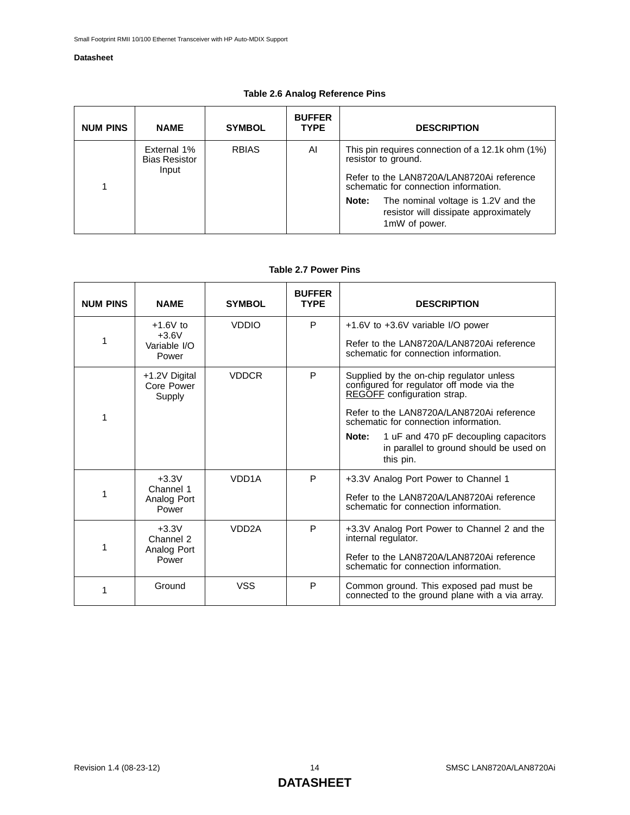| <b>Table 2.6 Analog Reference Pins</b> |  |
|----------------------------------------|--|
|----------------------------------------|--|

<span id="page-13-0"></span>

| <b>NUM PINS</b> | <b>NAME</b>                                  | <b>SYMBOL</b> | <b>BUFFER</b><br><b>TYPE</b> | <b>DESCRIPTION</b>                                                                                                                                            |  |
|-----------------|----------------------------------------------|---------------|------------------------------|---------------------------------------------------------------------------------------------------------------------------------------------------------------|--|
|                 | External 1%<br><b>Bias Resistor</b><br>Input | <b>RBIAS</b>  | Al                           | This pin requires connection of a 12.1k ohm (1%)<br>resistor to ground.<br>Refer to the LAN8720A/LAN8720Ai reference<br>schematic for connection information. |  |
|                 |                                              |               |                              | The nominal voltage is 1.2V and the<br>Note:<br>resistor will dissipate approximately<br>1mW of power.                                                        |  |

#### **Table 2.7 Power Pins**

<span id="page-13-1"></span>

| <b>NUM PINS</b> | <b>NAME</b>                                    | <b>SYMBOL</b>      | <b>BUFFER</b><br><b>TYPE</b> | <b>DESCRIPTION</b>                                                                                                                                                                                                                                                                                                          |
|-----------------|------------------------------------------------|--------------------|------------------------------|-----------------------------------------------------------------------------------------------------------------------------------------------------------------------------------------------------------------------------------------------------------------------------------------------------------------------------|
| 1               | $+1.6V$ to<br>$+3.6V$<br>Variable I/O<br>Power | <b>VDDIO</b>       | P                            | $+1.6V$ to $+3.6V$ variable I/O power<br>Refer to the LAN8720A/LAN8720Ai reference<br>schematic for connection information.                                                                                                                                                                                                 |
| 1               | +1.2V Digital<br>Core Power<br>Supply          | <b>VDDCR</b>       | P                            | Supplied by the on-chip regulator unless<br>configured for regulator off mode via the<br><b>REGOFF</b> configuration strap.<br>Refer to the LAN8720A/LAN8720Ai reference<br>schematic for connection information.<br>1 uF and 470 pF decoupling capacitors<br>Note:<br>in parallel to ground should be used on<br>this pin. |
| 1               | $+3.3V$<br>Channel 1<br>Analog Port<br>Power   | VDD <sub>1</sub> A | P                            | +3.3V Analog Port Power to Channel 1<br>Refer to the LAN8720A/LAN8720Ai reference<br>schematic for connection information.                                                                                                                                                                                                  |
| 1               | $+3.3V$<br>Channel 2<br>Analog Port<br>Power   | VDD <sub>2</sub> A | P                            | +3.3V Analog Port Power to Channel 2 and the<br>internal regulator.<br>Refer to the LAN8720A/LAN8720Ai reference<br>schematic for connection information.                                                                                                                                                                   |
| 1               | Ground                                         | <b>VSS</b>         | P                            | Common ground. This exposed pad must be<br>connected to the ground plane with a via array.                                                                                                                                                                                                                                  |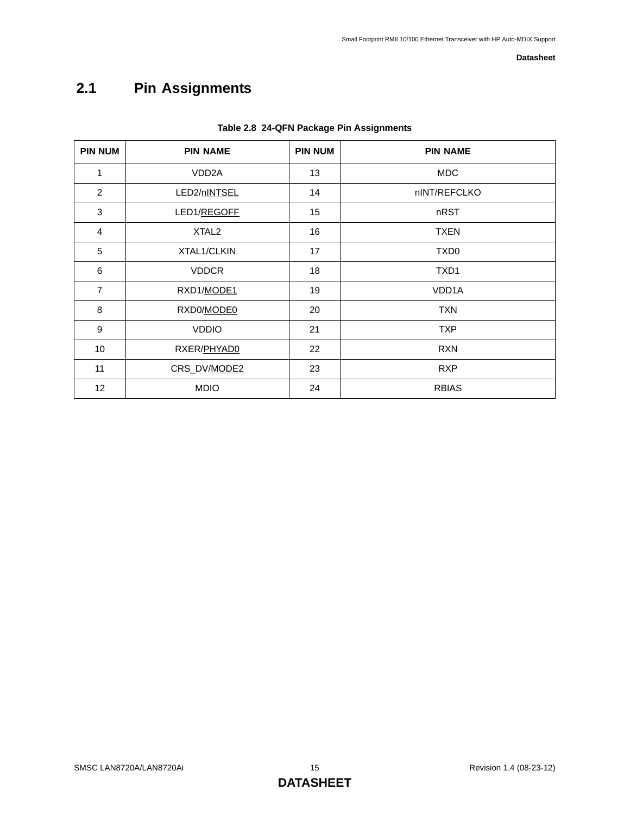# <span id="page-14-0"></span>**2.1 Pin Assignments**

<span id="page-14-1"></span>

| <b>PIN NUM</b> | <b>PIN NAME</b>    | <b>PIN NUM</b> | <b>PIN NAME</b>    |
|----------------|--------------------|----------------|--------------------|
| 1              | VDD <sub>2</sub> A | 13             | <b>MDC</b>         |
| 2              | LED2/nINTSEL       | 14             | nINT/REFCLKO       |
| 3              | LED1/REGOFF        | 15             | nRST               |
| $\overline{4}$ | XTAL <sub>2</sub>  | 16             | <b>TXEN</b>        |
| 5              | XTAL1/CLKIN        | 17             | TXD <sub>0</sub>   |
| 6              | <b>VDDCR</b>       | 18             | TXD1               |
| $\overline{7}$ | RXD1/MODE1         | 19             | VDD <sub>1</sub> A |
| 8              | RXD0/MODE0         | 20             | <b>TXN</b>         |
| 9              | <b>VDDIO</b>       | 21             | <b>TXP</b>         |
| 10             | RXER/PHYAD0        | 22             | <b>RXN</b>         |
| 11             | CRS_DV/MODE2       | 23             | <b>RXP</b>         |
| 12             | <b>MDIO</b>        | 24             | <b>RBIAS</b>       |

### **Table 2.8 24-QFN Package Pin Assignments**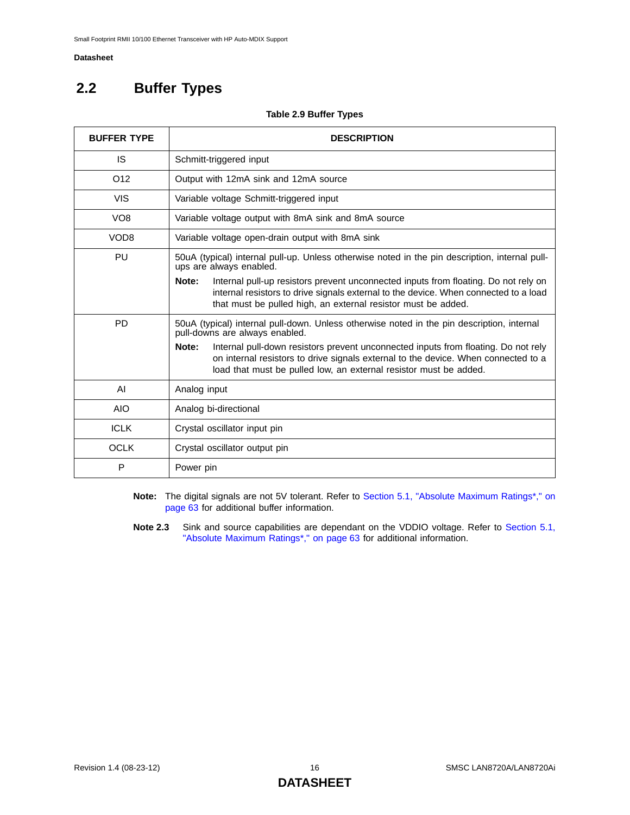# <span id="page-15-0"></span>**2.2 Buffer Types**

#### **Table 2.9 Buffer Types**

<span id="page-15-1"></span>

| <b>BUFFER TYPE</b> | <b>DESCRIPTION</b>                                                                                                                                                                                                                                     |  |  |  |  |  |
|--------------------|--------------------------------------------------------------------------------------------------------------------------------------------------------------------------------------------------------------------------------------------------------|--|--|--|--|--|
| IS                 | Schmitt-triggered input                                                                                                                                                                                                                                |  |  |  |  |  |
| O <sub>12</sub>    | Output with 12mA sink and 12mA source                                                                                                                                                                                                                  |  |  |  |  |  |
| <b>VIS</b>         | Variable voltage Schmitt-triggered input                                                                                                                                                                                                               |  |  |  |  |  |
| VO <sub>8</sub>    | Variable voltage output with 8mA sink and 8mA source                                                                                                                                                                                                   |  |  |  |  |  |
| VOD <sub>8</sub>   | Variable voltage open-drain output with 8mA sink                                                                                                                                                                                                       |  |  |  |  |  |
| PU                 | 50uA (typical) internal pull-up. Unless otherwise noted in the pin description, internal pull-<br>ups are always enabled.                                                                                                                              |  |  |  |  |  |
|                    | Note:<br>Internal pull-up resistors prevent unconnected inputs from floating. Do not rely on<br>internal resistors to drive signals external to the device. When connected to a load<br>that must be pulled high, an external resistor must be added.  |  |  |  |  |  |
| <b>PD</b>          | 50uA (typical) internal pull-down. Unless otherwise noted in the pin description, internal<br>pull-downs are always enabled.                                                                                                                           |  |  |  |  |  |
|                    | Note:<br>Internal pull-down resistors prevent unconnected inputs from floating. Do not rely<br>on internal resistors to drive signals external to the device. When connected to a<br>load that must be pulled low, an external resistor must be added. |  |  |  |  |  |
| AI                 | Analog input                                                                                                                                                                                                                                           |  |  |  |  |  |
| <b>AIO</b>         | Analog bi-directional                                                                                                                                                                                                                                  |  |  |  |  |  |
| <b>ICLK</b>        | Crystal oscillator input pin                                                                                                                                                                                                                           |  |  |  |  |  |
| <b>OCLK</b>        | Crystal oscillator output pin                                                                                                                                                                                                                          |  |  |  |  |  |
| P                  | Power pin                                                                                                                                                                                                                                              |  |  |  |  |  |

- **Note:** The digital signals are not 5V tolerant. Refer to [Section 5.1, "Absolute Maximum Ratings\\*," on](#page-62-2) [page 63](#page-62-2) for additional buffer information.
- **Note 2.3** Sink and source capabilities are dependant on the VDDIO voltage. Refer to [Section 5.1,](#page-62-2) ["Absolute Maximum Ratings\\*," on page 63](#page-62-2) for additional information.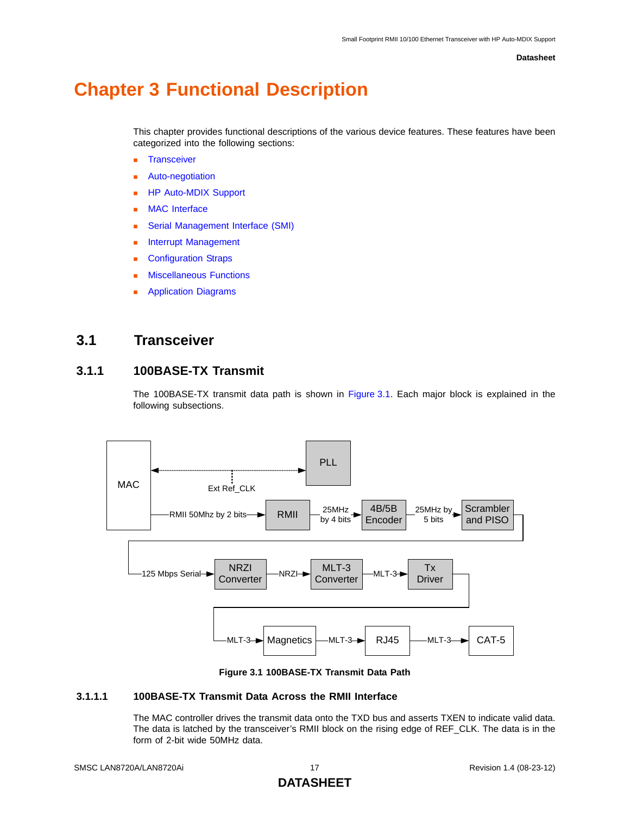# <span id="page-16-0"></span>**Chapter 3 Functional Description**

This chapter provides functional descriptions of the various device features. These features have been categorized into the following sections:

- **[Transceiver](#page-16-1)**
- [Auto-negotiation](#page-22-1)
- **[HP Auto-MDIX Support](#page-25-0)**
- [MAC Interface](#page-26-0)
- **[Serial Management Interface \(SMI\)](#page-27-0)**
- **[Interrupt Management](#page-28-0)**
- **[Configuration Straps](#page-30-0)**
- [Miscellaneous Functions](#page-36-0)
- [Application Diagrams](#page-40-0)

## <span id="page-16-1"></span>**3.1 Transceiver**

## <span id="page-16-2"></span>**3.1.1 100BASE-TX Transmit**

The 100BASE-TX transmit data path is shown in [Figure 3.1.](#page-16-3) Each major block is explained in the following subsections.



**Figure 3.1 100BASE-TX Transmit Data Path**

### <span id="page-16-3"></span>**3.1.1.1 100BASE-TX Transmit Data Across the RMII Interface**

The MAC controller drives the transmit data onto the TXD bus and asserts TXEN to indicate valid data. The data is latched by the transceiver's RMII block on the rising edge of REF\_CLK. The data is in the form of 2-bit wide 50MHz data.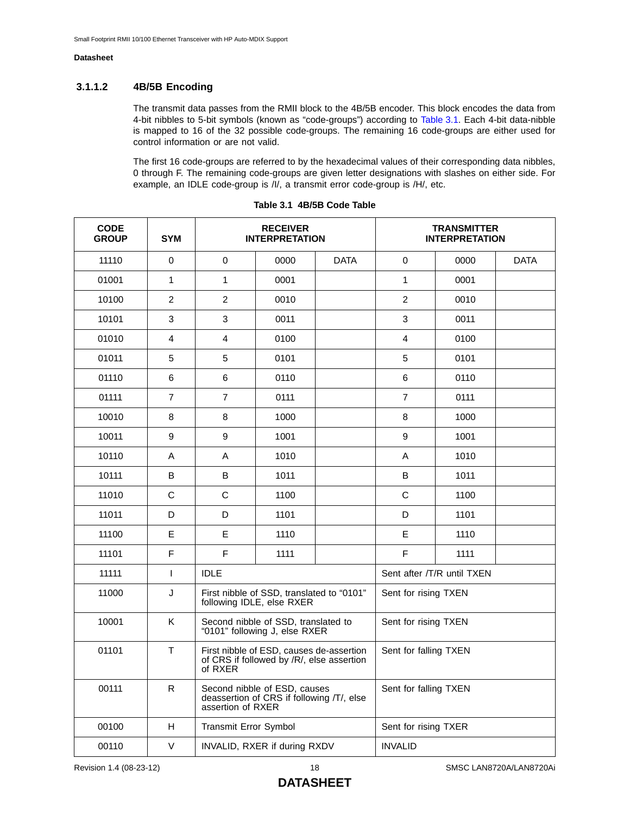### **3.1.1.2 4B/5B Encoding**

The transmit data passes from the RMII block to the 4B/5B encoder. This block encodes the data from 4-bit nibbles to 5-bit symbols (known as "code-groups") according to [Table 3.1.](#page-17-0) Each 4-bit data-nibble is mapped to 16 of the 32 possible code-groups. The remaining 16 code-groups are either used for control information or are not valid.

The first 16 code-groups are referred to by the hexadecimal values of their corresponding data nibbles, 0 through F. The remaining code-groups are given letter designations with slashes on either side. For example, an IDLE code-group is /I/, a transmit error code-group is /H/, etc.

<span id="page-17-0"></span>

| <b>CODE</b><br><b>GROUP</b> | <b>SYM</b>     | <b>RECEIVER</b><br><b>INTERPRETATION</b>                                                       |                                                                                       |             |                       | <b>TRANSMITTER</b><br><b>INTERPRETATION</b> |             |
|-----------------------------|----------------|------------------------------------------------------------------------------------------------|---------------------------------------------------------------------------------------|-------------|-----------------------|---------------------------------------------|-------------|
| 11110                       | $\mathbf 0$    | $\mathbf 0$                                                                                    | 0000                                                                                  | <b>DATA</b> | $\mathbf 0$           | 0000                                        | <b>DATA</b> |
| 01001                       | $\mathbf{1}$   | 1                                                                                              | 0001                                                                                  |             | $\mathbf{1}$          | 0001                                        |             |
| 10100                       | $\overline{c}$ | $\overline{c}$                                                                                 | 0010                                                                                  |             | $\overline{2}$        | 0010                                        |             |
| 10101                       | $\mathsf 3$    | 3                                                                                              | 0011                                                                                  |             | 3                     | 0011                                        |             |
| 01010                       | $\overline{4}$ | $\overline{4}$                                                                                 | 0100                                                                                  |             | $\overline{4}$        | 0100                                        |             |
| 01011                       | 5              | 5                                                                                              | 0101                                                                                  |             | 5                     | 0101                                        |             |
| 01110                       | $\,6$          | $\,6$                                                                                          | 0110                                                                                  |             | $\,6$                 | 0110                                        |             |
| 01111                       | $\overline{7}$ | $\overline{7}$                                                                                 | 0111                                                                                  |             | $\overline{7}$        | 0111                                        |             |
| 10010                       | 8              | 8                                                                                              | 1000                                                                                  |             | 8                     | 1000                                        |             |
| 10011                       | 9              | 9                                                                                              | 1001                                                                                  |             | 9                     | 1001                                        |             |
| 10110                       | Α              | Α                                                                                              | 1010                                                                                  |             | A                     | 1010                                        |             |
| 10111                       | B              | B                                                                                              | 1011                                                                                  |             | B                     | 1011                                        |             |
| 11010                       | $\mathsf{C}$   | $\mathsf C$                                                                                    | 1100                                                                                  |             | $\mathsf C$           | 1100                                        |             |
| 11011                       | D              | D                                                                                              | 1101                                                                                  |             | D                     | 1101                                        |             |
| 11100                       | E              | E                                                                                              | 1110                                                                                  |             | E                     | 1110                                        |             |
| 11101                       | E              | E                                                                                              | 1111                                                                                  |             | F                     | 1111                                        |             |
| 11111                       | $\mathbf{I}$   | <b>IDLE</b>                                                                                    |                                                                                       |             |                       | Sent after /T/R until TXEN                  |             |
| 11000                       | J              |                                                                                                | First nibble of SSD, translated to "0101"<br>following IDLE, else RXER                |             | Sent for rising TXEN  |                                             |             |
| 10001                       | K              |                                                                                                | Second nibble of SSD, translated to<br>"0101" following J, else RXER                  |             | Sent for rising TXEN  |                                             |             |
| 01101                       | $\mathsf{T}$   | of RXER                                                                                        | First nibble of ESD, causes de-assertion<br>of CRS if followed by /R/, else assertion |             | Sent for falling TXEN |                                             |             |
| 00111                       | R.             | Second nibble of ESD, causes<br>deassertion of CRS if following /T/, else<br>assertion of RXER |                                                                                       |             | Sent for falling TXEN |                                             |             |
| 00100                       | H              | Transmit Error Symbol                                                                          |                                                                                       |             | Sent for rising TXER  |                                             |             |
| 00110                       | $\vee$         | INVALID, RXER if during RXDV                                                                   |                                                                                       |             | <b>INVALID</b>        |                                             |             |

**Table 3.1 4B/5B Code Table**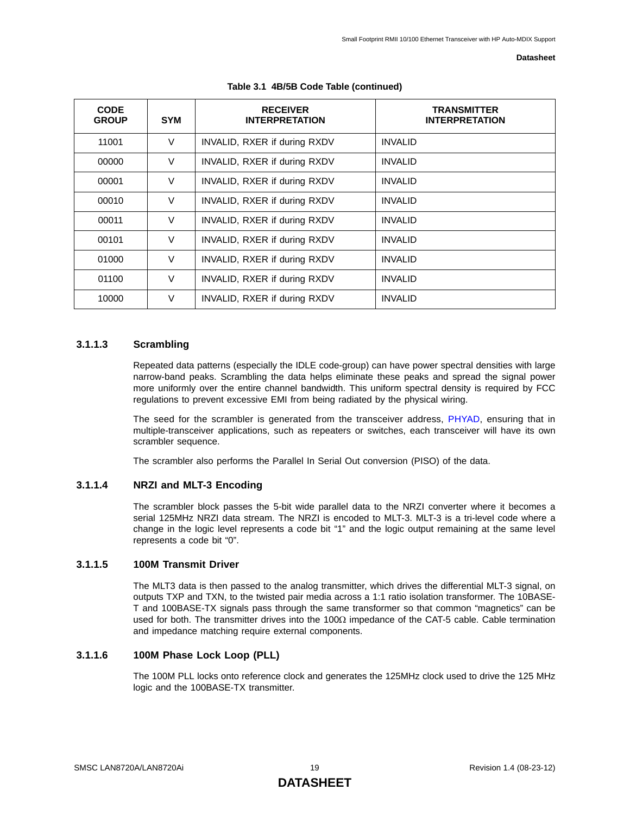| <b>CODE</b><br><b>GROUP</b> | <b>SYM</b> | <b>RECEIVER</b><br><b>INTERPRETATION</b> | <b>TRANSMITTER</b><br><b>INTERPRETATION</b> |
|-----------------------------|------------|------------------------------------------|---------------------------------------------|
| 11001                       | $\vee$     | INVALID, RXER if during RXDV             | <b>INVALID</b>                              |
| 00000                       | $\vee$     | INVALID, RXER if during RXDV             | <b>INVALID</b>                              |
| 00001                       | $\vee$     | INVALID, RXER if during RXDV             | <b>INVALID</b>                              |
| 00010                       | $\vee$     | INVALID, RXER if during RXDV             | <b>INVALID</b>                              |
| 00011                       | $\vee$     | INVALID, RXER if during RXDV             | <b>INVALID</b>                              |
| 00101                       | $\vee$     | INVALID, RXER if during RXDV             | <b>INVALID</b>                              |
| 01000                       | $\vee$     | INVALID, RXER if during RXDV             | <b>INVALID</b>                              |
| 01100                       | $\vee$     | INVALID, RXER if during RXDV             | <b>INVALID</b>                              |
| 10000                       | $\vee$     | INVALID, RXER if during RXDV             | <b>INVALID</b>                              |

#### **Table 3.1 4B/5B Code Table (continued)**

### **3.1.1.3 Scrambling**

Repeated data patterns (especially the IDLE code-group) can have power spectral densities with large narrow-band peaks. Scrambling the data helps eliminate these peaks and spread the signal power more uniformly over the entire channel bandwidth. This uniform spectral density is required by FCC regulations to prevent excessive EMI from being radiated by the physical wiring.

The seed for the scrambler is generated from the transceiver address, [PHYAD,](#page-56-1) ensuring that in multiple-transceiver applications, such as repeaters or switches, each transceiver will have its own scrambler sequence.

The scrambler also performs the Parallel In Serial Out conversion (PISO) of the data.

#### **3.1.1.4 NRZI and MLT-3 Encoding**

The scrambler block passes the 5-bit wide parallel data to the NRZI converter where it becomes a serial 125MHz NRZI data stream. The NRZI is encoded to MLT-3. MLT-3 is a tri-level code where a change in the logic level represents a code bit "1" and the logic output remaining at the same level represents a code bit "0".

#### **3.1.1.5 100M Transmit Driver**

The MLT3 data is then passed to the analog transmitter, which drives the differential MLT-3 signal, on outputs TXP and TXN, to the twisted pair media across a 1:1 ratio isolation transformer. The 10BASE-T and 100BASE-TX signals pass through the same transformer so that common "magnetics" can be used for both. The transmitter drives into the 100Ω impedance of the CAT-5 cable. Cable termination and impedance matching require external components.

### **3.1.1.6 100M Phase Lock Loop (PLL)**

The 100M PLL locks onto reference clock and generates the 125MHz clock used to drive the 125 MHz logic and the 100BASE-TX transmitter.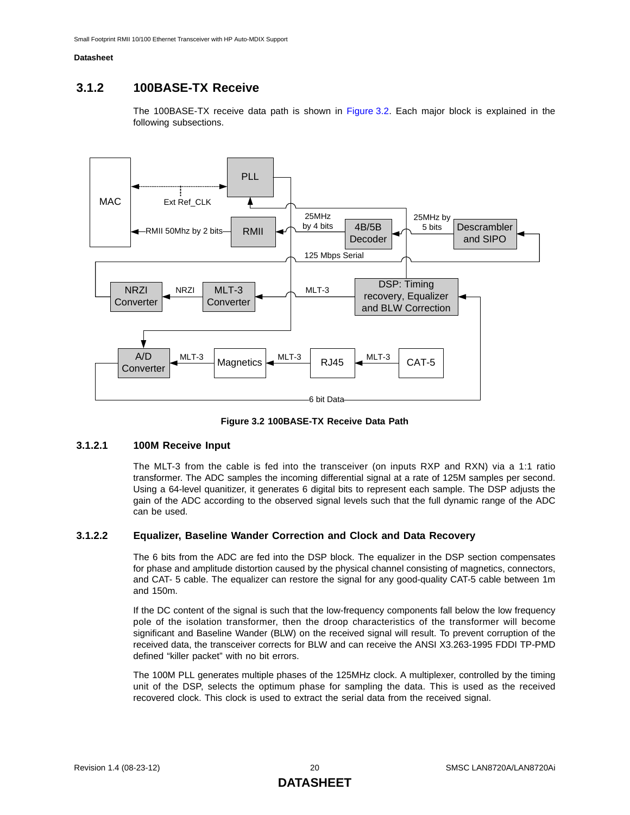## <span id="page-19-0"></span>**3.1.2 100BASE-TX Receive**

The 100BASE-TX receive data path is shown in [Figure 3.2](#page-19-1). Each major block is explained in the following subsections.



**Figure 3.2 100BASE-TX Receive Data Path**

#### <span id="page-19-1"></span>**3.1.2.1 100M Receive Input**

The MLT-3 from the cable is fed into the transceiver (on inputs RXP and RXN) via a 1:1 ratio transformer. The ADC samples the incoming differential signal at a rate of 125M samples per second. Using a 64-level quanitizer, it generates 6 digital bits to represent each sample. The DSP adjusts the gain of the ADC according to the observed signal levels such that the full dynamic range of the ADC can be used.

### **3.1.2.2 Equalizer, Baseline Wander Correction and Clock and Data Recovery**

The 6 bits from the ADC are fed into the DSP block. The equalizer in the DSP section compensates for phase and amplitude distortion caused by the physical channel consisting of magnetics, connectors, and CAT- 5 cable. The equalizer can restore the signal for any good-quality CAT-5 cable between 1m and 150m.

If the DC content of the signal is such that the low-frequency components fall below the low frequency pole of the isolation transformer, then the droop characteristics of the transformer will become significant and Baseline Wander (BLW) on the received signal will result. To prevent corruption of the received data, the transceiver corrects for BLW and can receive the ANSI X3.263-1995 FDDI TP-PMD defined "killer packet" with no bit errors.

The 100M PLL generates multiple phases of the 125MHz clock. A multiplexer, controlled by the timing unit of the DSP, selects the optimum phase for sampling the data. This is used as the received recovered clock. This clock is used to extract the serial data from the received signal.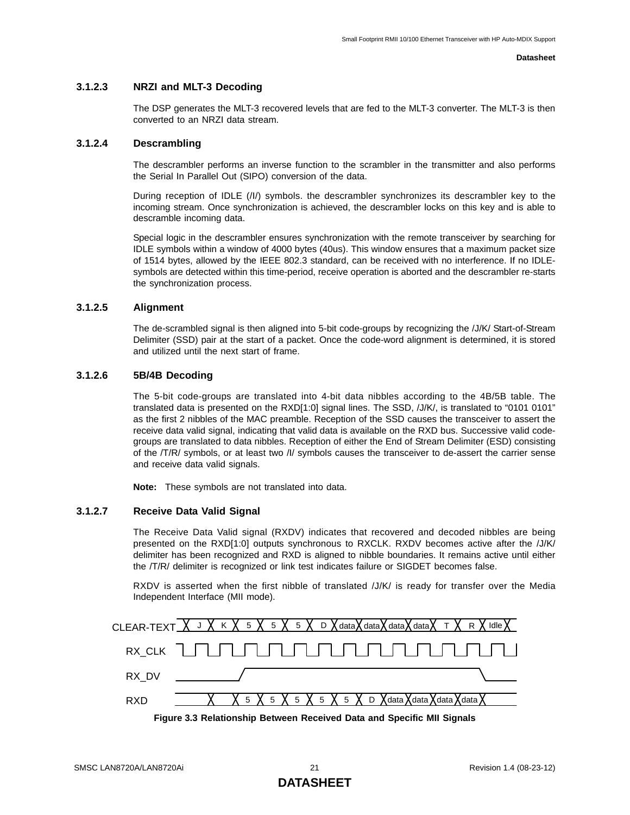#### **3.1.2.3 NRZI and MLT-3 Decoding**

The DSP generates the MLT-3 recovered levels that are fed to the MLT-3 converter. The MLT-3 is then converted to an NRZI data stream.

#### **3.1.2.4 Descrambling**

The descrambler performs an inverse function to the scrambler in the transmitter and also performs the Serial In Parallel Out (SIPO) conversion of the data.

During reception of IDLE (/I/) symbols. the descrambler synchronizes its descrambler key to the incoming stream. Once synchronization is achieved, the descrambler locks on this key and is able to descramble incoming data.

Special logic in the descrambler ensures synchronization with the remote transceiver by searching for IDLE symbols within a window of 4000 bytes (40us). This window ensures that a maximum packet size of 1514 bytes, allowed by the IEEE 802.3 standard, can be received with no interference. If no IDLEsymbols are detected within this time-period, receive operation is aborted and the descrambler re-starts the synchronization process.

#### **3.1.2.5 Alignment**

The de-scrambled signal is then aligned into 5-bit code-groups by recognizing the /J/K/ Start-of-Stream Delimiter (SSD) pair at the start of a packet. Once the code-word alignment is determined, it is stored and utilized until the next start of frame.

#### **3.1.2.6 5B/4B Decoding**

The 5-bit code-groups are translated into 4-bit data nibbles according to the 4B/5B table. The translated data is presented on the RXD[1:0] signal lines. The SSD, /J/K/, is translated to "0101 0101" as the first 2 nibbles of the MAC preamble. Reception of the SSD causes the transceiver to assert the receive data valid signal, indicating that valid data is available on the RXD bus. Successive valid codegroups are translated to data nibbles. Reception of either the End of Stream Delimiter (ESD) consisting of the /T/R/ symbols, or at least two /I/ symbols causes the transceiver to de-assert the carrier sense and receive data valid signals.

**Note:** These symbols are not translated into data.

#### **3.1.2.7 Receive Data Valid Signal**

The Receive Data Valid signal (RXDV) indicates that recovered and decoded nibbles are being presented on the RXD[1:0] outputs synchronous to RXCLK. RXDV becomes active after the /J/K/ delimiter has been recognized and RXD is aligned to nibble boundaries. It remains active until either the /T/R/ delimiter is recognized or link test indicates failure or SIGDET becomes false.

RXDV is asserted when the first nibble of translated /J/K/ is ready for transfer over the Media Independent Interface (MII mode).



<span id="page-20-0"></span>**Figure 3.3 Relationship Between Received Data and Specific MII Signals**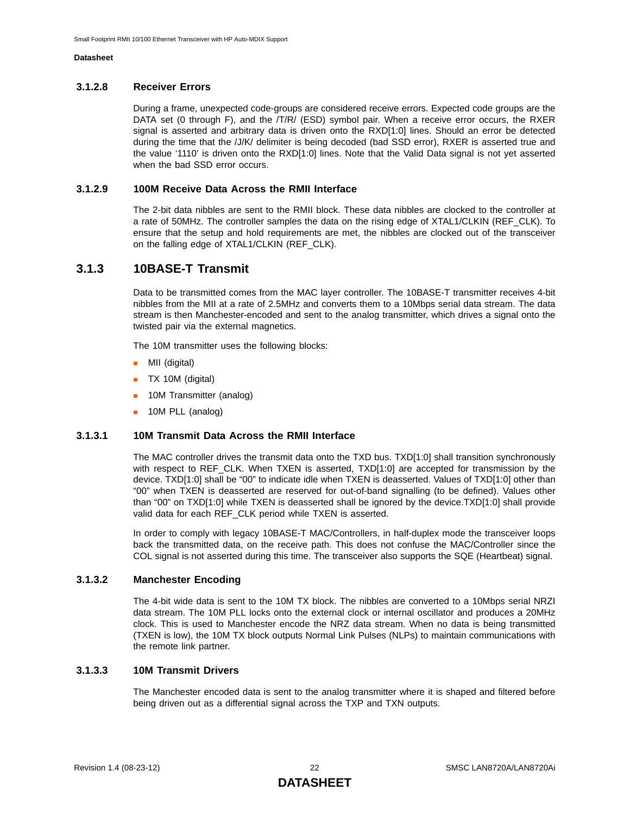#### **3.1.2.8 Receiver Errors**

During a frame, unexpected code-groups are considered receive errors. Expected code groups are the DATA set (0 through F), and the /T/R/ (ESD) symbol pair. When a receive error occurs, the RXER signal is asserted and arbitrary data is driven onto the RXD[1:0] lines. Should an error be detected during the time that the /J/K/ delimiter is being decoded (bad SSD error), RXER is asserted true and the value '1110' is driven onto the RXD[1:0] lines. Note that the Valid Data signal is not yet asserted when the bad SSD error occurs.

#### **3.1.2.9 100M Receive Data Across the RMII Interface**

The 2-bit data nibbles are sent to the RMII block. These data nibbles are clocked to the controller at a rate of 50MHz. The controller samples the data on the rising edge of XTAL1/CLKIN (REF\_CLK). To ensure that the setup and hold requirements are met, the nibbles are clocked out of the transceiver on the falling edge of XTAL1/CLKIN (REF\_CLK).

## <span id="page-21-0"></span>**3.1.3 10BASE-T Transmit**

Data to be transmitted comes from the MAC layer controller. The 10BASE-T transmitter receives 4-bit nibbles from the MII at a rate of 2.5MHz and converts them to a 10Mbps serial data stream. The data stream is then Manchester-encoded and sent to the analog transmitter, which drives a signal onto the twisted pair via the external magnetics.

The 10M transmitter uses the following blocks:

- **MII** (digital)
- **TX 10M (digital)**
- **10M Transmitter (analog)**
- **10M PLL (analog)**

#### **3.1.3.1 10M Transmit Data Across the RMII Interface**

The MAC controller drives the transmit data onto the TXD bus. TXD[1:0] shall transition synchronously with respect to REF\_CLK. When TXEN is asserted, TXD[1:0] are accepted for transmission by the device. TXD[1:0] shall be "00" to indicate idle when TXEN is deasserted. Values of TXD[1:0] other than "00" when TXEN is deasserted are reserved for out-of-band signalling (to be defined). Values other than "00" on TXD[1:0] while TXEN is deasserted shall be ignored by the device.TXD[1:0] shall provide valid data for each REF\_CLK period while TXEN is asserted.

In order to comply with legacy 10BASE-T MAC/Controllers, in half-duplex mode the transceiver loops back the transmitted data, on the receive path. This does not confuse the MAC/Controller since the COL signal is not asserted during this time. The transceiver also supports the SQE (Heartbeat) signal.

#### **3.1.3.2 Manchester Encoding**

The 4-bit wide data is sent to the 10M TX block. The nibbles are converted to a 10Mbps serial NRZI data stream. The 10M PLL locks onto the external clock or internal oscillator and produces a 20MHz clock. This is used to Manchester encode the NRZ data stream. When no data is being transmitted (TXEN is low), the 10M TX block outputs Normal Link Pulses (NLPs) to maintain communications with the remote link partner.

#### **3.1.3.3 10M Transmit Drivers**

The Manchester encoded data is sent to the analog transmitter where it is shaped and filtered before being driven out as a differential signal across the TXP and TXN outputs.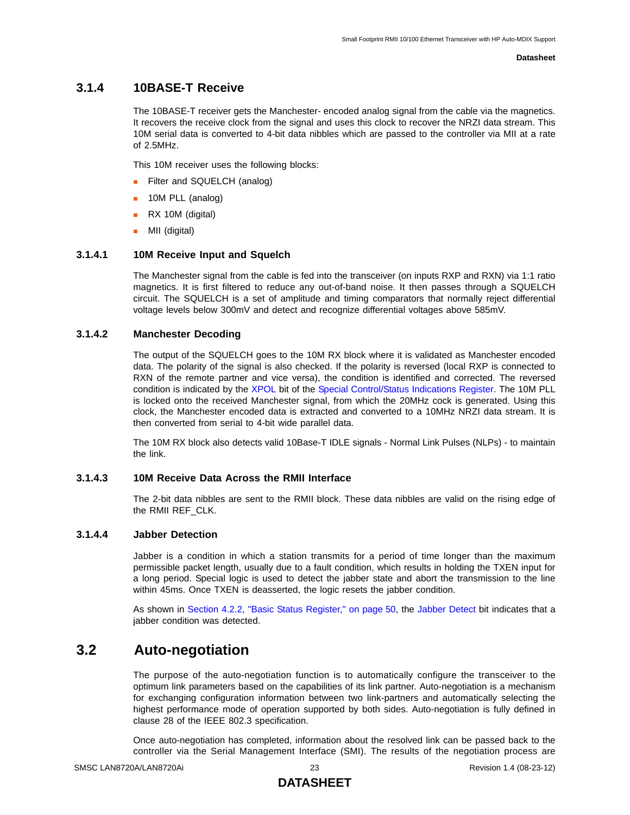## <span id="page-22-0"></span>**3.1.4 10BASE-T Receive**

The 10BASE-T receiver gets the Manchester- encoded analog signal from the cable via the magnetics. It recovers the receive clock from the signal and uses this clock to recover the NRZI data stream. This 10M serial data is converted to 4-bit data nibbles which are passed to the controller via MII at a rate of 2.5MHz.

This 10M receiver uses the following blocks:

- Filter and SQUELCH (analog)
- **10M PLL (analog)**
- **RX 10M (digital)**
- **MII** (digital)

#### **3.1.4.1 10M Receive Input and Squelch**

The Manchester signal from the cable is fed into the transceiver (on inputs RXP and RXN) via 1:1 ratio magnetics. It is first filtered to reduce any out-of-band noise. It then passes through a SQUELCH circuit. The SQUELCH is a set of amplitude and timing comparators that normally reject differential voltage levels below 300mV and detect and recognize differential voltages above 585mV.

### **3.1.4.2 Manchester Decoding**

The output of the SQUELCH goes to the 10M RX block where it is validated as Manchester encoded data. The polarity of the signal is also checked. If the polarity is reversed (local RXP is connected to RXN of the remote partner and vice versa), the condition is identified and corrected. The reversed condition is indicated by the [XPOL](#page-58-1) bit of the [Special Control/Status Indications Register.](#page-58-2) The 10M PLL is locked onto the received Manchester signal, from which the 20MHz cock is generated. Using this clock, the Manchester encoded data is extracted and converted to a 10MHz NRZI data stream. It is then converted from serial to 4-bit wide parallel data.

The 10M RX block also detects valid 10Base-T IDLE signals - Normal Link Pulses (NLPs) - to maintain the link.

#### **3.1.4.3 10M Receive Data Across the RMII Interface**

The 2-bit data nibbles are sent to the RMII block. These data nibbles are valid on the rising edge of the RMII REF\_CLK.

#### **3.1.4.4 Jabber Detection**

Jabber is a condition in which a station transmits for a period of time longer than the maximum permissible packet length, usually due to a fault condition, which results in holding the TXEN input for a long period. Special logic is used to detect the jabber state and abort the transmission to the line within 45ms. Once TXEN is deasserted, the logic resets the jabber condition.

As shown in [Section 4.2.2, "Basic Status Register," on page 50,](#page-49-1) the [Jabber Detect](#page-49-2) bit indicates that a jabber condition was detected.

## <span id="page-22-1"></span>**3.2 Auto-negotiation**

The purpose of the auto-negotiation function is to automatically configure the transceiver to the optimum link parameters based on the capabilities of its link partner. Auto-negotiation is a mechanism for exchanging configuration information between two link-partners and automatically selecting the highest performance mode of operation supported by both sides. Auto-negotiation is fully defined in clause 28 of the IEEE 802.3 specification.

Once auto-negotiation has completed, information about the resolved link can be passed back to the controller via the Serial Management Interface (SMI). The results of the negotiation process are

## **DATASHEET**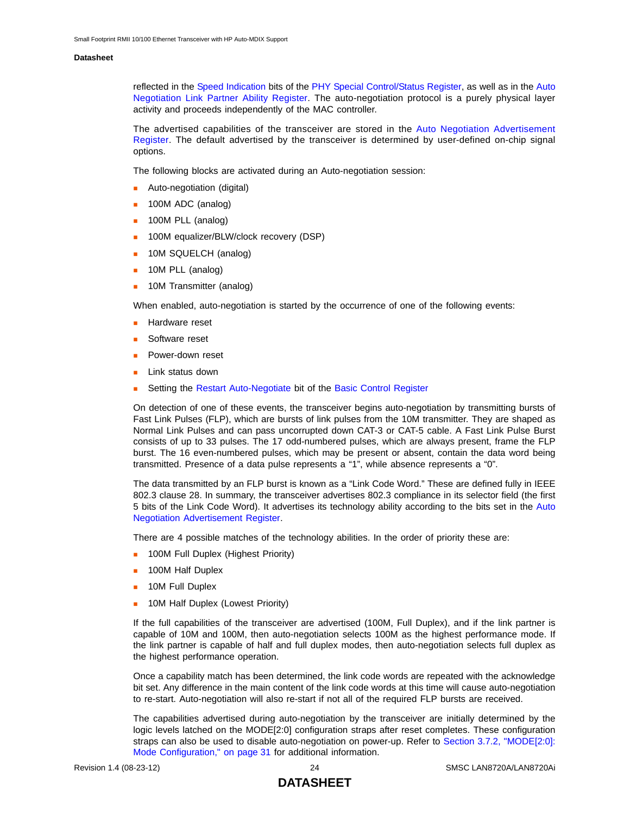reflected in the [Speed Indication](#page-61-2) bits of the [PHY Special Control/Status Register,](#page-61-1) as well as in the [Auto](#page-53-1) [Negotiation Link Partner Ability Register](#page-53-1). The auto-negotiation protocol is a purely physical layer activity and proceeds independently of the MAC controller.

The advertised capabilities of the transceiver are stored in the [Auto Negotiation Advertisement](#page-52-1) [Register](#page-52-1). The default advertised by the transceiver is determined by user-defined on-chip signal options.

The following blocks are activated during an Auto-negotiation session:

- Auto-negotiation (digital)
- 100M ADC (analog)
- **100M PLL (analog)**
- **100M equalizer/BLW/clock recovery (DSP)**
- **10M SQUELCH (analog)**
- **10M PLL (analog)**
- **10M Transmitter (analog)**

When enabled, auto-negotiation is started by the occurrence of one of the following events:

- Hardware reset
- Software reset
- Power-down reset
- Link status down
- Setting the [Restart Auto-Negotiate](#page-48-2) bit of the [Basic Control Register](#page-48-1)

On detection of one of these events, the transceiver begins auto-negotiation by transmitting bursts of Fast Link Pulses (FLP), which are bursts of link pulses from the 10M transmitter. They are shaped as Normal Link Pulses and can pass uncorrupted down CAT-3 or CAT-5 cable. A Fast Link Pulse Burst consists of up to 33 pulses. The 17 odd-numbered pulses, which are always present, frame the FLP burst. The 16 even-numbered pulses, which may be present or absent, contain the data word being transmitted. Presence of a data pulse represents a "1", while absence represents a "0".

The data transmitted by an FLP burst is known as a "Link Code Word." These are defined fully in IEEE 802.3 clause 28. In summary, the transceiver advertises 802.3 compliance in its selector field (the first 5 bits of the Link Code Word). It advertises its technology ability according to the bits set in the [Auto](#page-52-1) [Negotiation Advertisement Register](#page-52-1).

There are 4 possible matches of the technology abilities. In the order of priority these are:

- **100M Full Duplex (Highest Priority)**
- **100M Half Duplex**
- **10M Full Duplex**
- **10M Half Duplex (Lowest Priority)**

If the full capabilities of the transceiver are advertised (100M, Full Duplex), and if the link partner is capable of 10M and 100M, then auto-negotiation selects 100M as the highest performance mode. If the link partner is capable of half and full duplex modes, then auto-negotiation selects full duplex as the highest performance operation.

Once a capability match has been determined, the link code words are repeated with the acknowledge bit set. Any difference in the main content of the link code words at this time will cause auto-negotiation to re-start. Auto-negotiation will also re-start if not all of the required FLP bursts are received.

The capabilities advertised during auto-negotiation by the transceiver are initially determined by the logic levels latched on the MODE[2:0] configuration straps after reset completes. These configuration straps can also be used to disable auto-negotiation on power-up. Refer to [Section 3.7.2, "MODE\[2:0\]:](#page-30-2) [Mode Configuration," on page 31](#page-30-2) for additional information.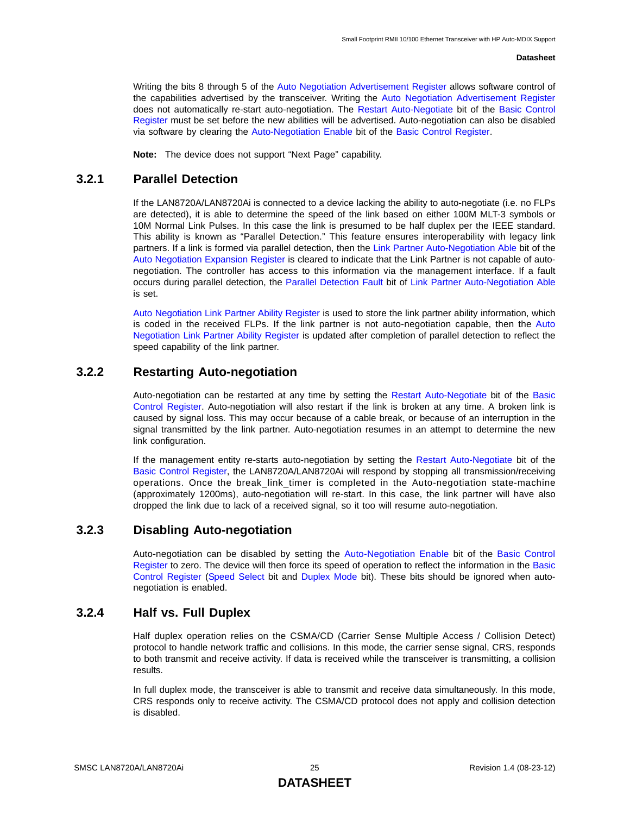Writing the bits 8 through 5 of the [Auto Negotiation Advertisement Register](#page-52-1) allows software control of the capabilities advertised by the transceiver. Writing the [Auto Negotiation Advertisement Register](#page-52-1) does not automatically re-start auto-negotiation. The [Restart Auto-Negotiate](#page-48-2) bit of the [Basic Control](#page-48-1) [Register](#page-48-1) must be set before the new abilities will be advertised. Auto-negotiation can also be disabled via software by clearing the [Auto-Negotiation Enable](#page-48-3) bit of the [Basic Control Register](#page-48-1).

**Note:** The device does not support "Next Page" capability.

## <span id="page-24-0"></span>**3.2.1 Parallel Detection**

If the LAN8720A/LAN8720Ai is connected to a device lacking the ability to auto-negotiate (i.e. no FLPs are detected), it is able to determine the speed of the link based on either 100M MLT-3 symbols or 10M Normal Link Pulses. In this case the link is presumed to be half duplex per the IEEE standard. This ability is known as "Parallel Detection." This feature ensures interoperability with legacy link partners. If a link is formed via parallel detection, then the [Link Partner Auto-Negotiation Able](#page-54-2) bit of the [Auto Negotiation Expansion Register](#page-54-1) is cleared to indicate that the Link Partner is not capable of autonegotiation. The controller has access to this information via the management interface. If a fault occurs during parallel detection, the [Parallel Detection Fault](#page-54-3) bit of [Link Partner Auto-Negotiation Able](#page-54-2) is set.

[Auto Negotiation Link Partner Ability Register](#page-53-1) is used to store the link partner ability information, which is coded in the received FLPs. If the link partner is not auto-negotiation capable, then the [Auto](#page-53-1) [Negotiation Link Partner Ability Register](#page-53-1) is updated after completion of parallel detection to reflect the speed capability of the link partner.

## <span id="page-24-1"></span>**3.2.2 Restarting Auto-negotiation**

Auto-negotiation can be restarted at any time by setting the [Restart Auto-Negotiate](#page-48-2) bit of the [Basic](#page-48-1) [Control Register.](#page-48-1) Auto-negotiation will also restart if the link is broken at any time. A broken link is caused by signal loss. This may occur because of a cable break, or because of an interruption in the signal transmitted by the link partner. Auto-negotiation resumes in an attempt to determine the new link configuration.

If the management entity re-starts auto-negotiation by setting the [Restart Auto-Negotiate](#page-48-2) bit of the [Basic Control Register,](#page-48-1) the LAN8720A/LAN8720Ai will respond by stopping all transmission/receiving operations. Once the break\_link\_timer is completed in the Auto-negotiation state-machine (approximately 1200ms), auto-negotiation will re-start. In this case, the link partner will have also dropped the link due to lack of a received signal, so it too will resume auto-negotiation.

## <span id="page-24-2"></span>**3.2.3 Disabling Auto-negotiation**

Auto-negotiation can be disabled by setting the [Auto-Negotiation Enable](#page-48-3) bit of the [Basic Control](#page-48-1) [Register](#page-48-1) to zero. The device will then force its speed of operation to reflect the information in the [Basic](#page-48-1) [Control Register](#page-48-1) ([Speed Select](#page-48-4) bit and [Duplex Mode](#page-48-5) bit). These bits should be ignored when autonegotiation is enabled.

## <span id="page-24-3"></span>**3.2.4 Half vs. Full Duplex**

Half duplex operation relies on the CSMA/CD (Carrier Sense Multiple Access / Collision Detect) protocol to handle network traffic and collisions. In this mode, the carrier sense signal, CRS, responds to both transmit and receive activity. If data is received while the transceiver is transmitting, a collision results.

In full duplex mode, the transceiver is able to transmit and receive data simultaneously. In this mode, CRS responds only to receive activity. The CSMA/CD protocol does not apply and collision detection is disabled.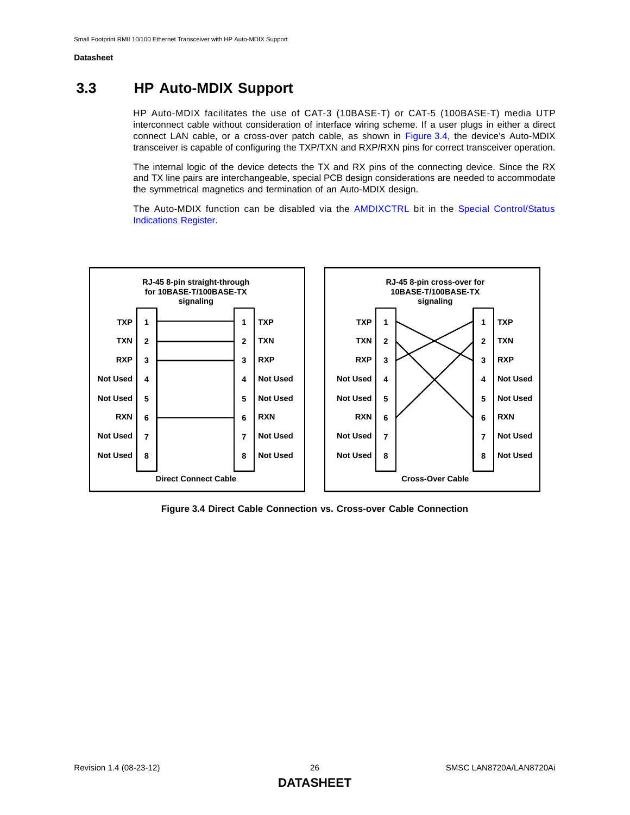## <span id="page-25-0"></span>**3.3 HP Auto-MDIX Support**

HP Auto-MDIX facilitates the use of CAT-3 (10BASE-T) or CAT-5 (100BASE-T) media UTP interconnect cable without consideration of interface wiring scheme. If a user plugs in either a direct connect LAN cable, or a cross-over patch cable, as shown in [Figure 3.4,](#page-25-1) the device's Auto-MDIX transceiver is capable of configuring the TXP/TXN and RXP/RXN pins for correct transceiver operation.

The internal logic of the device detects the TX and RX pins of the connecting device. Since the RX and TX line pairs are interchangeable, special PCB design considerations are needed to accommodate the symmetrical magnetics and termination of an Auto-MDIX design.

The Auto-MDIX function can be disabled via the [AMDIXCTRL](#page-58-3) bit in the [Special Control/Status](#page-58-2) [Indications Register](#page-58-2).



<span id="page-25-1"></span>**Figure 3.4 Direct Cable Connection vs. Cross-over Cable Connection**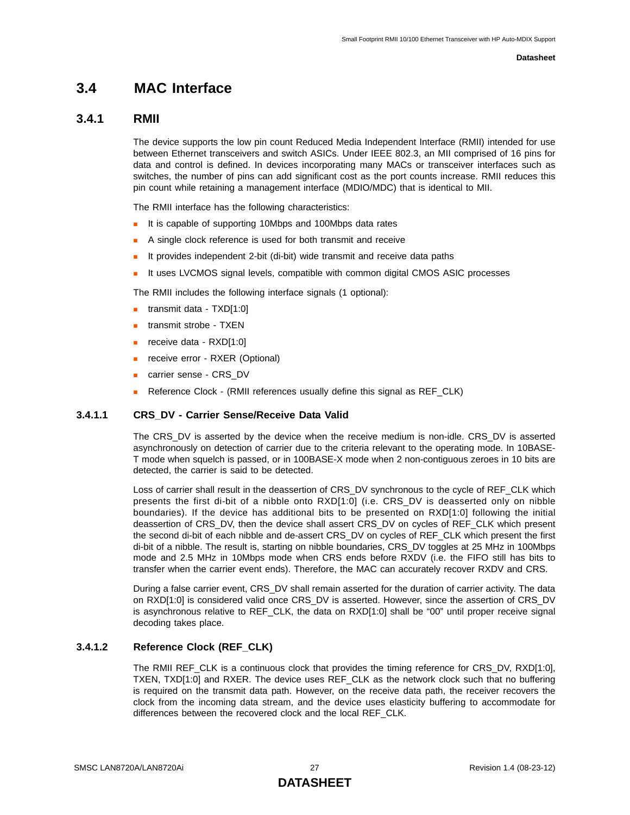## <span id="page-26-0"></span>**3.4 MAC Interface**

## <span id="page-26-1"></span>**3.4.1 RMII**

The device supports the low pin count Reduced Media Independent Interface (RMII) intended for use between Ethernet transceivers and switch ASICs. Under IEEE 802.3, an MII comprised of 16 pins for data and control is defined. In devices incorporating many MACs or transceiver interfaces such as switches, the number of pins can add significant cost as the port counts increase. RMII reduces this pin count while retaining a management interface (MDIO/MDC) that is identical to MII.

The RMII interface has the following characteristics:

- It is capable of supporting 10Mbps and 100Mbps data rates
- A single clock reference is used for both transmit and receive
- It provides independent 2-bit (di-bit) wide transmit and receive data paths
- It uses LVCMOS signal levels, compatible with common digital CMOS ASIC processes

The RMII includes the following interface signals (1 optional):

- **transmit data TXD[1:0]**
- **transmit strobe TXEN**
- $\blacksquare$  receive data RXD[1:0]
- **receive error RXER (Optional)**
- carrier sense CRS\_DV
- Reference Clock (RMII references usually define this signal as REF\_CLK)

#### **3.4.1.1 CRS\_DV - Carrier Sense/Receive Data Valid**

The CRS\_DV is asserted by the device when the receive medium is non-idle. CRS\_DV is asserted asynchronously on detection of carrier due to the criteria relevant to the operating mode. In 10BASE-T mode when squelch is passed, or in 100BASE-X mode when 2 non-contiguous zeroes in 10 bits are detected, the carrier is said to be detected.

Loss of carrier shall result in the deassertion of CRS\_DV synchronous to the cycle of REF\_CLK which presents the first di-bit of a nibble onto RXD[1:0] (i.e. CRS\_DV is deasserted only on nibble boundaries). If the device has additional bits to be presented on RXD[1:0] following the initial deassertion of CRS\_DV, then the device shall assert CRS\_DV on cycles of REF\_CLK which present the second di-bit of each nibble and de-assert CRS\_DV on cycles of REF\_CLK which present the first di-bit of a nibble. The result is, starting on nibble boundaries, CRS\_DV toggles at 25 MHz in 100Mbps mode and 2.5 MHz in 10Mbps mode when CRS ends before RXDV (i.e. the FIFO still has bits to transfer when the carrier event ends). Therefore, the MAC can accurately recover RXDV and CRS.

During a false carrier event, CRS\_DV shall remain asserted for the duration of carrier activity. The data on RXD[1:0] is considered valid once CRS\_DV is asserted. However, since the assertion of CRS\_DV is asynchronous relative to REF\_CLK, the data on RXD[1:0] shall be "00" until proper receive signal decoding takes place.

#### **3.4.1.2 Reference Clock (REF\_CLK)**

The RMII REF\_CLK is a continuous clock that provides the timing reference for CRS\_DV, RXD[1:0], TXEN, TXD[1:0] and RXER. The device uses REF\_CLK as the network clock such that no buffering is required on the transmit data path. However, on the receive data path, the receiver recovers the clock from the incoming data stream, and the device uses elasticity buffering to accommodate for differences between the recovered clock and the local REF\_CLK.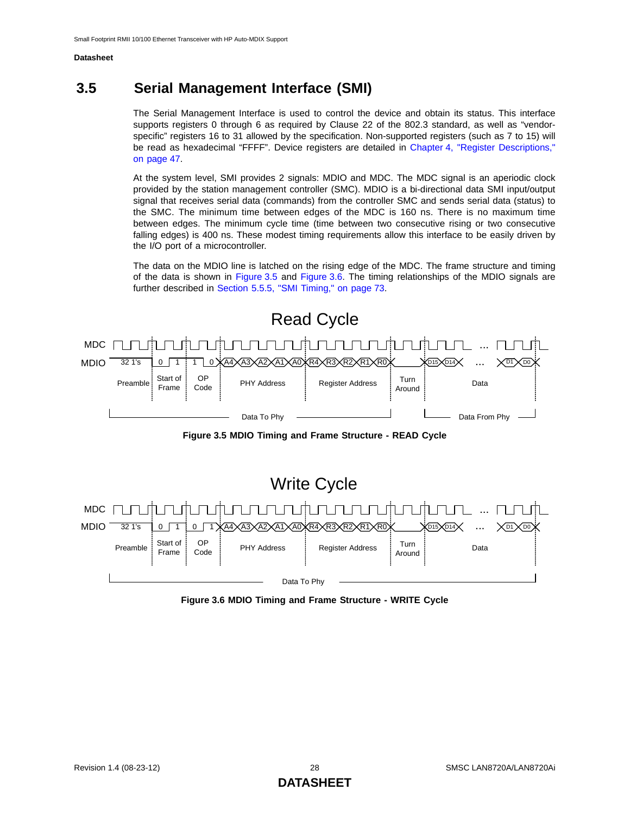## <span id="page-27-0"></span>**3.5 Serial Management Interface (SMI)**

The Serial Management Interface is used to control the device and obtain its status. This interface supports registers 0 through 6 as required by Clause 22 of the 802.3 standard, as well as "vendorspecific" registers 16 to 31 allowed by the specification. Non-supported registers (such as 7 to 15) will be read as hexadecimal "FFFF". Device registers are detailed in [Chapter 4, "Register Descriptions,"](#page-46-3) [on page 47](#page-46-3).

At the system level, SMI provides 2 signals: MDIO and MDC. The MDC signal is an aperiodic clock provided by the station management controller (SMC). MDIO is a bi-directional data SMI input/output signal that receives serial data (commands) from the controller SMC and sends serial data (status) to the SMC. The minimum time between edges of the MDC is 160 ns. There is no maximum time between edges. The minimum cycle time (time between two consecutive rising or two consecutive falling edges) is 400 ns. These modest timing requirements allow this interface to be easily driven by the I/O port of a microcontroller.

The data on the MDIO line is latched on the rising edge of the MDC. The frame structure and timing of the data is shown in [Figure 3.5](#page-27-1) and [Figure 3.6.](#page-27-2) The timing relationships of the MDIO signals are further described in [Section 5.5.5, "SMI Timing," on page 73.](#page-72-4)



**Figure 3.5 MDIO Timing and Frame Structure - READ Cycle**

<span id="page-27-1"></span>

<span id="page-27-2"></span>**Figure 3.6 MDIO Timing and Frame Structure - WRITE Cycle**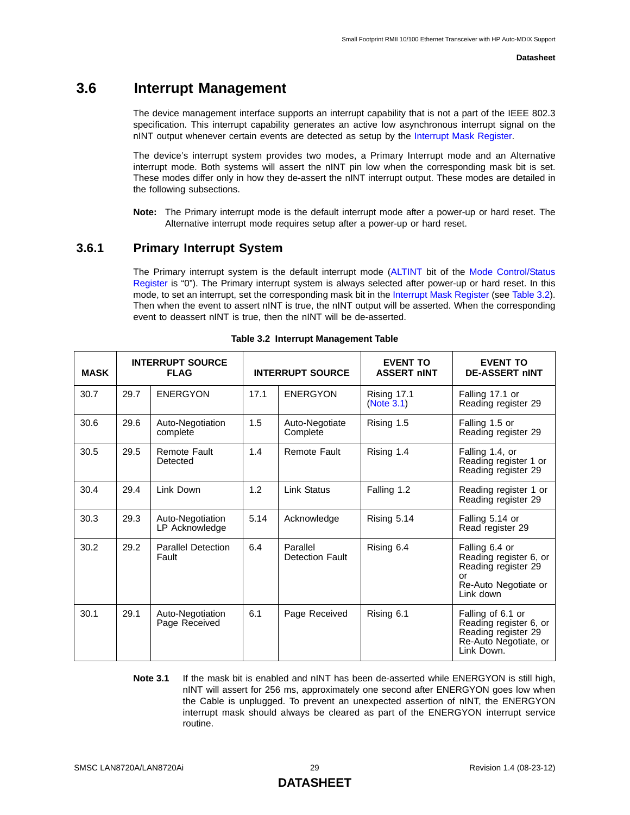## <span id="page-28-0"></span>**3.6 Interrupt Management**

<span id="page-28-3"></span>The device management interface supports an interrupt capability that is not a part of the IEEE 802.3 specification. This interrupt capability generates an active low asynchronous interrupt signal on the nINT output whenever certain events are detected as setup by the [Interrupt Mask Register.](#page-60-1)

The device's interrupt system provides two modes, a Primary Interrupt mode and an Alternative interrupt mode. Both systems will assert the nINT pin low when the corresponding mask bit is set. These modes differ only in how they de-assert the nINT interrupt output. These modes are detailed in the following subsections.

**Note:** The Primary interrupt mode is the default interrupt mode after a power-up or hard reset. The Alternative interrupt mode requires setup after a power-up or hard reset.

## <span id="page-28-1"></span>**3.6.1 Primary Interrupt System**

The Primary interrupt system is the default interrupt mode ([ALTINT](#page-55-2) bit of the [Mode Control/Status](#page-55-1) [Register](#page-55-1) is "0"). The Primary interrupt system is always selected after power-up or hard reset. In this mode, to set an interrupt, set the corresponding mask bit in the [Interrupt Mask Register](#page-60-1) (see [Table 3.2\)](#page-28-2). Then when the event to assert nINT is true, the nINT output will be asserted. When the corresponding event to deassert nINT is true, then the nINT will be de-asserted.

<span id="page-28-2"></span>

| <b>MASK</b> | <b>INTERRUPT SOURCE</b><br><b>FLAG</b> |                                    |      | <b>INTERRUPT SOURCE</b>            | <b>EVENT TO</b><br><b>ASSERT nINT</b> | <b>EVENT TO</b><br><b>DE-ASSERT NINT</b>                                                                   |
|-------------|----------------------------------------|------------------------------------|------|------------------------------------|---------------------------------------|------------------------------------------------------------------------------------------------------------|
| 30.7        | 29.7                                   | <b>ENERGYON</b>                    | 17.1 | <b>ENERGYON</b>                    | Rising 17.1<br>(Note 3.1)             | Falling 17.1 or<br>Reading register 29                                                                     |
| 30.6        | 29.6                                   | Auto-Negotiation<br>complete       | 1.5  | Auto-Negotiate<br>Complete         | Rising 1.5                            | Falling 1.5 or<br>Reading register 29                                                                      |
| 30.5        | 29.5                                   | Remote Fault<br>Detected           | 1.4  | <b>Remote Fault</b>                | Rising 1.4                            | Falling 1.4, or<br>Reading register 1 or<br>Reading register 29                                            |
| 30.4        | 29.4                                   | Link Down                          | 1.2  | <b>Link Status</b>                 | Falling 1.2                           | Reading register 1 or<br>Reading register 29                                                               |
| 30.3        | 29.3                                   | Auto-Negotiation<br>LP Acknowledge | 5.14 | Acknowledge                        | Rising 5.14                           | Falling 5.14 or<br>Read register 29                                                                        |
| 30.2        | 29.2                                   | <b>Parallel Detection</b><br>Fault | 6.4  | Parallel<br><b>Detection Fault</b> | Rising 6.4                            | Falling 6.4 or<br>Reading register 6, or<br>Reading register 29<br>or<br>Re-Auto Negotiate or<br>Link down |
| 30.1        | 29.1                                   | Auto-Negotiation<br>Page Received  | 6.1  | Page Received                      | Rising 6.1                            | Falling of 6.1 or<br>Reading register 6, or<br>Reading register 29<br>Re-Auto Negotiate, or<br>Link Down.  |

#### **Table 3.2 Interrupt Management Table**

<span id="page-28-4"></span>**Note 3.1** If the mask bit is enabled and nINT has been de-asserted while ENERGYON is still high, nINT will assert for 256 ms, approximately one second after ENERGYON goes low when the Cable is unplugged. To prevent an unexpected assertion of nINT, the ENERGYON interrupt mask should always be cleared as part of the ENERGYON interrupt service routine.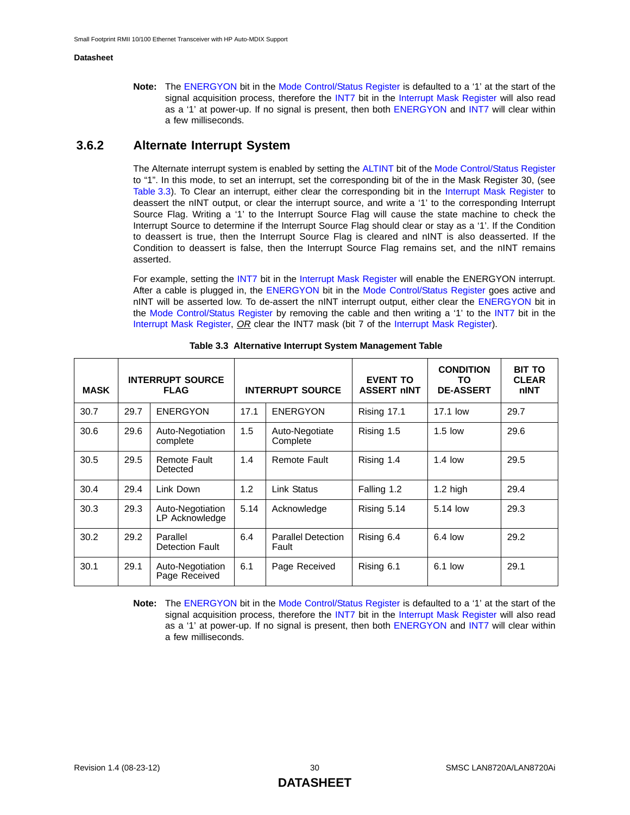**Note:** The [ENERGYON](#page-55-3) bit in the [Mode Control/Status Register](#page-55-1) is defaulted to a '1' at the start of the signal acquisition process, therefore the [INT7](#page-59-1) bit in the [Interrupt Mask Register](#page-60-1) will also read as a '1' at power-up. If no signal is present, then both [ENERGYON](#page-55-3) and [INT7](#page-59-1) will clear within a few milliseconds.

## <span id="page-29-0"></span>**3.6.2 Alternate Interrupt System**

The Alternate interrupt system is enabled by setting the [ALTINT](#page-55-2) bit of the [Mode Control/Status Register](#page-55-1) to "1". In this mode, to set an interrupt, set the corresponding bit of the in the Mask Register 30, (see [Table 3.3](#page-29-1)). To Clear an interrupt, either clear the corresponding bit in the [Interrupt Mask Register](#page-60-1) to deassert the nINT output, or clear the interrupt source, and write a '1' to the corresponding Interrupt Source Flag. Writing a '1' to the Interrupt Source Flag will cause the state machine to check the Interrupt Source to determine if the Interrupt Source Flag should clear or stay as a '1'. If the Condition to deassert is true, then the Interrupt Source Flag is cleared and nINT is also deasserted. If the Condition to deassert is false, then the Interrupt Source Flag remains set, and the nINT remains asserted.

For example, setting the [INT7](#page-59-1) bit in the [Interrupt Mask Register](#page-60-1) will enable the ENERGYON interrupt. After a cable is plugged in, the [ENERGYON](#page-55-3) bit in the [Mode Control/Status Register](#page-55-1) goes active and nINT will be asserted low. To de-assert the nINT interrupt output, either clear the [ENERGYON](#page-55-3) bit in the [Mode Control/Status Register](#page-55-1) by removing the cable and then writing a '1' to the [INT7](#page-59-1) bit in the [Interrupt Mask Register,](#page-60-1) *OR* clear the INT7 mask (bit 7 of the [Interrupt Mask Register](#page-60-1)).

<span id="page-29-1"></span>

| <b>MASK</b> | <b>INTERRUPT SOURCE</b><br><b>FLAG</b> |                                    |      | <b>INTERRUPT SOURCE</b>            | <b>EVENT TO</b><br><b>ASSERT NINT</b> | <b>CONDITION</b><br>TO.<br><b>DE-ASSERT</b> | <b>BIT TO</b><br><b>CLEAR</b><br>nINT |
|-------------|----------------------------------------|------------------------------------|------|------------------------------------|---------------------------------------|---------------------------------------------|---------------------------------------|
| 30.7        | 29.7                                   | <b>ENERGYON</b>                    | 17.1 | <b>ENERGYON</b>                    | Rising 17.1                           | 17.1 low                                    | 29.7                                  |
| 30.6        | 29.6                                   | Auto-Negotiation<br>complete       | 1.5  | Auto-Negotiate<br>Complete         | Rising 1.5                            | $1.5$ low                                   | 29.6                                  |
| 30.5        | 29.5                                   | Remote Fault<br>Detected           | 1.4  | Remote Fault                       | Rising 1.4                            | $1.4$ low                                   | 29.5                                  |
| 30.4        | 29.4                                   | Link Down                          | 1.2  | Link Status                        | Falling 1.2                           | $1.2$ high                                  | 29.4                                  |
| 30.3        | 29.3                                   | Auto-Negotiation<br>LP Acknowledge | 5.14 | Acknowledge                        | Rising 5.14                           | 5.14 low                                    | 29.3                                  |
| 30.2        | 29.2                                   | Parallel<br>Detection Fault        | 6.4  | <b>Parallel Detection</b><br>Fault | Rising 6.4                            | $6.4$ low                                   | 29.2                                  |
| 30.1        | 29.1                                   | Auto-Negotiation<br>Page Received  | 6.1  | Page Received                      | Rising 6.1                            | $6.1$ low                                   | 29.1                                  |

**Table 3.3 Alternative Interrupt System Management Table**

**Note:** The [ENERGYON](#page-55-3) bit in the [Mode Control/Status Register](#page-55-1) is defaulted to a '1' at the start of the signal acquisition process, therefore the [INT7](#page-59-1) bit in the [Interrupt Mask Register](#page-60-1) will also read as a '1' at power-up. If no signal is present, then both [ENERGYON](#page-55-3) and [INT7](#page-59-1) will clear within a few milliseconds.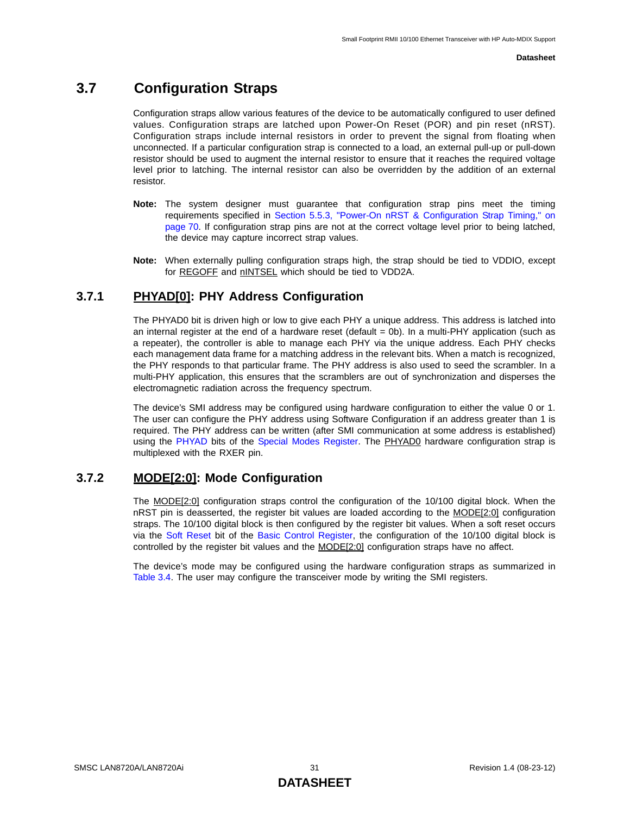## <span id="page-30-0"></span>**3.7 Configuration Straps**

<span id="page-30-3"></span>Configuration straps allow various features of the device to be automatically configured to user defined values. Configuration straps are latched upon Power-On Reset (POR) and pin reset (nRST). Configuration straps include internal resistors in order to prevent the signal from floating when unconnected. If a particular configuration strap is connected to a load, an external pull-up or pull-down resistor should be used to augment the internal resistor to ensure that it reaches the required voltage level prior to latching. The internal resistor can also be overridden by the addition of an external resistor.

- **Note:** The system designer must guarantee that configuration strap pins meet the timing requirements specified in [Section 5.5.3, "Power-On nRST & Configuration Strap Timing," on](#page-69-3) [page 70.](#page-69-3) If configuration strap pins are not at the correct voltage level prior to being latched, the device may capture incorrect strap values.
- <span id="page-30-5"></span>**Note:** When externally pulling configuration straps high, the strap should be tied to VDDIO, except for REGOFF and nINTSEL which should be tied to VDD2A.

## <span id="page-30-1"></span>**3.7.1 PHYAD[0]: PHY Address Configuration**

The PHYAD0 bit is driven high or low to give each PHY a unique address. This address is latched into an internal register at the end of a hardware reset (default = 0b). In a multi-PHY application (such as a repeater), the controller is able to manage each PHY via the unique address. Each PHY checks each management data frame for a matching address in the relevant bits. When a match is recognized, the PHY responds to that particular frame. The PHY address is also used to seed the scrambler. In a multi-PHY application, this ensures that the scramblers are out of synchronization and disperses the electromagnetic radiation across the frequency spectrum.

The device's SMI address may be configured using hardware configuration to either the value 0 or 1. The user can configure the PHY address using Software Configuration if an address greater than 1 is required. The PHY address can be written (after SMI communication at some address is established) using the [PHYAD](#page-56-1) bits of the [Special Modes Register](#page-56-2). The PHYAD0 hardware configuration strap is multiplexed with the RXER pin.

## <span id="page-30-2"></span>**3.7.2 MODE[2:0]: Mode Configuration**

<span id="page-30-4"></span>The MODE[2:0] configuration straps control the configuration of the 10/100 digital block. When the nRST pin is deasserted, the register bit values are loaded according to the MODE[2:0] configuration straps. The 10/100 digital block is then configured by the register bit values. When a soft reset occurs via the [Soft Reset](#page-48-6) bit of the [Basic Control Register](#page-48-1), the configuration of the 10/100 digital block is controlled by the register bit values and the MODE[2:0] configuration straps have no affect.

The device's mode may be configured using the hardware configuration straps as summarized in [Table 3.4](#page-31-1). The user may configure the transceiver mode by writing the SMI registers.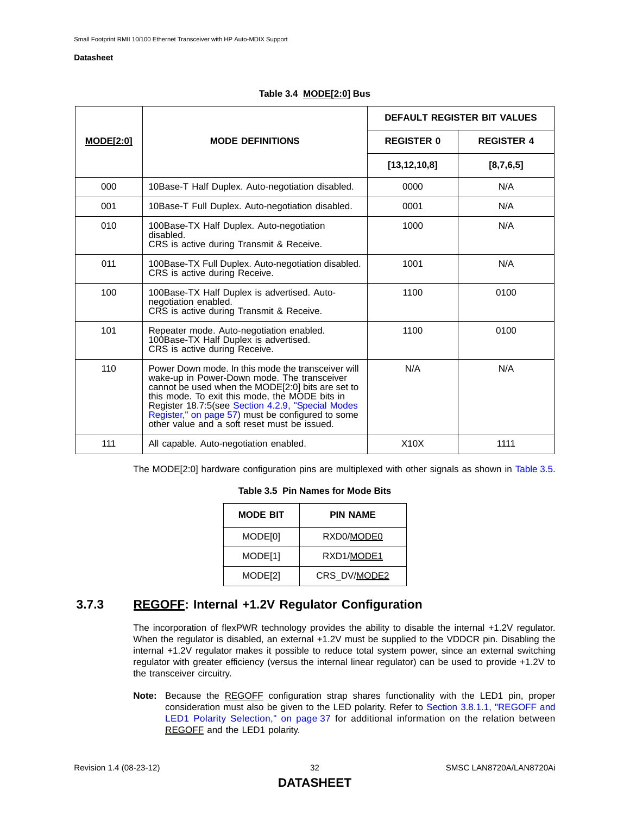<span id="page-31-1"></span>

|                  | <b>MODE DEFINITIONS</b>                                                                                                                                                                                                                                                                                                                                            | DEFAULT REGISTER BIT VALUES |                   |
|------------------|--------------------------------------------------------------------------------------------------------------------------------------------------------------------------------------------------------------------------------------------------------------------------------------------------------------------------------------------------------------------|-----------------------------|-------------------|
| <b>MODE[2:0]</b> |                                                                                                                                                                                                                                                                                                                                                                    | <b>REGISTER 0</b>           | <b>REGISTER 4</b> |
|                  |                                                                                                                                                                                                                                                                                                                                                                    | [13, 12, 10, 8]             | [8,7,6,5]         |
| 000              | 10Base-T Half Duplex. Auto-negotiation disabled.                                                                                                                                                                                                                                                                                                                   | 0000                        | N/A               |
| 001              | 10Base-T Full Duplex. Auto-negotiation disabled.                                                                                                                                                                                                                                                                                                                   | 0001                        | N/A               |
| 010              | 100Base-TX Half Duplex. Auto-negotiation<br>disabled.<br>CRS is active during Transmit & Receive.                                                                                                                                                                                                                                                                  | 1000                        | N/A               |
| 011              | 100Base-TX Full Duplex. Auto-negotiation disabled.<br>CRS is active during Receive.                                                                                                                                                                                                                                                                                | 1001                        | N/A               |
| 100              | 100Base-TX Half Duplex is advertised. Auto-<br>negotiation enabled.<br>CRS is active during Transmit & Receive.                                                                                                                                                                                                                                                    | 1100                        | 0100              |
| 101              | Repeater mode. Auto-negotiation enabled.<br>100Base-TX Half Duplex is advertised.<br>CRS is active during Receive.                                                                                                                                                                                                                                                 | 1100                        | 0100              |
| 110              | Power Down mode. In this mode the transceiver will<br>wake-up in Power-Down mode. The transceiver<br>cannot be used when the MODE[2:0] bits are set to<br>this mode. To exit this mode, the MODE bits in<br>Register 18.7:5(see Section 4.2.9, "Special Modes<br>Register," on page 57) must be configured to some<br>other value and a soft reset must be issued. | N/A                         | N/A               |
| 111              | All capable. Auto-negotiation enabled.                                                                                                                                                                                                                                                                                                                             | X10X                        | 1111              |

<span id="page-31-2"></span>The MODE[2:0] hardware configuration pins are multiplexed with other signals as shown in [Table 3.5.](#page-31-2)

#### **Table 3.5 Pin Names for Mode Bits**

| <b>MODE BIT</b> | PIN NAME     |
|-----------------|--------------|
| MODE[0]         | RXD0/MODE0   |
| MODE[1]         | RXD1/MODE1   |
| MODE[2]         | CRS DV/MODE2 |

## <span id="page-31-0"></span>**3.7.3 REGOFF: Internal +1.2V Regulator Configuration**

<span id="page-31-3"></span>The incorporation of flexPWR technology provides the ability to disable the internal +1.2V regulator. When the regulator is disabled, an external +1.2V must be supplied to the VDDCR pin. Disabling the internal +1.2V regulator makes it possible to reduce total system power, since an external switching regulator with greater efficiency (versus the internal linear regulator) can be used to provide +1.2V to the transceiver circuitry.

**Note:** Because the REGOFF configuration strap shares functionality with the LED1 pin, proper consideration must also be given to the LED polarity. Refer to [Section 3.8.1.1, "REGOFF and](#page-36-5) [LED1 Polarity Selection," on page 37](#page-36-5) for additional information on the relation between REGOFF and the LED1 polarity.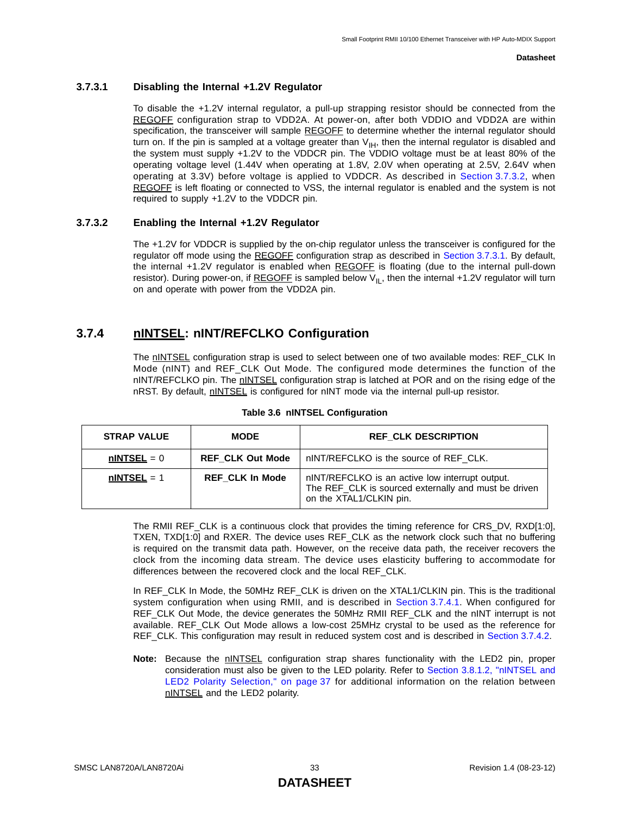#### <span id="page-32-3"></span>**3.7.3.1 Disabling the Internal +1.2V Regulator**

To disable the +1.2V internal regulator, a pull-up strapping resistor should be connected from the REGOFF configuration strap to VDD2A. At power-on, after both VDDIO and VDD2A are within specification, the transceiver will sample REGOFF to determine whether the internal regulator should turn on. If the pin is sampled at a voltage greater than  $V_{\text{IH}}$ , then the internal regulator is disabled and the system must supply +1.2V to the VDDCR pin. The VDDIO voltage must be at least 80% of the operating voltage level (1.44V when operating at 1.8V, 2.0V when operating at 2.5V, 2.64V when operating at 3.3V) before voltage is applied to VDDCR. As described in [Section 3.7.3.2,](#page-32-2) when REGOFF is left floating or connected to VSS, the internal regulator is enabled and the system is not required to supply +1.2V to the VDDCR pin.

#### <span id="page-32-2"></span>**3.7.3.2 Enabling the Internal +1.2V Regulator**

The +1.2V for VDDCR is supplied by the on-chip regulator unless the transceiver is configured for the regulator off mode using the REGOFF configuration strap as described in [Section 3.7.3.1](#page-32-3). By default, the internal +1.2V regulator is enabled when REGOFF is floating (due to the internal pull-down resistor). During power-on, if REGOFF is sampled below  $V_{II}$ , then the internal +1.2V regulator will turn on and operate with power from the VDD2A pin.

## <span id="page-32-0"></span>**3.7.4 nINTSEL: nINT/REFCLKO Configuration**

The nINTSEL configuration strap is used to select between one of two available modes: REF\_CLK In Mode (nINT) and REF\_CLK Out Mode. The configured mode determines the function of the nINT/REFCLKO pin. The nINTSEL configuration strap is latched at POR and on the rising edge of the nRST. By default, nINTSEL is configured for nINT mode via the internal pull-up resistor.

<span id="page-32-1"></span>

| <b>STRAP VALUE</b> | <b>MODE</b>             | <b>REF CLK DESCRIPTION</b>                                                                                                         |
|--------------------|-------------------------|------------------------------------------------------------------------------------------------------------------------------------|
| $nINTSEL = 0$      | <b>REF CLK Out Mode</b> | nINT/REFCLKO is the source of REF CLK.                                                                                             |
| $nINTSEL = 1$      | <b>REF CLK In Mode</b>  | nINT/REFCLKO is an active low interrupt output.<br>The REF_CLK is sourced externally and must be driven<br>on the XTAL1/CLKIN pin. |

#### **Table 3.6 nINTSEL Configuration**

The RMII REF\_CLK is a continuous clock that provides the timing reference for CRS\_DV, RXD[1:0], TXEN, TXD[1:0] and RXER. The device uses REF\_CLK as the network clock such that no buffering is required on the transmit data path. However, on the receive data path, the receiver recovers the clock from the incoming data stream. The device uses elasticity buffering to accommodate for differences between the recovered clock and the local REF\_CLK.

In REF\_CLK In Mode, the 50MHz REF\_CLK is driven on the XTAL1/CLKIN pin. This is the traditional system configuration when using RMII, and is described in [Section 3.7.4.1.](#page-33-2) When configured for REF\_CLK Out Mode, the device generates the 50MHz RMII REF\_CLK and the nINT interrupt is not available. REF CLK Out Mode allows a low-cost 25MHz crystal to be used as the reference for REF\_CLK. This configuration may result in reduced system cost and is described in [Section 3.7.4.2.](#page-33-3)

**Note:** Because the **nINTSEL** configuration strap shares functionality with the LED2 pin, proper consideration must also be given to the LED polarity. Refer to [Section 3.8.1.2, "nINTSEL and](#page-36-6) [LED2 Polarity Selection," on page 37](#page-36-6) for additional information on the relation between nINTSEL and the LED2 polarity.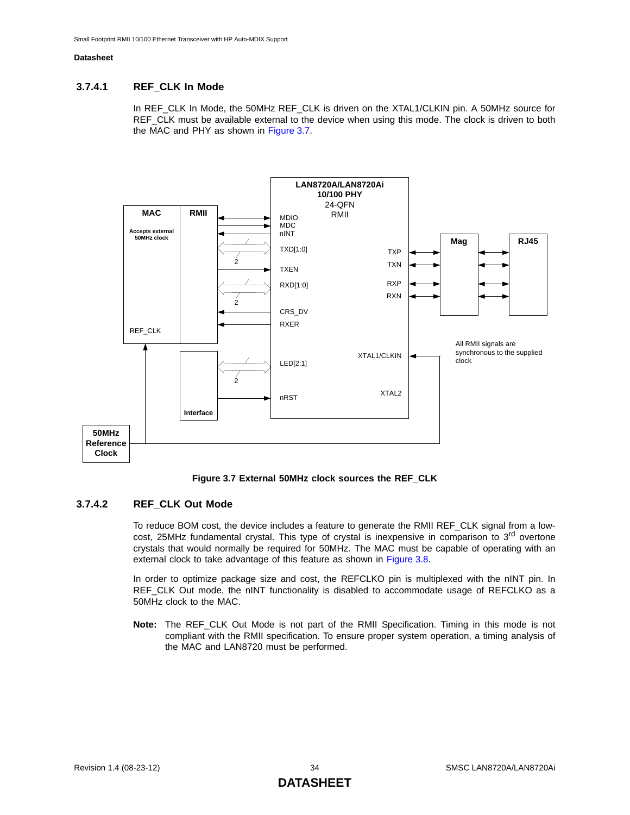### <span id="page-33-2"></span>**3.7.4.1 REF\_CLK In Mode**

In REF\_CLK In Mode, the 50MHz REF\_CLK is driven on the XTAL1/CLKIN pin. A 50MHz source for REF\_CLK must be available external to the device when using this mode. The clock is driven to both the MAC and PHY as shown in [Figure 3.7](#page-33-0).



**Figure 3.7 External 50MHz clock sources the REF\_CLK**

#### <span id="page-33-3"></span><span id="page-33-0"></span>**3.7.4.2 REF\_CLK Out Mode**

<span id="page-33-1"></span>To reduce BOM cost, the device includes a feature to generate the RMII REF\_CLK signal from a lowcost, 25MHz fundamental crystal. This type of crystal is inexpensive in comparison to 3<sup>rd</sup> overtone crystals that would normally be required for 50MHz. The MAC must be capable of operating with an external clock to take advantage of this feature as shown in [Figure 3.8](#page-34-0).

In order to optimize package size and cost, the REFCLKO pin is multiplexed with the nINT pin. In REF\_CLK Out mode, the nINT functionality is disabled to accommodate usage of REFCLKO as a 50MHz clock to the MAC.

**Note:** The REF CLK Out Mode is not part of the RMII Specification. Timing in this mode is not compliant with the RMII specification. To ensure proper system operation, a timing analysis of the MAC and LAN8720 must be performed.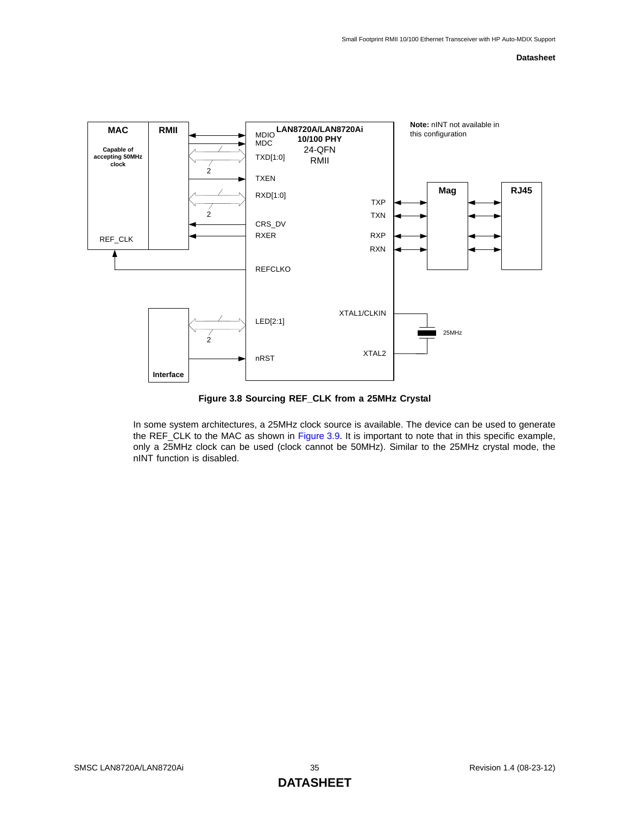

**Figure 3.8 Sourcing REF\_CLK from a 25MHz Crystal**

<span id="page-34-0"></span>In some system architectures, a 25MHz clock source is available. The device can be used to generate the REF\_CLK to the MAC as shown in [Figure 3.9](#page-35-0). It is important to note that in this specific example, only a 25MHz clock can be used (clock cannot be 50MHz). Similar to the 25MHz crystal mode, the nINT function is disabled.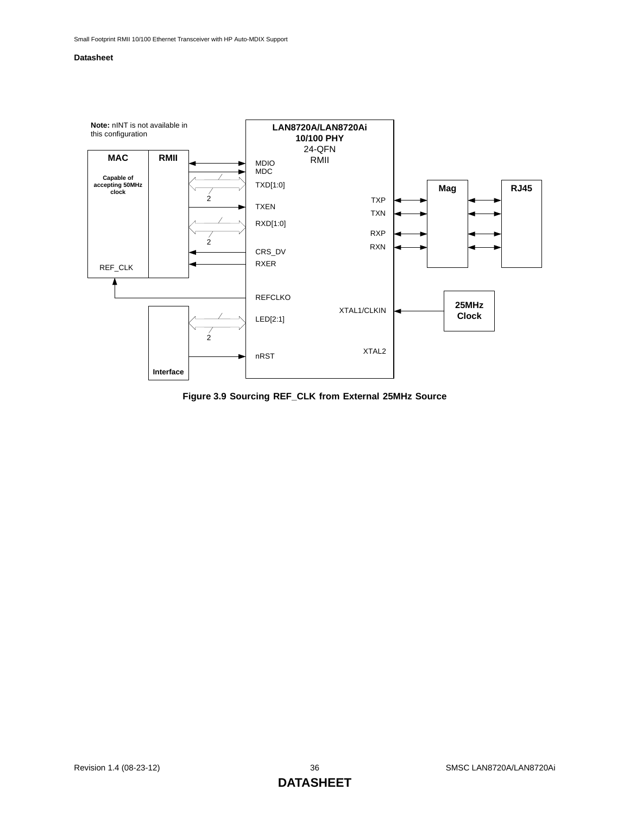

<span id="page-35-0"></span>**Figure 3.9 Sourcing REF\_CLK from External 25MHz Source**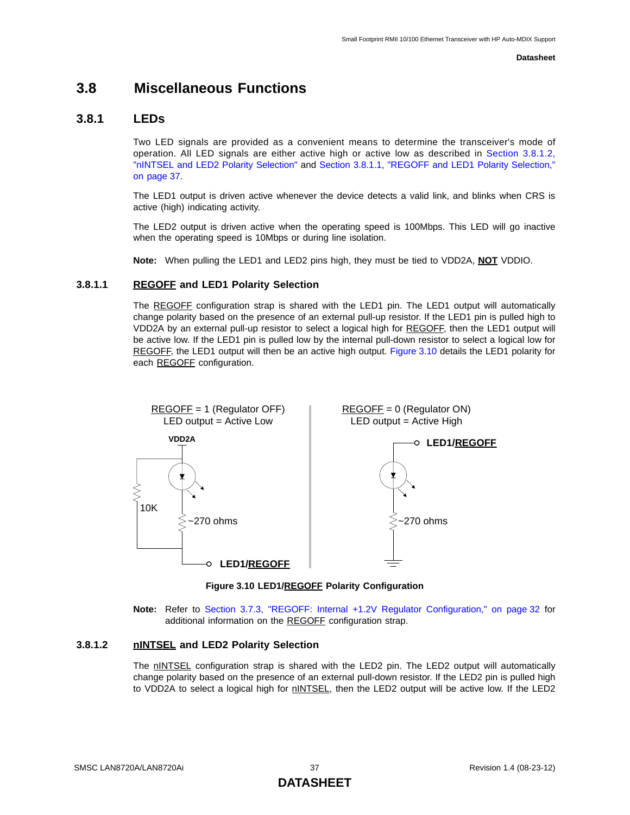### **3.8 Miscellaneous Functions**

### **3.8.1 LEDs**

Two LED signals are provided as a convenient means to determine the transceiver's mode of operation. All LED signals are either active high or active low as described in [Section 3.8.1.2,](#page-36-0) ["nINTSEL and LED2 Polarity Selection"](#page-36-0) and [Section 3.8.1.1, "REGOFF and LED1 Polarity Selection,"](#page-36-1) [on page 37](#page-36-1).

The LED1 output is driven active whenever the device detects a valid link, and blinks when CRS is active (high) indicating activity.

The LED2 output is driven active when the operating speed is 100Mbps. This LED will go inactive when the operating speed is 10Mbps or during line isolation.

**Note:** When pulling the LED1 and LED2 pins high, they must be tied to VDD2A, **NOT** VDDIO.

### <span id="page-36-1"></span>**3.8.1.1 REGOFF and LED1 Polarity Selection**

The REGOFF configuration strap is shared with the LED1 pin. The LED1 output will automatically change polarity based on the presence of an external pull-up resistor. If the LED1 pin is pulled high to VDD2A by an external pull-up resistor to select a logical high for REGOFF, then the LED1 output will be active low. If the LED1 pin is pulled low by the internal pull-down resistor to select a logical low for REGOFF, the LED1 output will then be an active high output. [Figure 3.10](#page-36-2) details the LED1 polarity for each REGOFF configuration.



**Figure 3.10 LED1/REGOFF Polarity Configuration**

**Note:** Refer to [Section 3.7.3, "REGOFF: Internal +1.2V Regulator Configuration," on page 32](#page-31-0) for additional information on the REGOFF configuration strap.

### <span id="page-36-2"></span><span id="page-36-0"></span>**3.8.1.2 nINTSEL and LED2 Polarity Selection**

The nINTSEL configuration strap is shared with the LED2 pin. The LED2 output will automatically change polarity based on the presence of an external pull-down resistor. If the LED2 pin is pulled high to VDD2A to select a logical high for nINTSEL, then the LED2 output will be active low. If the LED2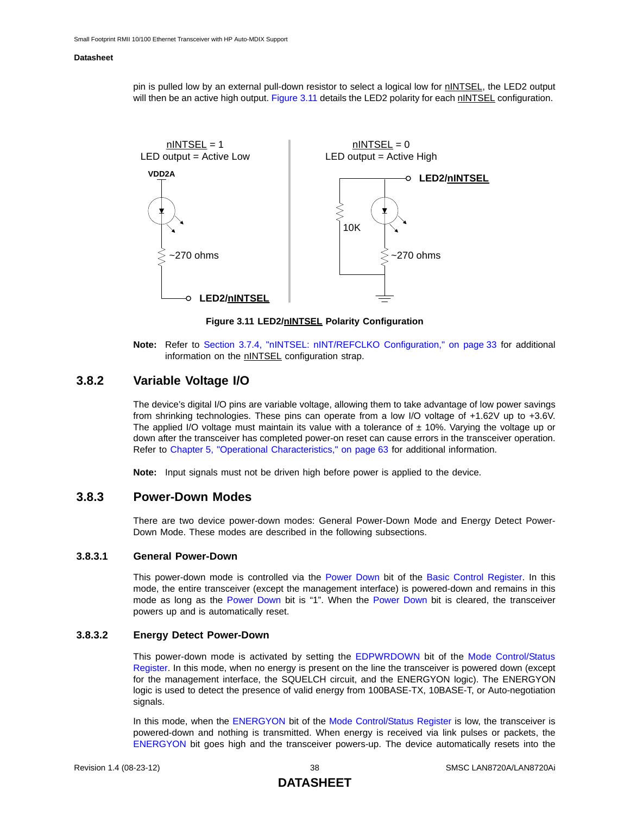pin is pulled low by an external pull-down resistor to select a logical low for nINTSEL, the LED2 output will then be an active high output. [Figure 3.11](#page-37-0) details the LED2 polarity for each nINTSEL configuration.



**Figure 3.11 LED2/nINTSEL Polarity Configuration**

**Note:** Refer to [Section 3.7.4, "nINTSEL: nINT/REFCLKO Configuration," on page 33](#page-32-0) for additional information on the nINTSEL configuration strap.

### <span id="page-37-0"></span>**3.8.2 Variable Voltage I/O**

The device's digital I/O pins are variable voltage, allowing them to take advantage of low power savings from shrinking technologies. These pins can operate from a low I/O voltage of +1.62V up to +3.6V. The applied I/O voltage must maintain its value with a tolerance of  $\pm$  10%. Varying the voltage up or down after the transceiver has completed power-on reset can cause errors in the transceiver operation. Refer to [Chapter 5, "Operational Characteristics," on page 63](#page-62-0) for additional information.

<span id="page-37-3"></span>**Note:** Input signals must not be driven high before power is applied to the device.

### <span id="page-37-1"></span>**3.8.3 Power-Down Modes**

There are two device power-down modes: General Power-Down Mode and Energy Detect Power-Down Mode. These modes are described in the following subsections.

### **3.8.3.1 General Power-Down**

This power-down mode is controlled via the [Power Down](#page-48-1) bit of the [Basic Control Register.](#page-48-0) In this mode, the entire transceiver (except the management interface) is powered-down and remains in this mode as long as the [Power Down](#page-48-1) bit is "1". When the [Power Down](#page-48-1) bit is cleared, the transceiver powers up and is automatically reset.

#### **3.8.3.2 Energy Detect Power-Down**

<span id="page-37-2"></span>This power-down mode is activated by setting the [EDPWRDOWN](#page-55-0) bit of the [Mode Control/Status](#page-55-1) [Register](#page-55-1). In this mode, when no energy is present on the line the transceiver is powered down (except for the management interface, the SQUELCH circuit, and the ENERGYON logic). The ENERGYON logic is used to detect the presence of valid energy from 100BASE-TX, 10BASE-T, or Auto-negotiation signals.

In this mode, when the [ENERGYON](#page-55-2) bit of the [Mode Control/Status Register](#page-55-1) is low, the transceiver is powered-down and nothing is transmitted. When energy is received via link pulses or packets, the [ENERGYON](#page-55-2) bit goes high and the transceiver powers-up. The device automatically resets into the

### **DATASHEET**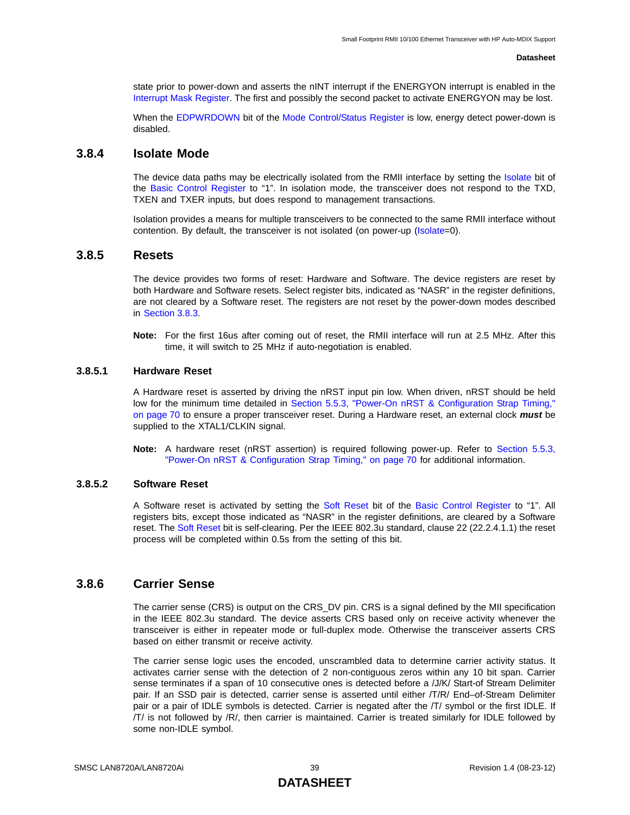state prior to power-down and asserts the nINT interrupt if the ENERGYON interrupt is enabled in the [Interrupt Mask Register](#page-60-0). The first and possibly the second packet to activate ENERGYON may be lost.

When the [EDPWRDOWN](#page-55-0) bit of the [Mode Control/Status Register](#page-55-1) is low, energy detect power-down is disabled.

### **3.8.4 Isolate Mode**

The device data paths may be electrically isolated from the RMII interface by setting the [Isolate](#page-48-2) bit of the [Basic Control Register](#page-48-0) to "1". In isolation mode, the transceiver does not respond to the TXD, TXEN and TXER inputs, but does respond to management transactions.

<span id="page-38-0"></span>Isolation provides a means for multiple transceivers to be connected to the same RMII interface without contention. By default, the transceiver is not isolated (on power-up ([Isolate](#page-48-2)=0).

### **3.8.5 Resets**

The device provides two forms of reset: Hardware and Software. The device registers are reset by both Hardware and Software resets. Select register bits, indicated as "NASR" in the register definitions, are not cleared by a Software reset. The registers are not reset by the power-down modes described in [Section 3.8.3](#page-37-1).

**Note:** For the first 16us after coming out of reset, the RMII interface will run at 2.5 MHz. After this time, it will switch to 25 MHz if auto-negotiation is enabled.

### **3.8.5.1 Hardware Reset**

A Hardware reset is asserted by driving the nRST input pin low. When driven, nRST should be held low for the minimum time detailed in [Section 5.5.3, "Power-On nRST & Configuration Strap Timing,"](#page-69-0) [on page 70](#page-69-0) to ensure a proper transceiver reset. During a Hardware reset, an external clock *must* be supplied to the XTAL1/CLKIN signal.

**Note:** A hardware reset (nRST assertion) is required following power-up. Refer to [Section 5.5.3,](#page-69-0) ["Power-On nRST & Configuration Strap Timing," on page 70](#page-69-0) for additional information.

#### **3.8.5.2 Software Reset**

A Software reset is activated by setting the [Soft Reset](#page-48-3) bit of the [Basic Control Register](#page-48-0) to "1". All registers bits, except those indicated as "NASR" in the register definitions, are cleared by a Software reset. The [Soft Reset](#page-48-3) bit is self-clearing. Per the IEEE 802.3u standard, clause 22 (22.2.4.1.1) the reset process will be completed within 0.5s from the setting of this bit.

### **3.8.6 Carrier Sense**

The carrier sense (CRS) is output on the CRS\_DV pin. CRS is a signal defined by the MII specification in the IEEE 802.3u standard. The device asserts CRS based only on receive activity whenever the transceiver is either in repeater mode or full-duplex mode. Otherwise the transceiver asserts CRS based on either transmit or receive activity.

The carrier sense logic uses the encoded, unscrambled data to determine carrier activity status. It activates carrier sense with the detection of 2 non-contiguous zeros within any 10 bit span. Carrier sense terminates if a span of 10 consecutive ones is detected before a /J/K/ Start-of Stream Delimiter pair. If an SSD pair is detected, carrier sense is asserted until either /T/R/ End–of-Stream Delimiter pair or a pair of IDLE symbols is detected. Carrier is negated after the /T/ symbol or the first IDLE. If /T/ is not followed by /R/, then carrier is maintained. Carrier is treated similarly for IDLE followed by some non-IDLE symbol.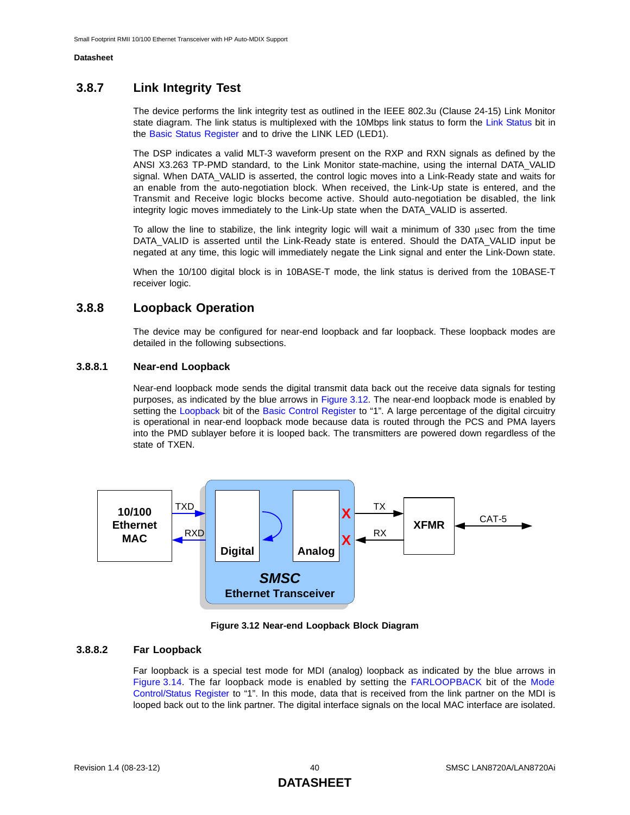### **3.8.7 Link Integrity Test**

The device performs the link integrity test as outlined in the IEEE 802.3u (Clause 24-15) Link Monitor state diagram. The link status is multiplexed with the 10Mbps link status to form the [Link Status](#page-49-0) bit in the [Basic Status Register](#page-49-1) and to drive the LINK LED (LED1).

The DSP indicates a valid MLT-3 waveform present on the RXP and RXN signals as defined by the ANSI X3.263 TP-PMD standard, to the Link Monitor state-machine, using the internal DATA\_VALID signal. When DATA\_VALID is asserted, the control logic moves into a Link-Ready state and waits for an enable from the auto-negotiation block. When received, the Link-Up state is entered, and the Transmit and Receive logic blocks become active. Should auto-negotiation be disabled, the link integrity logic moves immediately to the Link-Up state when the DATA\_VALID is asserted.

To allow the line to stabilize, the link integrity logic will wait a minimum of 330 μsec from the time DATA\_VALID is asserted until the Link-Ready state is entered. Should the DATA\_VALID input be negated at any time, this logic will immediately negate the Link signal and enter the Link-Down state.

When the 10/100 digital block is in 10BASE-T mode, the link status is derived from the 10BASE-T receiver logic.

### **3.8.8 Loopback Operation**

The device may be configured for near-end loopback and far loopback. These loopback modes are detailed in the following subsections.

### **3.8.8.1 Near-end Loopback**

Near-end loopback mode sends the digital transmit data back out the receive data signals for testing purposes, as indicated by the blue arrows in [Figure 3.12.](#page-39-0) The near-end loopback mode is enabled by setting the [Loopback](#page-48-4) bit of the [Basic Control Register](#page-48-0) to "1". A large percentage of the digital circuitry is operational in near-end loopback mode because data is routed through the PCS and PMA layers into the PMD sublayer before it is looped back. The transmitters are powered down regardless of the state of TXEN.



**Figure 3.12 Near-end Loopback Block Diagram**

#### <span id="page-39-0"></span>**3.8.8.2 Far Loopback**

<span id="page-39-1"></span>Far loopback is a special test mode for MDI (analog) loopback as indicated by the blue arrows in [Figure 3.14.](#page-40-0) The far loopback mode is enabled by setting the [FARLOOPBACK](#page-55-3) bit of the [Mode](#page-55-1) [Control/Status Register](#page-55-1) to "1". In this mode, data that is received from the link partner on the MDI is looped back out to the link partner. The digital interface signals on the local MAC interface are isolated.

### **DATASHEET**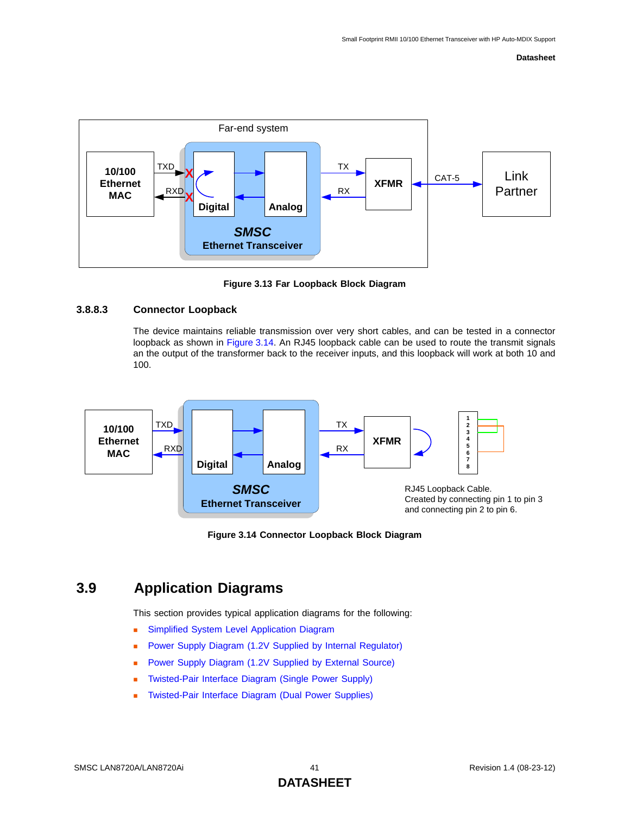

**Figure 3.13 Far Loopback Block Diagram**

### **3.8.8.3 Connector Loopback**

The device maintains reliable transmission over very short cables, and can be tested in a connector loopback as shown in [Figure 3.14](#page-40-0). An RJ45 loopback cable can be used to route the transmit signals an the output of the transformer back to the receiver inputs, and this loopback will work at both 10 and 100.





### <span id="page-40-0"></span>**3.9 Application Diagrams**

This section provides typical application diagrams for the following:

- **[Simplified System Level Application Diagram](#page-41-0)**
- **[Power Supply Diagram \(1.2V Supplied by Internal Regulator\)](#page-42-0)**
- [Power Supply Diagram \(1.2V Supplied by External Source\)](#page-43-0)
- [Twisted-Pair Interface Diagram \(Single Power Supply\)](#page-44-0)
- [Twisted-Pair Interface Diagram \(Dual Power Supplies\)](#page-45-0)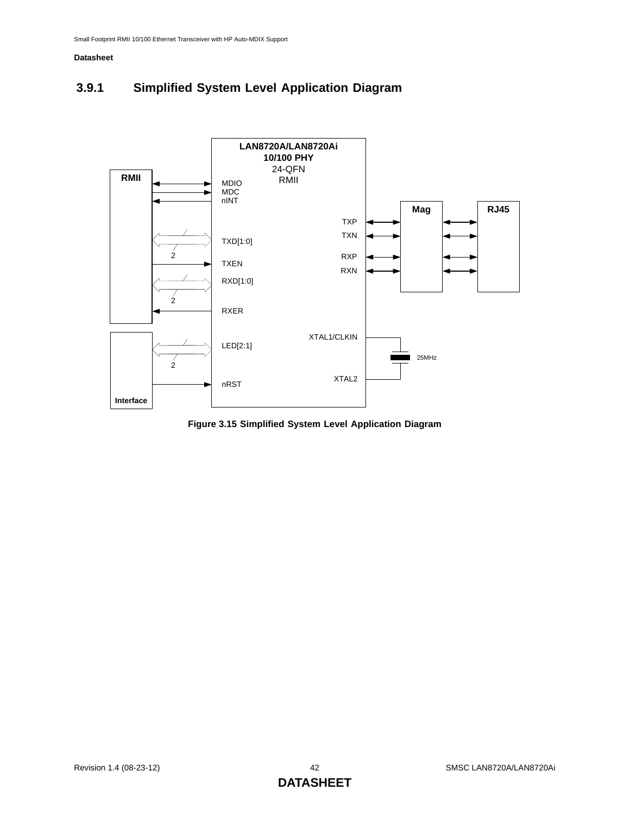## <span id="page-41-0"></span>**3.9.1 Simplified System Level Application Diagram**



**Figure 3.15 Simplified System Level Application Diagram**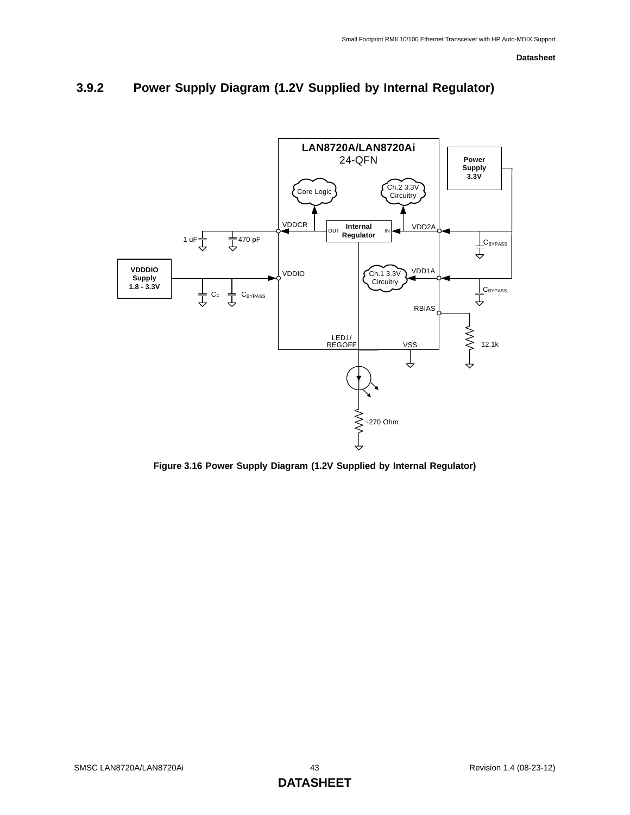<span id="page-42-0"></span>



**Figure 3.16 Power Supply Diagram (1.2V Supplied by Internal Regulator)**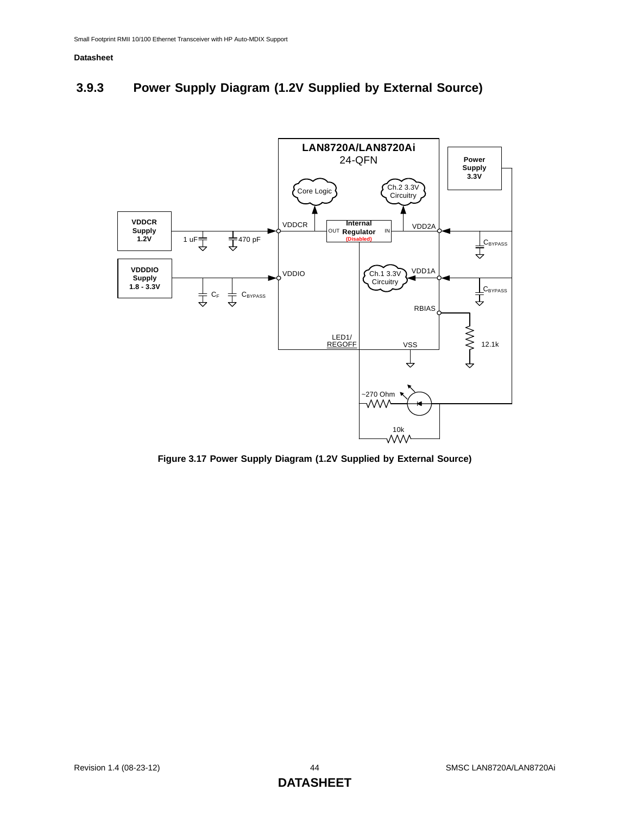## <span id="page-43-0"></span>**3.9.3 Power Supply Diagram (1.2V Supplied by External Source)**



**Figure 3.17 Power Supply Diagram (1.2V Supplied by External Source)**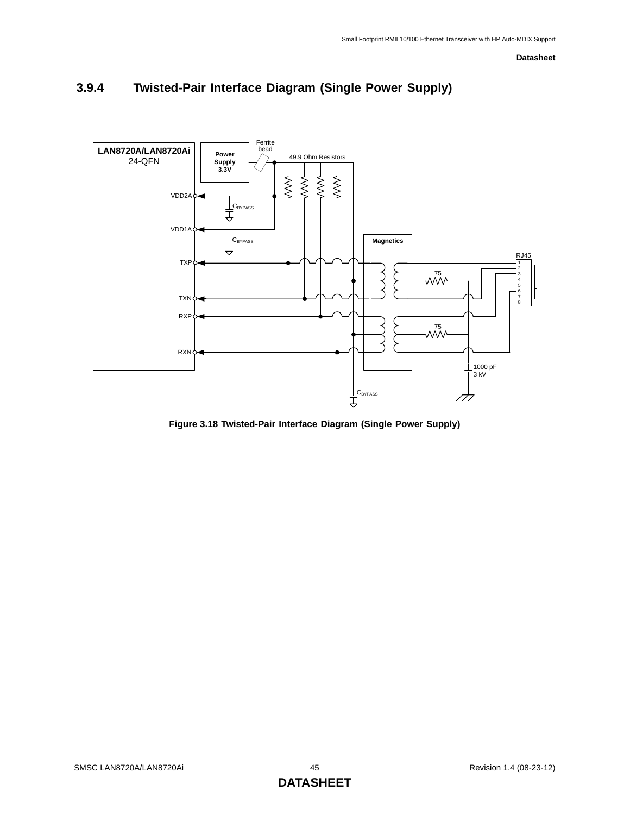

## <span id="page-44-0"></span>**3.9.4 Twisted-Pair Interface Diagram (Single Power Supply)**

**Figure 3.18 Twisted-Pair Interface Diagram (Single Power Supply)**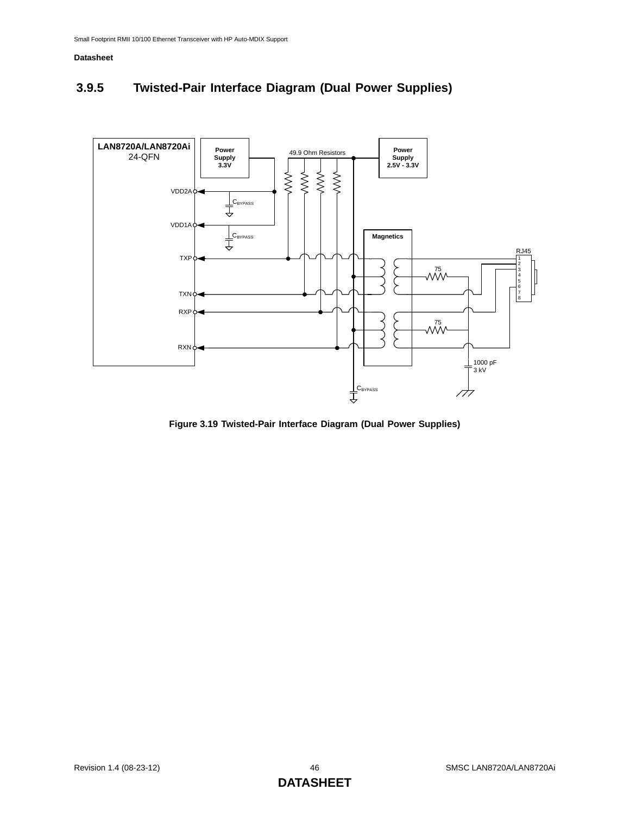## <span id="page-45-0"></span>**3.9.5 Twisted-Pair Interface Diagram (Dual Power Supplies)**



**Figure 3.19 Twisted-Pair Interface Diagram (Dual Power Supplies)**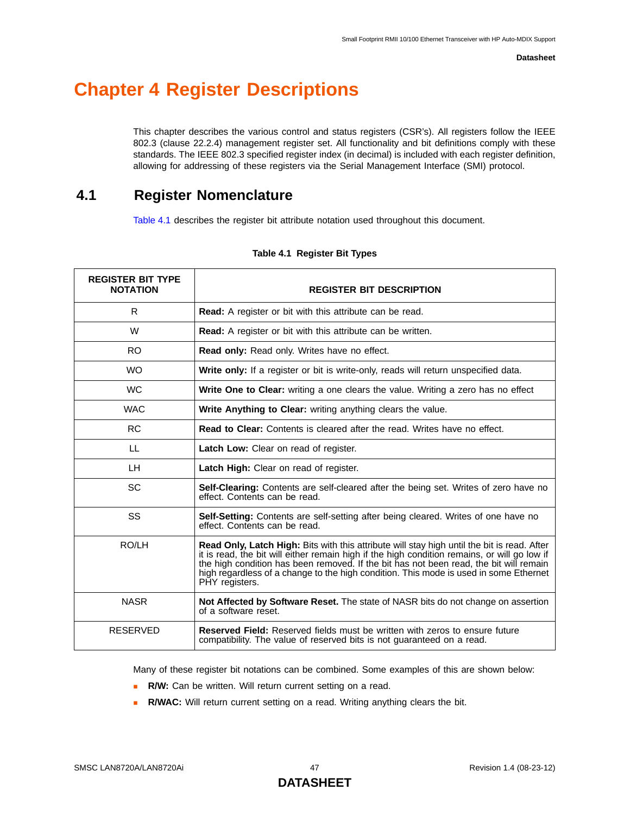# **Chapter 4 Register Descriptions**

This chapter describes the various control and status registers (CSR's). All registers follow the IEEE 802.3 (clause 22.2.4) management register set. All functionality and bit definitions comply with these standards. The IEEE 802.3 specified register index (in decimal) is included with each register definition, allowing for addressing of these registers via the Serial Management Interface (SMI) protocol.

### **4.1 Register Nomenclature**

[Table 4.1](#page-46-0) describes the register bit attribute notation used throughout this document.

<span id="page-46-0"></span>

| <b>REGISTER BIT TYPE</b><br><b>NOTATION</b> | <b>REGISTER BIT DESCRIPTION</b>                                                                                                                                                                                                                                                                                                                                                                         |  |
|---------------------------------------------|---------------------------------------------------------------------------------------------------------------------------------------------------------------------------------------------------------------------------------------------------------------------------------------------------------------------------------------------------------------------------------------------------------|--|
| R                                           | <b>Read:</b> A register or bit with this attribute can be read.                                                                                                                                                                                                                                                                                                                                         |  |
| W                                           | Read: A register or bit with this attribute can be written.                                                                                                                                                                                                                                                                                                                                             |  |
| RO.                                         | Read only: Read only. Writes have no effect.                                                                                                                                                                                                                                                                                                                                                            |  |
| <b>WO</b>                                   | Write only: If a register or bit is write-only, reads will return unspecified data.                                                                                                                                                                                                                                                                                                                     |  |
| <b>WC</b>                                   | <b>Write One to Clear:</b> writing a one clears the value. Writing a zero has no effect                                                                                                                                                                                                                                                                                                                 |  |
| <b>WAC</b>                                  | Write Anything to Clear: writing anything clears the value.                                                                                                                                                                                                                                                                                                                                             |  |
| <b>RC</b>                                   | <b>Read to Clear:</b> Contents is cleared after the read. Writes have no effect.                                                                                                                                                                                                                                                                                                                        |  |
| LL                                          | Latch Low: Clear on read of register.                                                                                                                                                                                                                                                                                                                                                                   |  |
| LН                                          | Latch High: Clear on read of register.                                                                                                                                                                                                                                                                                                                                                                  |  |
| SC                                          | Self-Clearing: Contents are self-cleared after the being set. Writes of zero have no<br>effect. Contents can be read.                                                                                                                                                                                                                                                                                   |  |
| <b>SS</b>                                   | Self-Setting: Contents are self-setting after being cleared. Writes of one have no<br>effect. Contents can be read.                                                                                                                                                                                                                                                                                     |  |
| RO/LH                                       | <b>Read Only, Latch High:</b> Bits with this attribute will stay high until the bit is read. After<br>it is read, the bit will either remain high if the high condition remains, or will go low if<br>the high condition has been removed. If the bit has not been read, the bit will remain<br>high regardless of a change to the high condition. This mode is used in some Ethernet<br>PHY registers. |  |
| <b>NASR</b>                                 | Not Affected by Software Reset. The state of NASR bits do not change on assertion<br>of a software reset.                                                                                                                                                                                                                                                                                               |  |
| <b>RESERVED</b>                             | <b>Reserved Field:</b> Reserved fields must be written with zeros to ensure future<br>compatibility. The value of reserved bits is not guaranteed on a read.                                                                                                                                                                                                                                            |  |

#### **Table 4.1 Register Bit Types**

Many of these register bit notations can be combined. Some examples of this are shown below:

- **R/W:** Can be written. Will return current setting on a read.
- **R/WAC:** Will return current setting on a read. Writing anything clears the bit.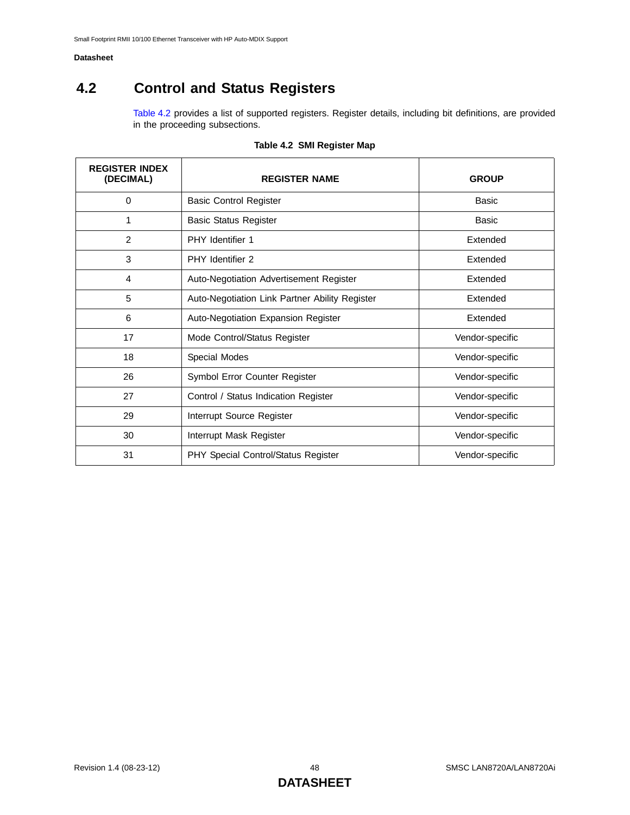## **4.2 Control and Status Registers**

[Table 4.2](#page-47-0) provides a list of supported registers. Register details, including bit definitions, are provided in the proceeding subsections.

<span id="page-47-0"></span>

| <b>REGISTER INDEX</b><br>(DECIMAL) | <b>REGISTER NAME</b>                           | <b>GROUP</b>    |
|------------------------------------|------------------------------------------------|-----------------|
| 0                                  | <b>Basic Control Register</b>                  | <b>Basic</b>    |
| 1                                  | <b>Basic Status Register</b>                   | Basic           |
| $\overline{2}$                     | <b>PHY</b> Identifier 1                        | Extended        |
| 3                                  | PHY Identifier 2                               | Extended        |
| 4                                  | Auto-Negotiation Advertisement Register        | Extended        |
| 5                                  | Auto-Negotiation Link Partner Ability Register | Extended        |
| 6                                  | Auto-Negotiation Expansion Register            | Extended        |
| 17                                 | Mode Control/Status Register                   | Vendor-specific |
| 18                                 | Special Modes                                  | Vendor-specific |
| 26                                 | Symbol Error Counter Register                  | Vendor-specific |
| 27                                 | Control / Status Indication Register           | Vendor-specific |
| 29                                 | Interrupt Source Register                      | Vendor-specific |
| 30                                 | Interrupt Mask Register                        | Vendor-specific |
| 31                                 | PHY Special Control/Status Register            | Vendor-specific |

### **Table 4.2 SMI Register Map**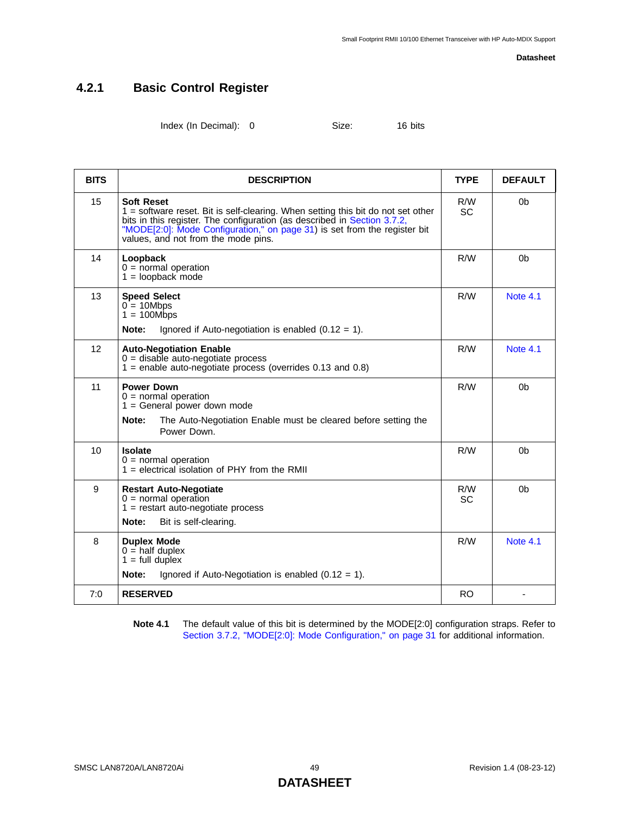### **4.2.1 Basic Control Register**

<span id="page-48-0"></span>Index (In Decimal): 0 Size: 16 bits

<span id="page-48-4"></span><span id="page-48-3"></span><span id="page-48-1"></span>

| <b>BITS</b>     | <b>DESCRIPTION</b>                                                                                                                                                                                                                                                                                    | <b>TYPE</b>      | <b>DEFAULT</b>  |
|-----------------|-------------------------------------------------------------------------------------------------------------------------------------------------------------------------------------------------------------------------------------------------------------------------------------------------------|------------------|-----------------|
| 15              | <b>Soft Reset</b><br>1 = software reset. Bit is self-clearing. When setting this bit do not set other<br>bits in this register. The configuration (as described in Section 3.7.2,<br>"MODE[2:0]: Mode Configuration," on page 31) is set from the register bit<br>values, and not from the mode pins. | R/W<br><b>SC</b> | 0b              |
| 14              | Loopback<br>$0 =$ normal operation<br>$1 =$ loopback mode                                                                                                                                                                                                                                             | R/W              | 0b              |
| 13              | <b>Speed Select</b><br>$0 = 10Mbps$<br>$1 = 100Mbps$<br>Note:<br>Ignored if Auto-negotiation is enabled $(0.12 = 1)$ .                                                                                                                                                                                | R/W              | <b>Note 4.1</b> |
| 12              | <b>Auto-Negotiation Enable</b><br>$0 =$ disable auto-negotiate process<br>$1$ = enable auto-negotiate process (overrides 0.13 and 0.8)                                                                                                                                                                | R/W              | <b>Note 4.1</b> |
| 11              | <b>Power Down</b><br>$0 =$ normal operation<br>$1 =$ General power down mode<br>The Auto-Negotiation Enable must be cleared before setting the<br>Note:<br>Power Down.                                                                                                                                | R/W              | 0b              |
| 10 <sup>1</sup> | <b>Isolate</b><br>$0 =$ normal operation<br>$1 =$ electrical isolation of PHY from the RMII                                                                                                                                                                                                           | R/M              | 0 <sub>b</sub>  |
| 9               | <b>Restart Auto-Negotiate</b><br>$0 =$ normal operation<br>$1 =$ restart auto-negotiate process<br>Note:<br>Bit is self-clearing.                                                                                                                                                                     | R/W<br><b>SC</b> | 0b              |
| 8               | <b>Duplex Mode</b><br>$0 =$ half duplex<br>$1 = full \n  duplex$<br>Ignored if Auto-Negotiation is enabled $(0.12 = 1)$ .<br>Note:                                                                                                                                                                    | R/W              | <b>Note 4.1</b> |
| 7:0             | <b>RESERVED</b>                                                                                                                                                                                                                                                                                       | <b>RO</b>        |                 |

<span id="page-48-5"></span><span id="page-48-2"></span>**Note 4.1** The default value of this bit is determined by the MODE[2:0] configuration straps. Refer to [Section 3.7.2, "MODE\[2:0\]: Mode Configuration," on page 31](#page-30-0) for additional information.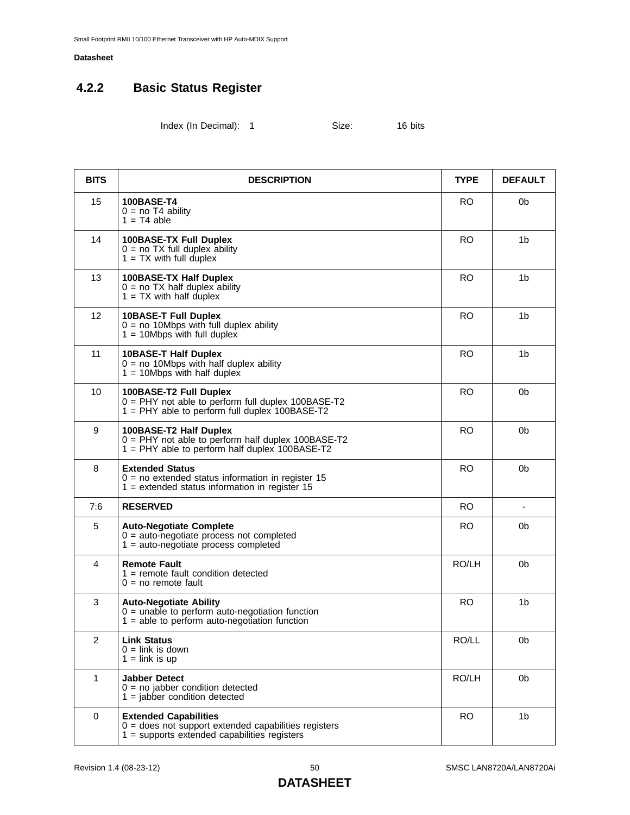## **4.2.2 Basic Status Register**

<span id="page-49-1"></span>Index (In Decimal): 1 Size: 16 bits

| <b>BITS</b>    | <b>DESCRIPTION</b>                                                                                                                       | <b>TYPE</b> | <b>DEFAULT</b> |
|----------------|------------------------------------------------------------------------------------------------------------------------------------------|-------------|----------------|
| 15             | 100BASE-T4<br>$0 = no T4$ ability<br>$1 = T4$ able                                                                                       | <b>RO</b>   | 0b             |
| 14             | <b>100BASE-TX Full Duplex</b><br>$0 = no TX$ full duplex ability<br>$1 = TX$ with full duplex                                            | <b>RO</b>   | 1b             |
| 13             | 100BASE-TX Half Duplex<br>$0 = no TX$ half duplex ability<br>$1 = TX$ with half duplex                                                   | RO.         | 1 <sub>b</sub> |
| 12             | <b>10BASE-T Full Duplex</b><br>$0 = no$ 10Mbps with full duplex ability<br>$1 = 10Mbps$ with full duplex                                 | <b>RO</b>   | 1 <sub>b</sub> |
| 11             | <b>10BASE-T Half Duplex</b><br>$0 = no$ 10Mbps with half duplex ability<br>$1 = 10Mbps$ with half duplex                                 | <b>RO</b>   | 1 <sub>b</sub> |
| 10             | 100BASE-T2 Full Duplex<br>0 = PHY not able to perform full duplex 100BASE-T2<br>$1 =$ PHY able to perform full duplex 100BASE-T2         | <b>RO</b>   | 0b             |
| 9              | 100BASE-T2 Half Duplex<br>0 = PHY not able to perform half duplex 100BASE-T2<br>1 = PHY able to perform half duplex 100BASE-T2           | <b>RO</b>   | 0 <sub>b</sub> |
| 8              | <b>Extended Status</b><br>$0 = no$ extended status information in register 15<br>$1 =$ extended status information in register 15        | <b>RO</b>   | 0 <sub>b</sub> |
| 7:6            | <b>RESERVED</b>                                                                                                                          | <b>RO</b>   |                |
| 5              | <b>Auto-Negotiate Complete</b><br>$0 =$ auto-negotiate process not completed<br>$1 =$ auto-negotiate process completed                   | <b>RO</b>   | 0b             |
| 4              | <b>Remote Fault</b><br>$1 =$ remote fault condition detected<br>$0 = no$ remote fault                                                    | RO/LH       | 0b             |
| 3              | <b>Auto-Negotiate Ability</b><br>$0 =$ unable to perform auto-negotiation function<br>$1 =$ able to perform auto-negotiation function    | <b>RO</b>   | 1 <sub>b</sub> |
| $\overline{2}$ | <b>Link Status</b><br>$0 =$ link is down<br>$1 =$ link is up                                                                             | RO/LL       | 0b             |
| $\mathbf{1}$   | <b>Jabber Detect</b><br>$0 = no$ jabber condition detected<br>$1 =$ jabber condition detected                                            | RO/LH       | 0 <sub>b</sub> |
| $\mathbf 0$    | <b>Extended Capabilities</b><br>$0 =$ does not support extended capabilities registers<br>$1 =$ supports extended capabilities registers | <b>RO</b>   | 1 <sub>b</sub> |

### <span id="page-49-0"></span>**DATASHEET**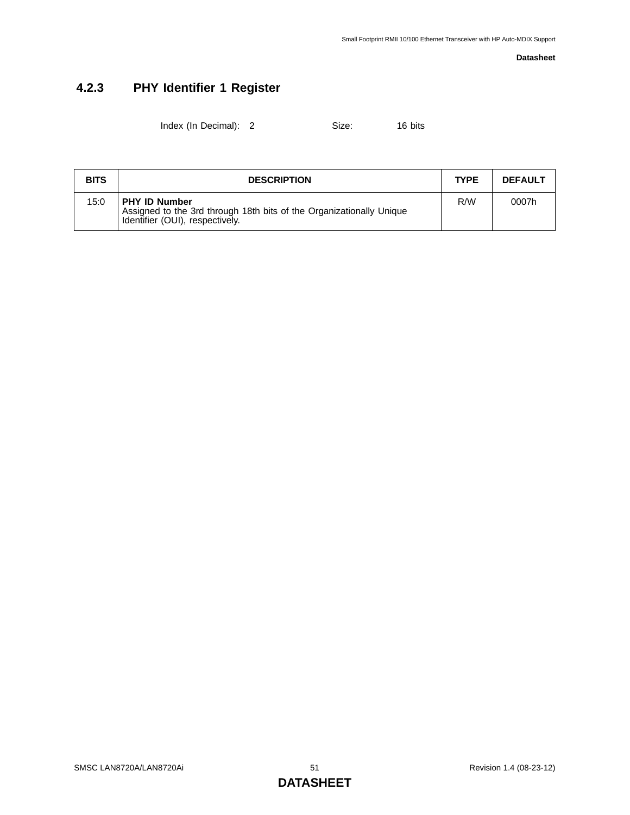## **4.2.3 PHY Identifier 1 Register**

Index (In Decimal): 2 Size: 16 bits

| <b>BITS</b> | <b>DESCRIPTION</b>                                                                                                              | <b>TYPE</b> | <b>DEFAULT</b> |
|-------------|---------------------------------------------------------------------------------------------------------------------------------|-------------|----------------|
| 15:0        | <b>PHY ID Number</b><br>Assigned to the 3rd through 18th bits of the Organizationally Unique<br>Identifier (OUI), respectively. | R/M         | 0007h          |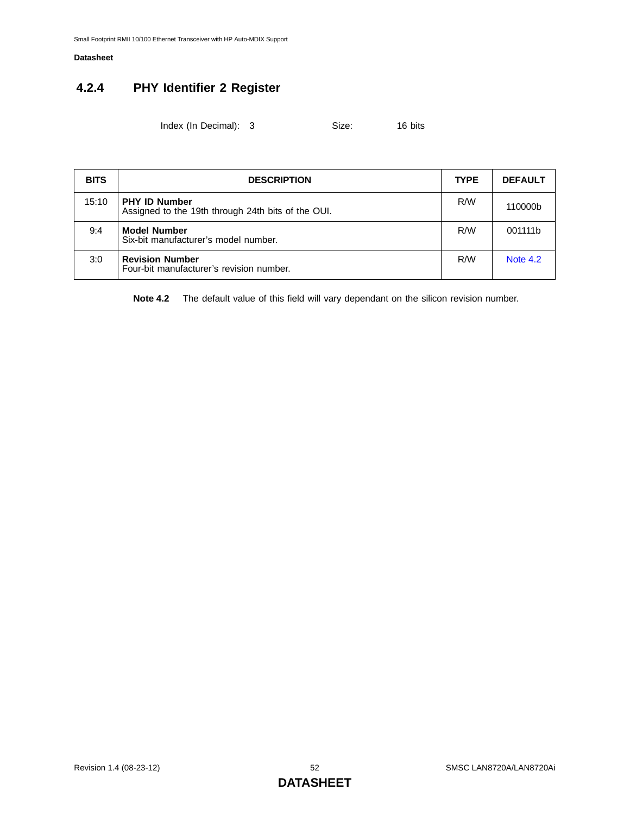## **4.2.4 PHY Identifier 2 Register**

Index (In Decimal): 3 Size: 16 bits

| <b>BITS</b> | <b>DESCRIPTION</b>                                                         | <b>TYPE</b> | <b>DEFAULT</b>  |
|-------------|----------------------------------------------------------------------------|-------------|-----------------|
| 15:10       | <b>PHY ID Number</b><br>Assigned to the 19th through 24th bits of the OUI. | R/W         | 110000b         |
| 9:4         | <b>Model Number</b><br>Six-bit manufacturer's model number.                | R/W         | 001111b         |
| 3:0         | <b>Revision Number</b><br>Four-bit manufacturer's revision number.         | R/W         | <b>Note 4.2</b> |

<span id="page-51-0"></span>**Note 4.2** The default value of this field will vary dependant on the silicon revision number.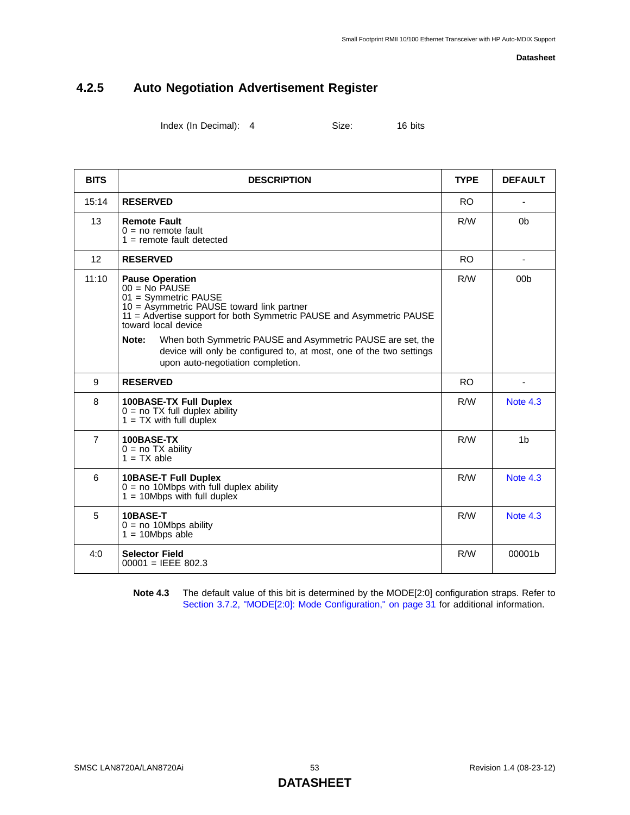### **4.2.5 Auto Negotiation Advertisement Register**

Index (In Decimal): 4 Size: 16 bits

| <b>BITS</b>    | <b>DESCRIPTION</b>                                                                                                                                                                                                                                                                                                                                                                                  | <b>TYPE</b> | <b>DEFAULT</b>  |
|----------------|-----------------------------------------------------------------------------------------------------------------------------------------------------------------------------------------------------------------------------------------------------------------------------------------------------------------------------------------------------------------------------------------------------|-------------|-----------------|
| 15:14          | <b>RESERVED</b>                                                                                                                                                                                                                                                                                                                                                                                     | RO.         |                 |
| 13             | <b>Remote Fault</b><br>$0 = no$ remote fault<br>$1 =$ remote fault detected                                                                                                                                                                                                                                                                                                                         | R/W         | 0 <sub>b</sub>  |
| 12             | <b>RESERVED</b>                                                                                                                                                                                                                                                                                                                                                                                     | <b>RO</b>   |                 |
| 11:10          | <b>Pause Operation</b><br>$00 = No$ PAUSE<br>01 = Symmetric PAUSE<br>$10 =$ Asymmetric PAUSE toward link partner<br>11 = Advertise support for both Symmetric PAUSE and Asymmetric PAUSE<br>toward local device<br>Note:<br>When both Symmetric PAUSE and Asymmetric PAUSE are set, the<br>device will only be configured to, at most, one of the two settings<br>upon auto-negotiation completion. | R/W         | 00 <sub>b</sub> |
| 9              | <b>RESERVED</b>                                                                                                                                                                                                                                                                                                                                                                                     | RO.         |                 |
| 8              | <b>100BASE-TX Full Duplex</b><br>$0 = no TX$ full duplex ability<br>$1 = TX$ with full duplex                                                                                                                                                                                                                                                                                                       | R/M         | <b>Note 4.3</b> |
| $\overline{7}$ | 100BASE-TX<br>$0 = no TX$ ability<br>$1 = TX$ able                                                                                                                                                                                                                                                                                                                                                  | R/M         | 1 <sub>b</sub>  |
| 6              | <b>10BASE-T Full Duplex</b><br>$0 = no$ 10Mbps with full duplex ability<br>$1 = 10Mbps$ with full duplex                                                                                                                                                                                                                                                                                            | R/W         | Note $4.3$      |
| 5              | 10BASE-T<br>$0 = no$ 10Mbps ability<br>$1 = 10Mbps$ able                                                                                                                                                                                                                                                                                                                                            | R/W         | <b>Note 4.3</b> |
| 4:0            | <b>Selector Field</b><br>$00001 = IEEE 802.3$                                                                                                                                                                                                                                                                                                                                                       | R/M         | 00001b          |

<span id="page-52-0"></span>**Note 4.3** The default value of this bit is determined by the MODE[2:0] configuration straps. Refer to [Section 3.7.2, "MODE\[2:0\]: Mode Configuration," on page 31](#page-30-0) for additional information.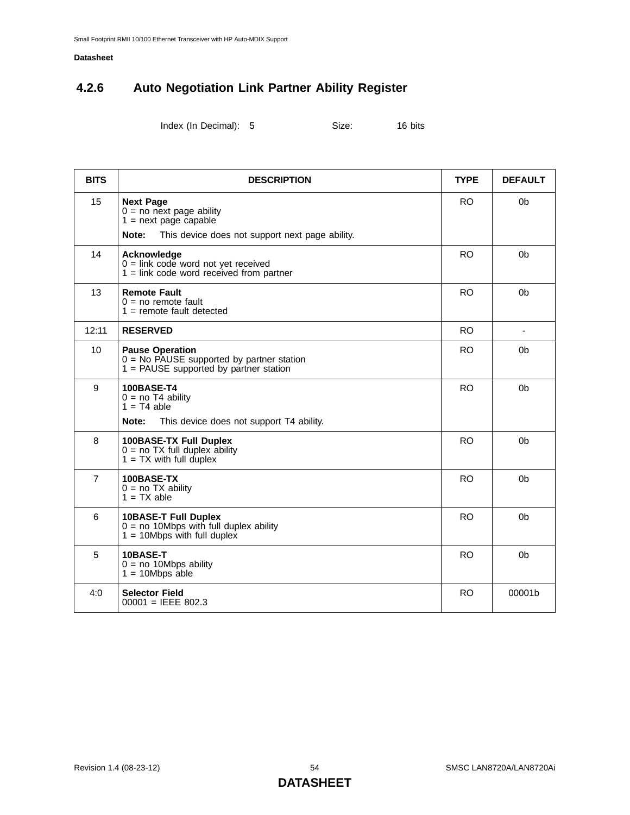### **4.2.6 Auto Negotiation Link Partner Ability Register**

Index (In Decimal): 5 Size: 16 bits

| <b>BITS</b>    | <b>DESCRIPTION</b>                                                                                                                    | <b>TYPE</b> | <b>DEFAULT</b> |
|----------------|---------------------------------------------------------------------------------------------------------------------------------------|-------------|----------------|
| 15             | <b>Next Page</b><br>$0 = no$ next page ability<br>$1 =$ next page capable<br>Note:<br>This device does not support next page ability. | <b>RO</b>   | 0 <sub>b</sub> |
| 14             | Acknowledge<br>$0 =$ link code word not yet received<br>$1 =$ link code word received from partner                                    | <b>RO</b>   | 0b             |
| 13             | <b>Remote Fault</b><br>$0 = no$ remote fault<br>$1 =$ remote fault detected                                                           | <b>RO</b>   | 0 <sub>b</sub> |
| 12:11          | <b>RESERVED</b>                                                                                                                       | <b>RO</b>   |                |
| 10             | <b>Pause Operation</b><br>$0 = No$ PAUSE supported by partner station<br>$1 = PAUSE$ supported by partner station                     | <b>RO</b>   | 0 <sub>b</sub> |
| 9              | <b>100BASE-T4</b><br>$0 = no T4$ ability<br>$1 = T4$ able<br>This device does not support T4 ability.<br>Note:                        | <b>RO</b>   | 0 <sub>b</sub> |
| 8              | <b>100BASE-TX Full Duplex</b><br>$0 = no TX$ full duplex ability<br>$1 = TX$ with full duplex                                         | <b>RO</b>   | 0 <sub>b</sub> |
| $\overline{7}$ | 100BASE-TX<br>$0 = no TX ability$<br>$1 = TX$ able                                                                                    | <b>RO</b>   | 0 <sub>b</sub> |
| 6              | 10BASE-T Full Duplex<br>$0 = no$ 10Mbps with full duplex ability<br>$1 = 10Mbps$ with full duplex                                     | <b>RO</b>   | 0 <sub>b</sub> |

5 **10BASE-T**

4:0 **Selector Field**

 $0 =$  no 10Mbps ability  $1 = 10Mbps$  able

00001 = IEEE 802.3

RO 0b

RO 00001b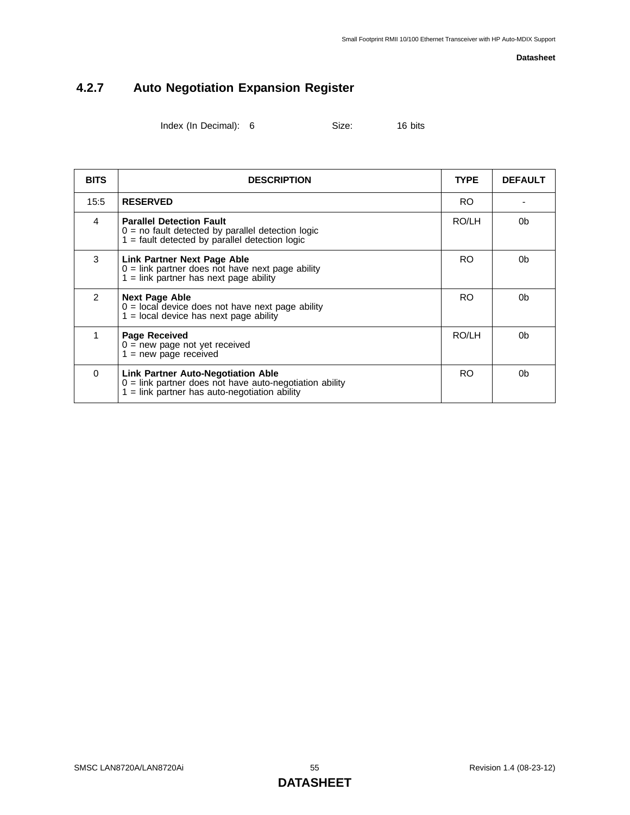## **4.2.7 Auto Negotiation Expansion Register**

Index (In Decimal): 6 Size: 16 bits

| <b>BITS</b>   | <b>DESCRIPTION</b>                                                                                                                                        | <b>TYPE</b> | <b>DEFAULT</b> |
|---------------|-----------------------------------------------------------------------------------------------------------------------------------------------------------|-------------|----------------|
| 15:5          | <b>RESERVED</b>                                                                                                                                           | RO.         |                |
| 4             | <b>Parallel Detection Fault</b><br>$0 =$ no fault detected by parallel detection logic<br>$1 =$ fault detected by parallel detection logic                | RO/LH       | 0 <sub>b</sub> |
| 3             | <b>Link Partner Next Page Able</b><br>$0 =$ link partner does not have next page ability<br>$1 =$ link partner has next page ability                      | RO.         | 0b             |
| $\mathcal{P}$ | <b>Next Page Able</b><br>$0 =$ local device does not have next page ability<br>$1 =$ local device has next page ability                                   | <b>RO</b>   | 0b             |
| 1             | <b>Page Received</b><br>$0 = new page not yet received$<br>$1 = new page received$                                                                        | RO/LH       | 0b             |
| $\Omega$      | <b>Link Partner Auto-Negotiation Able</b><br>$0 =$ link partner does not have auto-negotiation ability<br>$1 =$ link partner has auto-negotiation ability | RO.         | 0b             |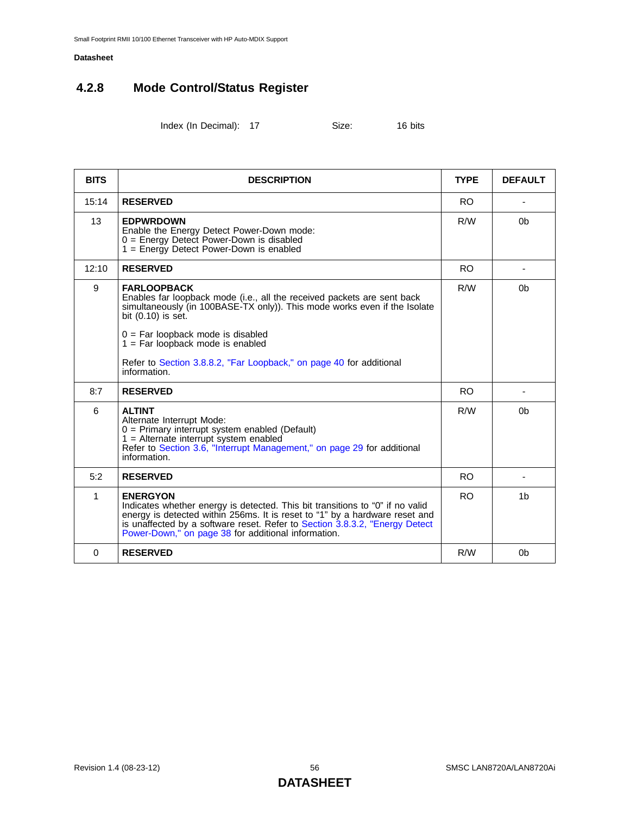## **4.2.8 Mode Control/Status Register**

<span id="page-55-1"></span>Index (In Decimal): 17 Size: 16 bits

<span id="page-55-3"></span><span id="page-55-2"></span><span id="page-55-0"></span>

| <b>BITS</b> | <b>DESCRIPTION</b>                                                                                                                                                                                                                                                                                                                                                   | <b>TYPE</b>    | <b>DEFAULT</b> |
|-------------|----------------------------------------------------------------------------------------------------------------------------------------------------------------------------------------------------------------------------------------------------------------------------------------------------------------------------------------------------------------------|----------------|----------------|
| 15:14       | <b>RESERVED</b>                                                                                                                                                                                                                                                                                                                                                      | RO.            |                |
| 13          | <b>EDPWRDOWN</b><br>Enable the Energy Detect Power-Down mode:<br>$0 =$ Energy Detect Power-Down is disabled<br>$1 =$ Energy Detect Power-Down is enabled                                                                                                                                                                                                             | R/W            | 0 <sub>b</sub> |
| 12:10       | <b>RESERVED</b>                                                                                                                                                                                                                                                                                                                                                      | RO.            |                |
| 9           | <b>FARLOOPBACK</b><br>Enables far loopback mode (i.e., all the received packets are sent back<br>simultaneously (in 100BASE-TX only)). This mode works even if the Isolate<br>bit (0.10) is set.<br>$0 = Far$ loopback mode is disabled<br>$1 = Far$ loopback mode is enabled<br>Refer to Section 3.8.8.2, "Far Loopback," on page 40 for additional<br>information. | R/W            | 0 <sub>b</sub> |
| 8:7         | <b>RESERVED</b>                                                                                                                                                                                                                                                                                                                                                      | RO.            |                |
| 6           | <b>ALTINT</b><br>Alternate Interrupt Mode:<br>$0 =$ Primary interrupt system enabled (Default)<br>$1 =$ Alternate interrupt system enabled<br>Refer to Section 3.6, "Interrupt Management," on page 29 for additional<br>information.                                                                                                                                | R/W            | 0 <sub>b</sub> |
| 5:2         | <b>RESERVED</b>                                                                                                                                                                                                                                                                                                                                                      | RO.            |                |
| 1           | <b>ENERGYON</b><br>Indicates whether energy is detected. This bit transitions to "0" if no valid<br>energy is detected within 256ms. It is reset to "1" by a hardware reset and<br>is unaffected by a software reset. Refer to Section 3.8.3.2, "Energy Detect<br>Power-Down," on page 38 for additional information.                                                | R <sub>O</sub> | 1 <sub>b</sub> |
| $\Omega$    | <b>RESERVED</b>                                                                                                                                                                                                                                                                                                                                                      | R/W            | 0 <sub>b</sub> |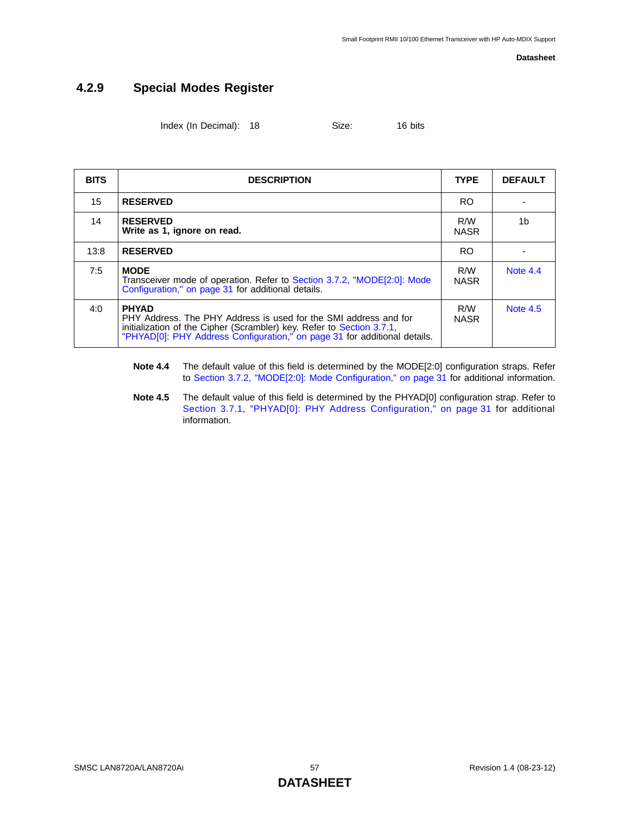### **4.2.9 Special Modes Register**

Index (In Decimal): 18 Size: 16 bits

| <b>BITS</b> | <b>DESCRIPTION</b>                                                                                                                                                                                                                     | <b>TYPE</b>        | <b>DEFAULT</b> |
|-------------|----------------------------------------------------------------------------------------------------------------------------------------------------------------------------------------------------------------------------------------|--------------------|----------------|
| 15          | <b>RESERVED</b>                                                                                                                                                                                                                        | RO.                |                |
| 14          | <b>RESERVED</b><br>Write as 1, ignore on read.                                                                                                                                                                                         | R/W<br><b>NASR</b> | 1 <sub>b</sub> |
| 13:8        | <b>RESERVED</b>                                                                                                                                                                                                                        | <b>RO</b>          |                |
| 7:5         | <b>MODE</b><br>Transceiver mode of operation. Refer to Section 3.7.2, "MODE[2:0]: Mode<br>Configuration," on page 31 for additional details.                                                                                           | R/W<br><b>NASR</b> | Note 4.4       |
| 4:0         | <b>PHYAD</b><br>PHY Address. The PHY Address is used for the SMI address and for<br>initialization of the Cipher (Scrambler) key. Refer to Section 3.7.1,<br>"PHYAD[0]: PHY Address Configuration," on page 31 for additional details. | R/W<br><b>NASR</b> | Note $4.5$     |

- <span id="page-56-0"></span>**Note 4.4** The default value of this field is determined by the MODE[2:0] configuration straps. Refer to [Section 3.7.2, "MODE\[2:0\]: Mode Configuration," on page 31](#page-30-0) for additional information.
- <span id="page-56-1"></span>**Note 4.5** The default value of this field is determined by the PHYAD[0] configuration strap. Refer to [Section 3.7.1, "PHYAD\[0\]: PHY Address Configuration," on page 31](#page-30-1) for additional information.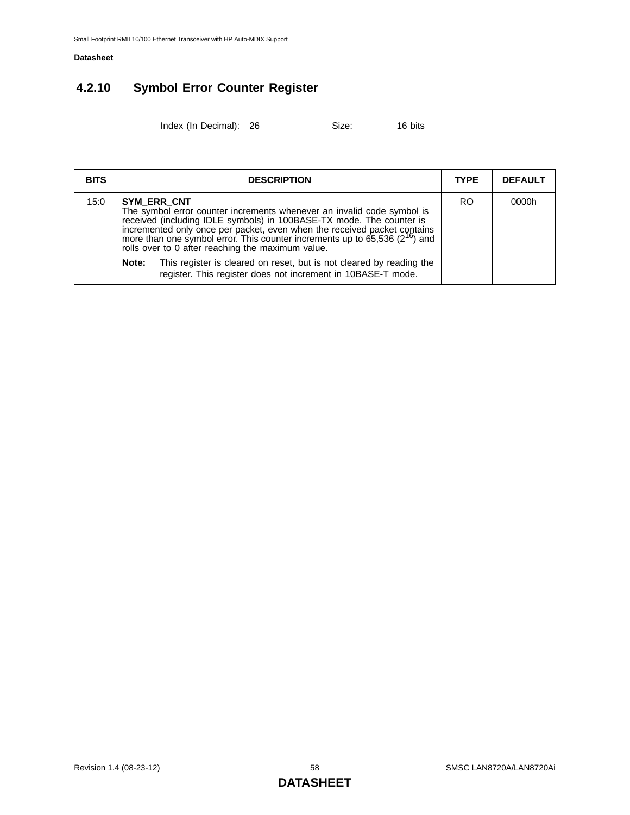## **4.2.10 Symbol Error Counter Register**

Index (In Decimal): 26 Size: 16 bits

| OIZE.<br>$\sim$ | ıκ |
|-----------------|----|
|                 |    |

| <b>BITS</b> | <b>DESCRIPTION</b>                                                                                                                                                                                                                                                                                                                                                                | <b>TYPE</b>    | <b>DEFAULT</b> |
|-------------|-----------------------------------------------------------------------------------------------------------------------------------------------------------------------------------------------------------------------------------------------------------------------------------------------------------------------------------------------------------------------------------|----------------|----------------|
| 15:0        | SYM ERR CNT<br>The symbol error counter increments whenever an invalid code symbol is<br>received (including IDLE symbols) in 100BASE-TX mode. The counter is<br>incremented only once per packet, even when the received packet contains<br>more than one symbol error. This counter increments up to 65,536 $(2^{16})$ and<br>rolls over to 0 after reaching the maximum value. | R <sub>O</sub> | 0000h          |
|             | Note:<br>This register is cleared on reset, but is not cleared by reading the<br>register. This register does not increment in 10BASE-T mode.                                                                                                                                                                                                                                     |                |                |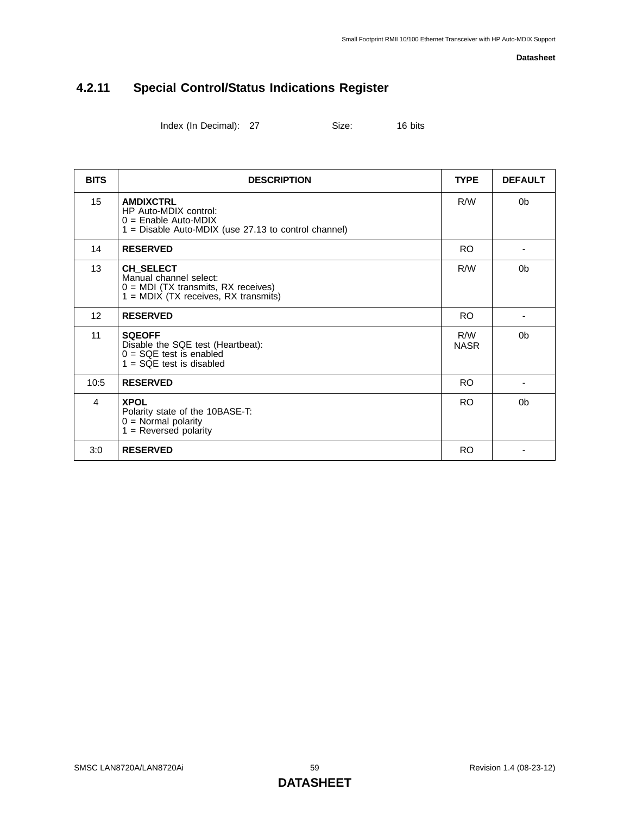## **4.2.11 Special Control/Status Indications Register**

Index (In Decimal): 27 Size: 16 bits

| <b>BITS</b> | <b>DESCRIPTION</b>                                                                                                            | <b>TYPE</b>        | <b>DEFAULT</b> |
|-------------|-------------------------------------------------------------------------------------------------------------------------------|--------------------|----------------|
| 15          | <b>AMDIXCTRL</b><br>HP Auto-MDIX control:<br>$0 =$ Enable Auto-MDIX<br>1 = Disable Auto-MDIX (use 27.13 to control channel)   | R/W                | 0 <sub>b</sub> |
| 14          | <b>RESERVED</b>                                                                                                               | <b>RO</b>          |                |
| 13          | CH_SELECT<br>Manual channel select:<br>$0 = MDI$ (TX transmits, RX receives)<br>$1 = \text{MDIX}$ (TX receives, RX transmits) | R/W                | 0 <sub>b</sub> |
| 12          | <b>RESERVED</b>                                                                                                               | <b>RO</b>          |                |
| 11          | <b>SQEOFF</b><br>Disable the SQE test (Heartbeat):<br>$0 = SQE$ test is enabled<br>$1 = SOE$ test is disabled                 | R/W<br><b>NASR</b> | 0 <sub>b</sub> |
| 10:5        | <b>RESERVED</b>                                                                                                               | <b>RO</b>          |                |
| 4           | <b>XPOL</b><br>Polarity state of the 10BASE-T:<br>$0 =$ Normal polarity<br>$1 =$ Reversed polarity                            | <b>RO</b>          | 0 <sub>b</sub> |
| 3:0         | <b>RESERVED</b>                                                                                                               | <b>RO</b>          |                |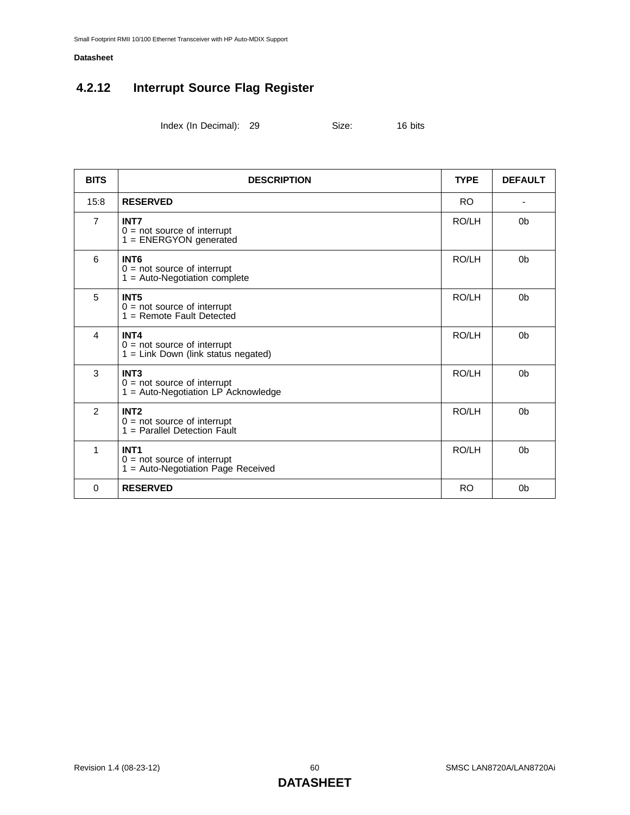## <span id="page-59-0"></span>**4.2.12 Interrupt Source Flag Register**

Index (In Decimal): 29 Size: 16 bits

| <b>BITS</b>    | <b>DESCRIPTION</b>                                                                      | <b>TYPE</b> | <b>DEFAULT</b> |
|----------------|-----------------------------------------------------------------------------------------|-------------|----------------|
| 15:8           | <b>RESERVED</b>                                                                         | <b>RO</b>   |                |
| $\overline{7}$ | <b>INT7</b><br>$0 = not source of interrupt$<br>1 = ENERGYON generated                  | RO/LH       | 0 <sub>b</sub> |
| 6              | INT <sub>6</sub><br>$0 = not source of interrupt$<br>$1 = Auto-Negotiation complete$    | RO/LH       | 0 <sub>b</sub> |
| 5              | INT <sub>5</sub><br>$0 = not source of interrupt$<br>$1 =$ Remote Fault Detected        | RO/LH       | 0 <sub>b</sub> |
| 4              | INT4<br>$0 = not source of interrupt$<br>$1 =$ Link Down (link status negated)          | RO/LH       | 0 <sub>b</sub> |
| 3              | INT <sub>3</sub><br>$0 = not source of interrupt 1 = Auto-Negotiation LP Acknowledge$   | RO/LH       | 0 <sub>b</sub> |
| $\overline{2}$ | INT <sub>2</sub><br>$0 = not source of interrupt$<br>$1 =$ Parallel Detection Fault     | RO/LH       | 0 <sub>b</sub> |
| 1              | INT <sub>1</sub><br>$0 = not source of interrupt$<br>1 = Auto-Negotiation Page Received | RO/LH       | 0 <sub>b</sub> |
| $\Omega$       | <b>RESERVED</b>                                                                         | <b>RO</b>   | 0 <sub>b</sub> |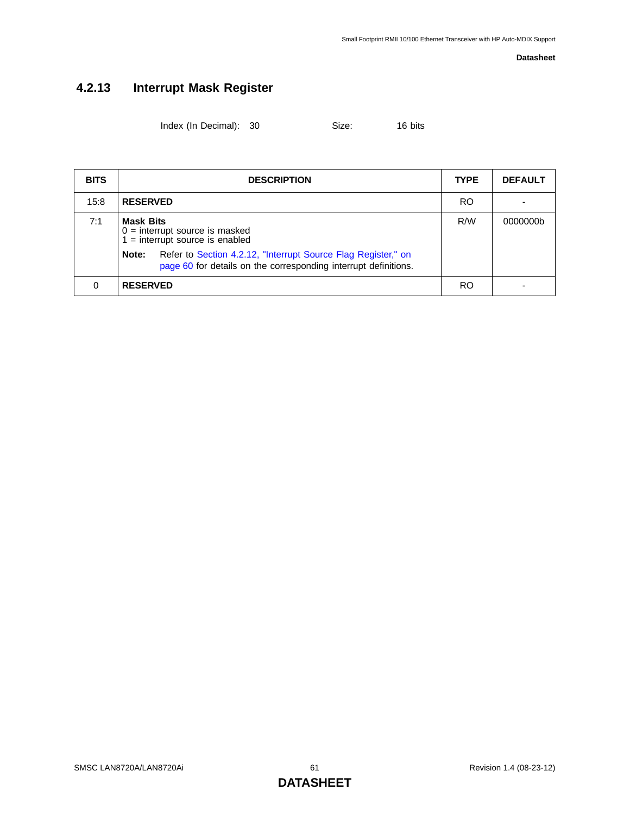## **4.2.13 Interrupt Mask Register**

<span id="page-60-0"></span>Index (In Decimal): 30 Size: 16 bits

| <b>BITS</b> | <b>DESCRIPTION</b>                                                                        | <b>TYPE</b>                                                                                                                      | <b>DEFAULT</b> |          |
|-------------|-------------------------------------------------------------------------------------------|----------------------------------------------------------------------------------------------------------------------------------|----------------|----------|
| 15:8        | <b>RESERVED</b>                                                                           |                                                                                                                                  | RO.            |          |
| 7:1         | <b>Mask Bits</b><br>$0 =$ interrupt source is masked<br>$1 =$ interrupt source is enabled |                                                                                                                                  | R/W            | 0000000b |
|             | Note:                                                                                     | Refer to Section 4.2.12, "Interrupt Source Flag Register," on<br>page 60 for details on the corresponding interrupt definitions. |                |          |
| 0           | <b>RESERVED</b>                                                                           |                                                                                                                                  | RO             |          |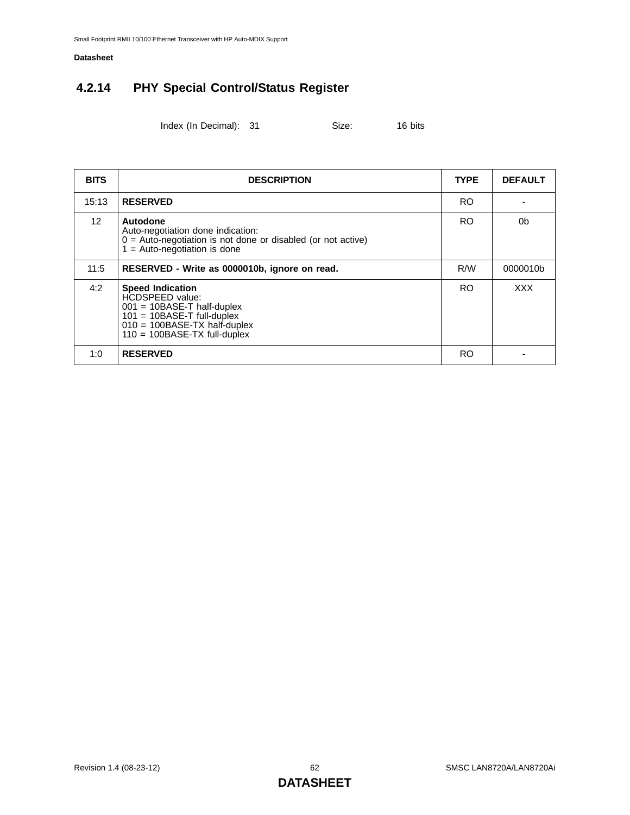## **4.2.14 PHY Special Control/Status Register**

Index (In Decimal): 31 Size: 16 bits

| <b>BITS</b>     | <b>DESCRIPTION</b>                                                                                                                                                             | <b>TYPE</b> | <b>DEFAULT</b> |
|-----------------|--------------------------------------------------------------------------------------------------------------------------------------------------------------------------------|-------------|----------------|
| 15:13           | <b>RESERVED</b>                                                                                                                                                                | RO.         |                |
| 12 <sup>2</sup> | Autodone<br>Auto-negotiation done indication:<br>$0 =$ Auto-negotiation is not done or disabled (or not active)<br>$1 =$ Auto-negotiation is done                              | RO.         | 0b             |
| 11:5            | RESERVED - Write as 0000010b, ignore on read.                                                                                                                                  | R/W         | 0000010b       |
| 4:2             | <b>Speed Indication</b><br>HCDSPEED value:<br>$001 = 10BASE-T$ half-duplex<br>$101 = 10BASE-T$ full-duplex<br>$010 = 100BASE-TX$ half-duplex<br>$110 = 100BASE-TX$ full-duplex | <b>RO</b>   | <b>XXX</b>     |
| 1:0             | <b>RESERVED</b>                                                                                                                                                                | RO          |                |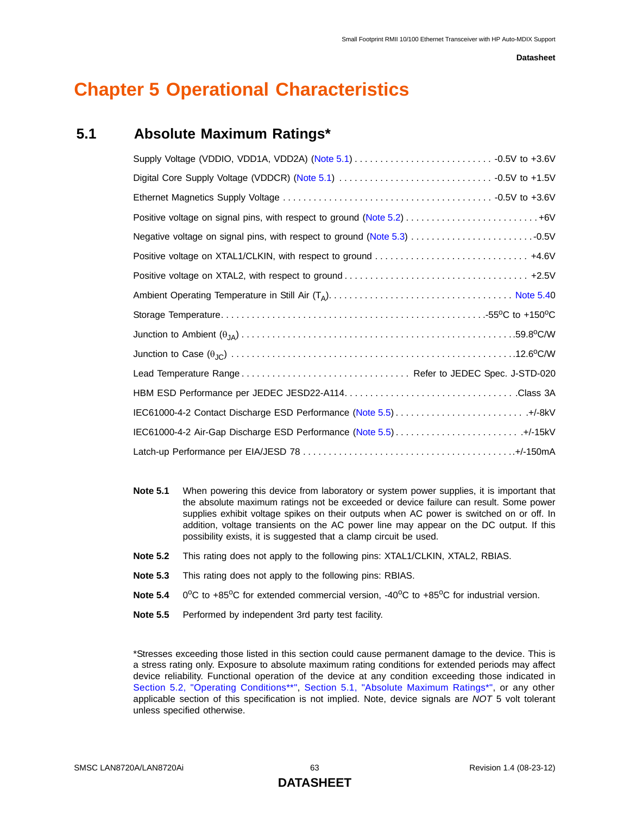## **Chapter 5 Operational Characteristics**

### <span id="page-62-5"></span>**5.1 Absolute Maximum Ratings\***

<span id="page-62-0"></span>

| Positive voltage on signal pins, with respect to ground (Note 5.2)  +6V |
|-------------------------------------------------------------------------|
| Negative voltage on signal pins, with respect to ground (Note 5.3)      |
|                                                                         |
|                                                                         |
|                                                                         |
|                                                                         |
|                                                                         |
|                                                                         |
| Lead Temperature Range Refer to JEDEC Spec. J-STD-020                   |
|                                                                         |
|                                                                         |
|                                                                         |
|                                                                         |

- <span id="page-62-2"></span>**Note 5.1** When powering this device from laboratory or system power supplies, it is important that the absolute maximum ratings not be exceeded or device failure can result. Some power supplies exhibit voltage spikes on their outputs when AC power is switched on or off. In addition, voltage transients on the AC power line may appear on the DC output. If this possibility exists, it is suggested that a clamp circuit be used.
- <span id="page-62-3"></span>**Note 5.2** This rating does not apply to the following pins: XTAL1/CLKIN, XTAL2, RBIAS.
- <span id="page-62-4"></span>**Note 5.3** This rating does not apply to the following pins: RBIAS.
- <span id="page-62-1"></span>**Note 5.4** 0<sup>o</sup>C to +85<sup>o</sup>C for extended commercial version, -40<sup>o</sup>C to +85<sup>o</sup>C for industrial version.
- <span id="page-62-6"></span>**Note 5.5** Performed by independent 3rd party test facility.

\*Stresses exceeding those listed in this section could cause permanent damage to the device. This is a stress rating only. Exposure to absolute maximum rating conditions for extended periods may affect device reliability. Functional operation of the device at any condition exceeding those indicated in [Section 5.2, "Operating Conditions\\*\\*"](#page-63-0), [Section 5.1, "Absolute Maximum Ratings\\*"](#page-62-5), or any other applicable section of this specification is not implied. Note, device signals are *NOT* 5 volt tolerant unless specified otherwise.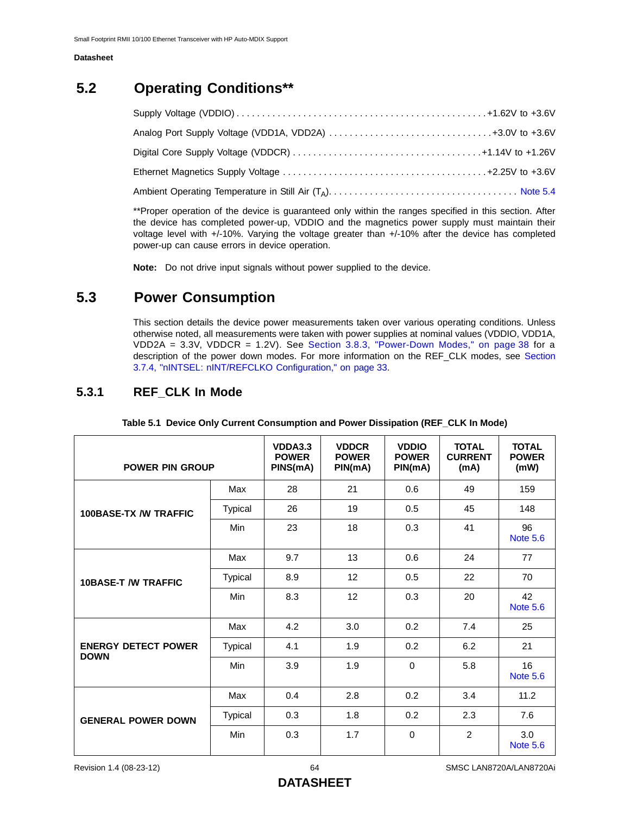## <span id="page-63-0"></span>**5.2 Operating Conditions\*\***

\*\*Proper operation of the device is guaranteed only within the ranges specified in this section. After the device has completed power-up, VDDIO and the magnetics power supply must maintain their voltage level with +/-10%. Varying the voltage greater than +/-10% after the device has completed power-up can cause errors in device operation.

**Note:** Do not drive input signals without power supplied to the device.

### **5.3 Power Consumption**

This section details the device power measurements taken over various operating conditions. Unless otherwise noted, all measurements were taken with power supplies at nominal values (VDDIO, VDD1A, VDD2A = 3.3V, VDDCR = 1.2V). See [Section 3.8.3, "Power-Down Modes," on page 38](#page-37-3) for a description of the power down modes. For more information on the REF\_CLK modes, see [Section](#page-32-1) [3.7.4, "nINTSEL: nINT/REFCLKO Configuration," on page 33](#page-32-1).

### **5.3.1 REF\_CLK In Mode**

| <b>POWER PIN GROUP</b>                    |                | VDDA3.3<br><b>POWER</b><br>PINS(mA) | <b>VDDCR</b><br><b>POWER</b><br>PIN(mA) | <b>VDDIO</b><br><b>POWER</b><br>PIN(mA) | <b>TOTAL</b><br><b>CURRENT</b><br>(mA) | <b>TOTAL</b><br><b>POWER</b><br>(mW) |
|-------------------------------------------|----------------|-------------------------------------|-----------------------------------------|-----------------------------------------|----------------------------------------|--------------------------------------|
|                                           | Max            | 28                                  | 21                                      | 0.6                                     | 49                                     | 159                                  |
| <b>100BASE-TX /W TRAFFIC</b>              | <b>Typical</b> | 26                                  | 19                                      | 0.5                                     | 45                                     | 148                                  |
|                                           | Min            | 23                                  | 18                                      | 0.3                                     | 41                                     | 96<br><b>Note 5.6</b>                |
|                                           | Max            | 9.7                                 | 13                                      | 0.6                                     | 24                                     | 77                                   |
| <b>10BASE-T /W TRAFFIC</b>                | <b>Typical</b> | 8.9                                 | 12                                      | 0.5                                     | 22                                     | 70                                   |
|                                           | Min            | 8.3                                 | 12                                      | 0.3                                     | 20                                     | 42<br><b>Note 5.6</b>                |
|                                           | Max            | 4.2                                 | 3.0                                     | 0.2                                     | 7.4                                    | 25                                   |
| <b>ENERGY DETECT POWER</b><br><b>DOWN</b> | <b>Typical</b> | 4.1                                 | 1.9                                     | 0.2                                     | 6.2                                    | 21                                   |
|                                           | Min            | 3.9                                 | 1.9                                     | $\Omega$                                | 5.8                                    | 16<br><b>Note 5.6</b>                |
|                                           | Max            | 0.4                                 | 2.8                                     | 0.2                                     | 3.4                                    | 11.2                                 |
| <b>GENERAL POWER DOWN</b>                 | <b>Typical</b> | 0.3                                 | 1.8                                     | 0.2                                     | 2.3                                    | 7.6                                  |
|                                           | Min            | 0.3                                 | 1.7                                     | $\Omega$                                | $\overline{2}$                         | 3.0<br><b>Note 5.6</b>               |

**Table 5.1 Device Only Current Consumption and Power Dissipation (REF\_CLK In Mode)**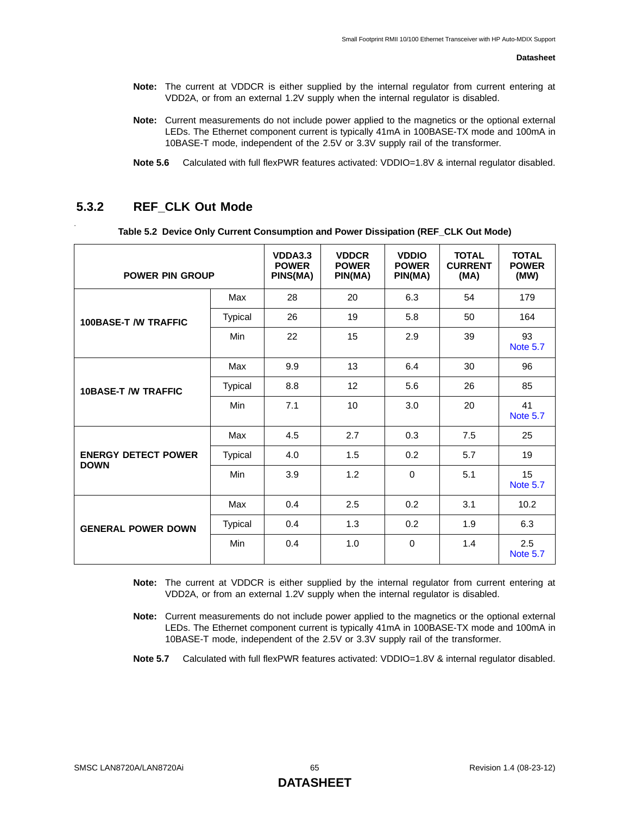- **Note:** The current at VDDCR is either supplied by the internal regulator from current entering at VDD2A, or from an external 1.2V supply when the internal regulator is disabled.
- **Note:** Current measurements do not include power applied to the magnetics or the optional external LEDs. The Ethernet component current is typically 41mA in 100BASE-TX mode and 100mA in 10BASE-T mode, independent of the 2.5V or 3.3V supply rail of the transformer.
- **Note 5.6** Calculated with full flexPWR features activated: VDDIO=1.8V & internal regulator disabled.

### <span id="page-64-0"></span>**5.3.2 REF\_CLK Out Mode**

.

| Table 5.2 Device Only Current Consumption and Power Dissipation (REF_CLK Out Mode) |  |  |  |  |
|------------------------------------------------------------------------------------|--|--|--|--|
|------------------------------------------------------------------------------------|--|--|--|--|

| <b>POWER PIN GROUP</b>                    |                | VDDA3.3<br><b>POWER</b><br>PINS(MA) | <b>VDDCR</b><br><b>POWER</b><br>PIN(MA) | <b>VDDIO</b><br><b>POWER</b><br>PIN(MA) | <b>TOTAL</b><br><b>CURRENT</b><br>(MA) | <b>TOTAL</b><br><b>POWER</b><br>(MW) |
|-------------------------------------------|----------------|-------------------------------------|-----------------------------------------|-----------------------------------------|----------------------------------------|--------------------------------------|
|                                           | Max            | 28                                  | 20                                      | 6.3                                     | 54                                     | 179                                  |
| <b>100BASE-T /W TRAFFIC</b>               | Typical        | 26                                  | 19                                      | 5.8                                     | 50                                     | 164                                  |
|                                           | Min            | 22                                  | 15                                      | 2.9                                     | 39                                     | 93<br><b>Note 5.7</b>                |
|                                           | Max            | 9.9                                 | 13                                      | 6.4                                     | 30                                     | 96                                   |
| <b>10BASE-T /W TRAFFIC</b>                | <b>Typical</b> | 8.8                                 | 12                                      | 5.6                                     | 26                                     | 85                                   |
|                                           | Min            | 7.1                                 | 10                                      | 3.0                                     | 20                                     | 41<br><b>Note 5.7</b>                |
|                                           | Max            | 4.5                                 | 2.7                                     | 0.3                                     | 7.5                                    | 25                                   |
| <b>ENERGY DETECT POWER</b><br><b>DOWN</b> | <b>Typical</b> | 4.0                                 | 1.5                                     | 0.2                                     | 5.7                                    | 19                                   |
|                                           | Min            | 3.9                                 | 1.2                                     | 0                                       | 5.1                                    | 15<br><b>Note 5.7</b>                |
|                                           | Max            | 0.4                                 | 2.5                                     | 0.2                                     | 3.1                                    | 10.2                                 |
| <b>GENERAL POWER DOWN</b>                 | <b>Typical</b> | 0.4                                 | 1.3                                     | 0.2                                     | 1.9                                    | 6.3                                  |
|                                           | Min            | 0.4                                 | 1.0                                     | 0                                       | 1.4                                    | 2.5<br><b>Note 5.7</b>               |

**Note:** The current at VDDCR is either supplied by the internal regulator from current entering at VDD2A, or from an external 1.2V supply when the internal regulator is disabled.

**Note:** Current measurements do not include power applied to the magnetics or the optional external LEDs. The Ethernet component current is typically 41mA in 100BASE-TX mode and 100mA in 10BASE-T mode, independent of the 2.5V or 3.3V supply rail of the transformer.

<span id="page-64-1"></span>Note 5.7 Calculated with full flexPWR features activated: VDDIO=1.8V & internal regulator disabled.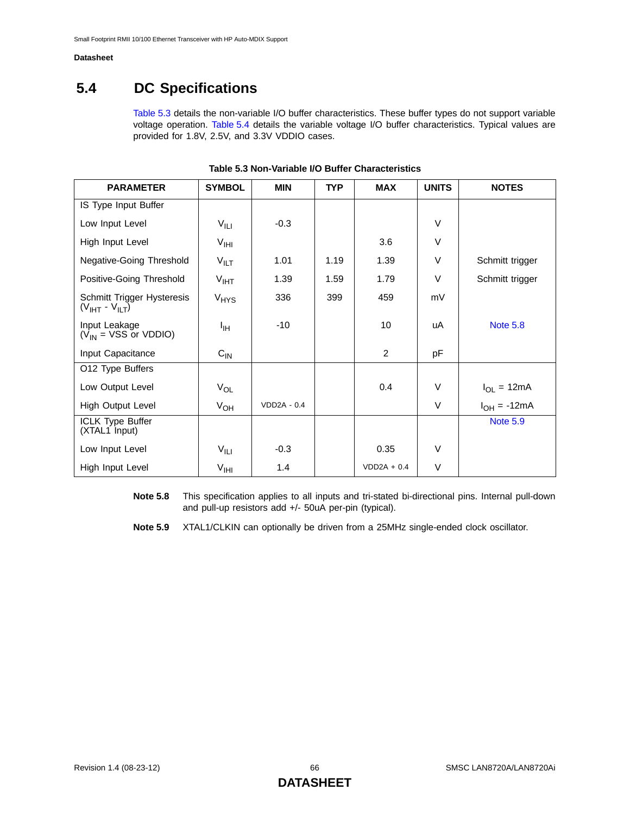## **5.4 DC Specifications**

[Table 5.3](#page-65-0) details the non-variable I/O buffer characteristics. These buffer types do not support variable voltage operation. [Table 5.4](#page-66-0) details the variable voltage I/O buffer characteristics. Typical values are provided for 1.8V, 2.5V, and 3.3V VDDIO cases.

<span id="page-65-0"></span>

| <b>PARAMETER</b>                                    | <b>SYMBOL</b>             | <b>MIN</b>         | <b>TYP</b> | <b>MAX</b>     | <b>UNITS</b> | <b>NOTES</b>     |
|-----------------------------------------------------|---------------------------|--------------------|------------|----------------|--------------|------------------|
| IS Type Input Buffer                                |                           |                    |            |                |              |                  |
| Low Input Level                                     | $V_{\parallel \text{LI}}$ | $-0.3$             |            |                | $\vee$       |                  |
| High Input Level                                    | V <sub>HH</sub>           |                    |            | 3.6            | $\vee$       |                  |
| Negative-Going Threshold                            | $V_{\text{ILT}}$          | 1.01               | 1.19       | 1.39           | $\vee$       | Schmitt trigger  |
| Positive-Going Threshold                            | $V_{IHT}$                 | 1.39               | 1.59       | 1.79           | $\vee$       | Schmitt trigger  |
| Schmitt Trigger Hysteresis<br>$(VIHT - VILT)$       | <b>V<sub>HYS</sub></b>    | 336                | 399        | 459            | mV           |                  |
| Input Leakage<br>$(V_{IN} = VSS \text{ or } VDDIO)$ | ŀщ                        | $-10$              |            | 10             | uA           | <b>Note 5.8</b>  |
| Input Capacitance                                   | $C_{\text{IN}}$           |                    |            | $\overline{2}$ | pF           |                  |
| O12 Type Buffers                                    |                           |                    |            |                |              |                  |
| Low Output Level                                    | $V_{OL}$                  |                    |            | 0.4            | V            | $I_{OL} = 12mA$  |
| High Output Level                                   | $V_{OH}$                  | <b>VDD2A - 0.4</b> |            |                | $\vee$       | $I_{OH} = -12mA$ |
| ICLK Type Buffer<br>(XTAL1 Input)                   |                           |                    |            |                |              | <b>Note 5.9</b>  |
| Low Input Level                                     | $V_{\parallel \text{LI}}$ | $-0.3$             |            | 0.35           | $\vee$       |                  |
| High Input Level                                    | V <sub>HH</sub>           | 1.4                |            | $VDD2A + 0.4$  | $\vee$       |                  |

| Table 5.3 Non-Variable I/O Buffer Characteristics |
|---------------------------------------------------|
|---------------------------------------------------|

<span id="page-65-1"></span>**Note 5.8** This specification applies to all inputs and tri-stated bi-directional pins. Internal pull-down and pull-up resistors add +/- 50uA per-pin (typical).

<span id="page-65-2"></span>**Note 5.9** XTAL1/CLKIN can optionally be driven from a 25MHz single-ended clock oscillator.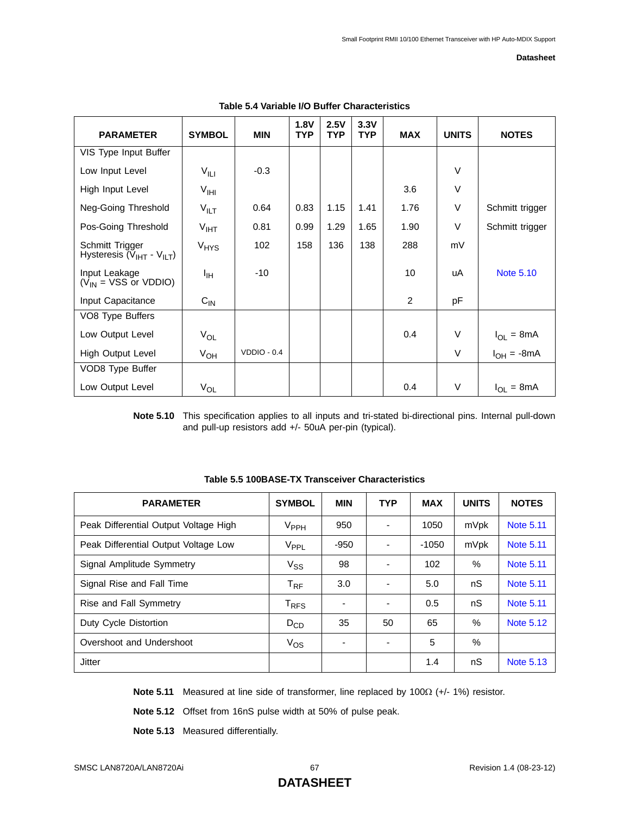<span id="page-66-0"></span>

| <b>PARAMETER</b>                                          | <b>SYMBOL</b>         | <b>MIN</b>    | 1.8V<br><b>TYP</b> | 2.5V<br><b>TYP</b> | 3.3V<br><b>TYP</b> | <b>MAX</b>     | <b>UNITS</b> | <b>NOTES</b>     |
|-----------------------------------------------------------|-----------------------|---------------|--------------------|--------------------|--------------------|----------------|--------------|------------------|
| VIS Type Input Buffer                                     |                       |               |                    |                    |                    |                |              |                  |
| Low Input Level                                           | $V_{\parallel \perp}$ | $-0.3$        |                    |                    |                    |                | $\vee$       |                  |
| High Input Level                                          | V <sub>HH</sub>       |               |                    |                    |                    | 3.6            | $\vee$       |                  |
| Neg-Going Threshold                                       | $V_{\parallel\Gamma}$ | 0.64          | 0.83               | 1.15               | 1.41               | 1.76           | $\vee$       | Schmitt trigger  |
| Pos-Going Threshold                                       | V <sub>IHT</sub>      | 0.81          | 0.99               | 1.29               | 1.65               | 1.90           | $\vee$       | Schmitt trigger  |
| Schmitt Trigger<br>Hysteresis $(\bar{V}_{IHT} - V_{ILT})$ | $V_{HYS}$             | 102           | 158                | 136                | 138                | 288            | mV           |                  |
| Input Leakage<br>$(V_{IN} = VSS \text{ or } VDDIO)$       | ŀщ                    | $-10$         |                    |                    |                    | 10             | uA           | <b>Note 5.10</b> |
| Input Capacitance                                         | $C_{IN}$              |               |                    |                    |                    | $\overline{2}$ | pF           |                  |
| VO8 Type Buffers                                          |                       |               |                    |                    |                    |                |              |                  |
| Low Output Level                                          | $V_{OL}$              |               |                    |                    |                    | 0.4            | $\vee$       | $I_{OL} = 8mA$   |
| High Output Level                                         | $V_{OH}$              | $VDDIO - 0.4$ |                    |                    |                    |                | V            | $I_{OH} = -8mA$  |
| VOD8 Type Buffer                                          |                       |               |                    |                    |                    |                |              |                  |
| Low Output Level                                          | $V_{OL}$              |               |                    |                    |                    | 0.4            | V            | $I_{OL} = 8mA$   |

#### **Table 5.4 Variable I/O Buffer Characteristics**

<span id="page-66-1"></span>**Note 5.10** This specification applies to all inputs and tri-stated bi-directional pins. Internal pull-down and pull-up resistors add +/- 50uA per-pin (typical).

| <b>PARAMETER</b>                      | <b>SYMBOL</b>               | <b>MIN</b> | <b>TYP</b>               | <b>MAX</b> | <b>UNITS</b> | <b>NOTES</b>     |
|---------------------------------------|-----------------------------|------------|--------------------------|------------|--------------|------------------|
| Peak Differential Output Voltage High | V <sub>PPH</sub>            | 950        | ٠                        | 1050       | mVpk         | <b>Note 5.11</b> |
| Peak Differential Output Voltage Low  | V <sub>PPL</sub>            | -950       | ٠                        | $-1050$    | mVpk         | <b>Note 5.11</b> |
| Signal Amplitude Symmetry             | $V_{SS}$                    | 98         | ٠                        | 102        | $\%$         | Note 5.11        |
| Signal Rise and Fall Time             | $T_{\sf RF}$                | 3.0        | ٠                        | 5.0        | nS           | <b>Note 5.11</b> |
| Rise and Fall Symmetry                | $\mathsf{T}_{\mathsf{RFS}}$ |            | $\overline{\phantom{a}}$ | 0.5        | nS           | <b>Note 5.11</b> |
| Duty Cycle Distortion                 | $D_{CD}$                    | 35         | 50                       | 65         | $\%$         | <b>Note 5.12</b> |
| Overshoot and Undershoot              | $V_{OS}$                    |            | ٠                        | 5          | $\%$         |                  |
| Jitter                                |                             |            |                          | 1.4        | nS           | <b>Note 5.13</b> |

**Table 5.5 100BASE-TX Transceiver Characteristics**

<span id="page-66-2"></span>**Note 5.11** Measured at line side of transformer, line replaced by 100Ω (+/- 1%) resistor.

<span id="page-66-3"></span>**Note 5.12** Offset from 16nS pulse width at 50% of pulse peak.

<span id="page-66-4"></span>**Note 5.13** Measured differentially.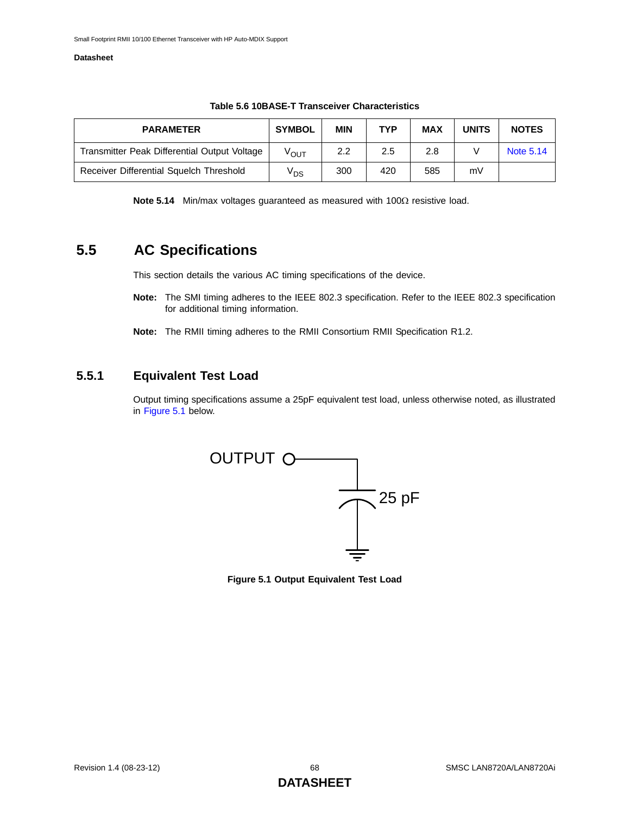| <b>PARAMETER</b>                             | <b>SYMBOL</b>    | <b>MIN</b> | <b>TYP</b> | <b>MAX</b> | <b>UNITS</b> | <b>NOTES</b> |
|----------------------------------------------|------------------|------------|------------|------------|--------------|--------------|
| Transmitter Peak Differential Output Voltage | V <sub>OUT</sub> | 2.2        | 2.5        | 2.8        |              | Note 5.14    |
| Receiver Differential Squelch Threshold      | V <sub>DS</sub>  | 300        | 420        | 585        | m٧           |              |

#### **Table 5.6 10BASE-T Transceiver Characteristics**

**Note 5.14** Min/max voltages guaranteed as measured with 100Ω resistive load.

### <span id="page-67-0"></span>**5.5 AC Specifications**

This section details the various AC timing specifications of the device.

- **Note:** The SMI timing adheres to the IEEE 802.3 specification. Refer to the IEEE 802.3 specification for additional timing information.
- **Note:** The RMII timing adheres to the RMII Consortium RMII Specification R1.2.

### **5.5.1 Equivalent Test Load**

Output timing specifications assume a 25pF equivalent test load, unless otherwise noted, as illustrated in [Figure 5.1](#page-67-1) below.



<span id="page-67-1"></span>**Figure 5.1 Output Equivalent Test Load**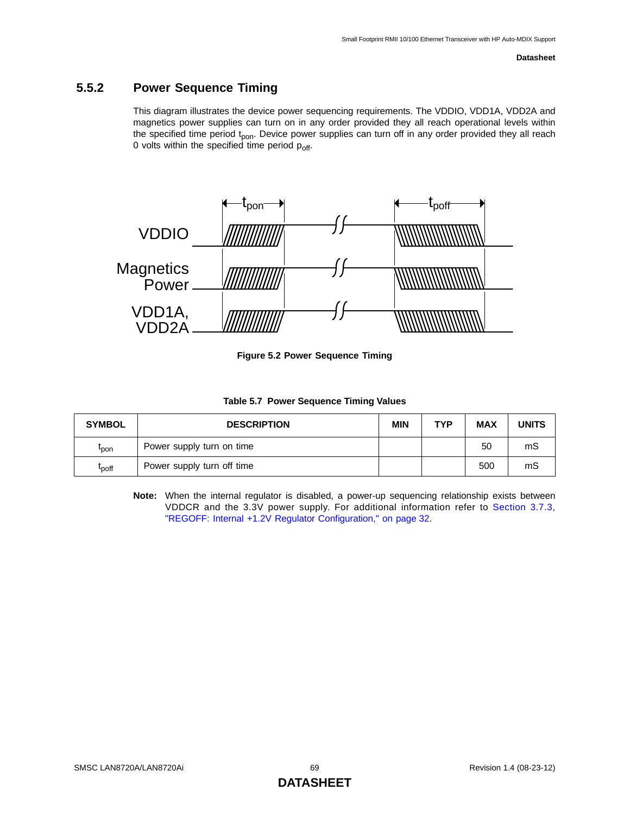### **5.5.2 Power Sequence Timing**

This diagram illustrates the device power sequencing requirements. The VDDIO, VDD1A, VDD2A and magnetics power supplies can turn on in any order provided they all reach operational levels within the specified time period t<sub>pon</sub>. Device power supplies can turn off in any order provided they all reach 0 volts within the specified time period p<sub>off</sub>.



**Figure 5.2 Power Sequence Timing**

|  |  | Table 5.7 Power Sequence Timing Values |  |  |
|--|--|----------------------------------------|--|--|
|--|--|----------------------------------------|--|--|

| <b>SYMBOL</b>     | <b>DESCRIPTION</b>         | <b>MIN</b> | <b>TYP</b> | <b>MAX</b> | <b>UNITS</b> |
|-------------------|----------------------------|------------|------------|------------|--------------|
| <b>L</b> pon      | Power supply turn on time  |            |            | 50         | mS           |
| t <sub>poff</sub> | Power supply turn off time |            |            | 500        | mS           |

**Note:** When the internal regulator is disabled, a power-up sequencing relationship exists between VDDCR and the 3.3V power supply. For additional information refer to [Section 3.7.3,](#page-31-1) ["REGOFF: Internal +1.2V Regulator Configuration," on page 32](#page-31-1).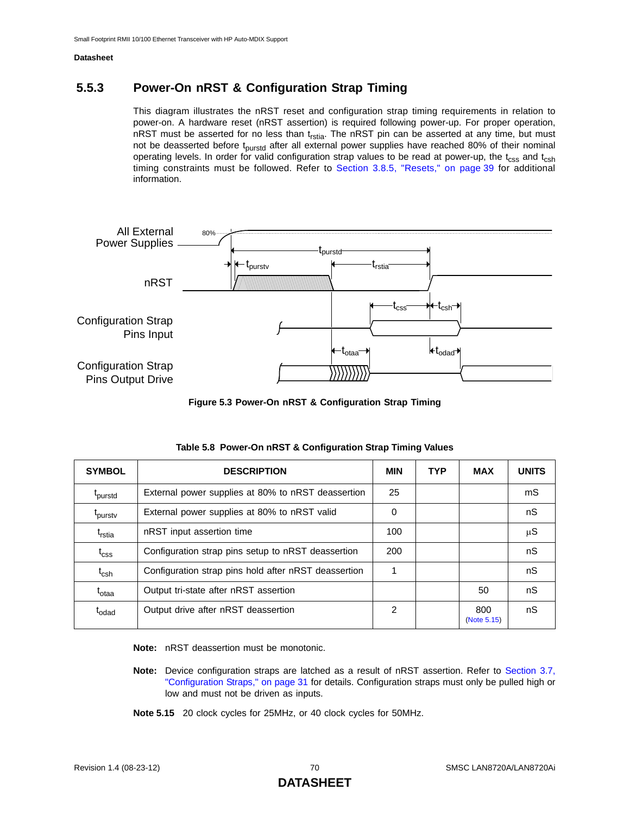### **5.5.3 Power-On nRST & Configuration Strap Timing**

<span id="page-69-0"></span>This diagram illustrates the nRST reset and configuration strap timing requirements in relation to power-on. A hardware reset (nRST assertion) is required following power-up. For proper operation, nRST must be asserted for no less than  $t_{rstia}$ . The nRST pin can be asserted at any time, but must not be deasserted before t<sub>purstd</sub> after all external power supplies have reached 80% of their nominal operating levels. In order for valid configuration strap values to be read at power-up, the  $t_{\rm CSS}$  and  $t_{\rm csh}$ timing constraints must be followed. Refer to [Section 3.8.5, "Resets," on page 39](#page-38-0) for additional information.



**Figure 5.3 Power-On nRST & Configuration Strap Timing**

| <b>SYMBOL</b>       | <b>DESCRIPTION</b>                                   | <b>MIN</b> | <b>TYP</b> | <b>MAX</b>         | <b>UNITS</b> |
|---------------------|------------------------------------------------------|------------|------------|--------------------|--------------|
| <sup>I</sup> purstd | External power supplies at 80% to nRST deassertion   | 25         |            |                    | mS           |
| <sup>L</sup> purstv | External power supplies at 80% to nRST valid         | 0          |            |                    | nS           |
| t <sub>rstia</sub>  | nRST input assertion time                            | 100        |            |                    | μS           |
| $t_{\text{CSS}}$    | Configuration strap pins setup to nRST deassertion   | 200        |            |                    | nS           |
| $t_{\mathsf{csh}}$  | Configuration strap pins hold after nRST deassertion |            |            |                    | nS           |
| t <sub>otaa</sub>   | Output tri-state after nRST assertion                |            |            | 50                 | nS           |
| $t_{\text{odd}}$    | Output drive after nRST deassertion                  | 2          |            | 800<br>(Note 5.15) | nS           |

**Note:** nRST deassertion must be monotonic.

- **Note:** Device configuration straps are latched as a result of nRST assertion. Refer to [Section 3.7,](#page-30-2) ["Configuration Straps," on page 31](#page-30-2) for details. Configuration straps must only be pulled high or low and must not be driven as inputs.
- <span id="page-69-1"></span>**Note 5.15** 20 clock cycles for 25MHz, or 40 clock cycles for 50MHz.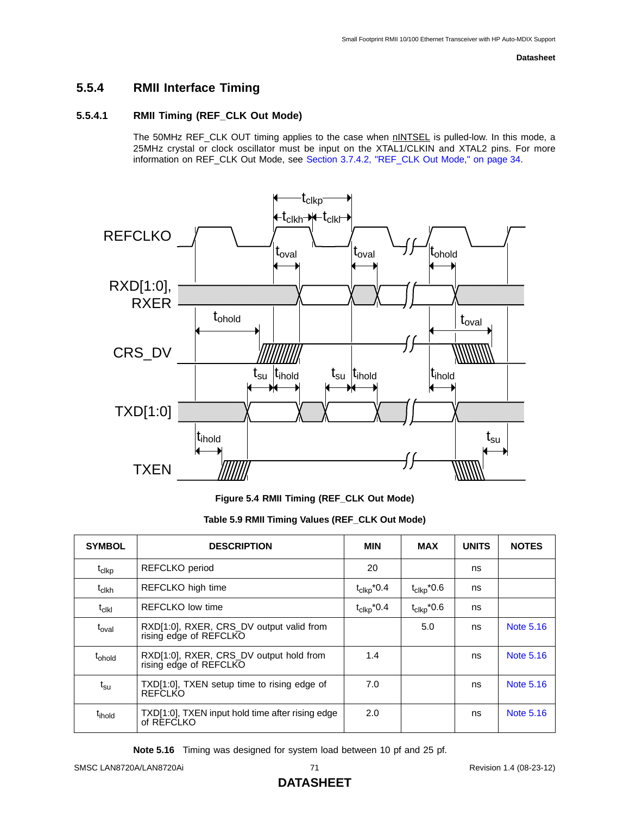### **5.5.4 RMII Interface Timing**

### **5.5.4.1 RMII Timing (REF\_CLK Out Mode)**

The 50MHz REF\_CLK OUT timing applies to the case when nINTSEL is pulled-low. In this mode, a 25MHz crystal or clock oscillator must be input on the XTAL1/CLKIN and XTAL2 pins. For more information on REF\_CLK Out Mode, see [Section 3.7.4.2, "REF\\_CLK Out Mode," on page 34](#page-33-0).



**Figure 5.4 RMII Timing (REF\_CLK Out Mode)** 

### **Table 5.9 RMII Timing Values (REF\_CLK Out Mode)**

| <b>SYMBOL</b>         | <b>DESCRIPTION</b>                                                 | MIN                                | <b>MAX</b>             | <b>UNITS</b> | <b>NOTES</b>     |
|-----------------------|--------------------------------------------------------------------|------------------------------------|------------------------|--------------|------------------|
| t <sub>clkp</sub>     | REFCLKO period                                                     | 20                                 |                        | ns           |                  |
| t <sub>clkh</sub>     | REFCLKO high time                                                  | $t_{\text{clkp}}$ <sup>*</sup> 0.4 | $t_{\text{clkp}}$ *0.6 | ns           |                  |
| $t_{\rm c\bf k\bf l}$ | REFCLKO low time                                                   | $t_{\text{clkp}}$ <sup>*</sup> 0.4 | $t_{\text{Clkp}}$ *0.6 | ns           |                  |
| t <sub>oval</sub>     | RXD[1:0], RXER, CRS_DV output valid from<br>rising edge of REFCLKO |                                    | 5.0                    | ns           | <b>Note 5.16</b> |
| t <sub>ohold</sub>    | RXD[1:0], RXER, CRS_DV output hold from<br>rising edge of REFCLKO  | 1.4                                |                        | ns           | Note 5.16        |
| $t_{\rm su}$          | TXD[1:0], TXEN setup time to rising edge of<br>REFCLKO             | 7.0                                |                        | ns           | Note 5.16        |
| t <sub>ihold</sub>    | TXD[1:0], TXEN input hold time after rising edge<br>of REFCLKO     | 2.0                                |                        | ns           | Note 5.16        |

<span id="page-70-0"></span>**Note 5.16** Timing was designed for system load between 10 pf and 25 pf.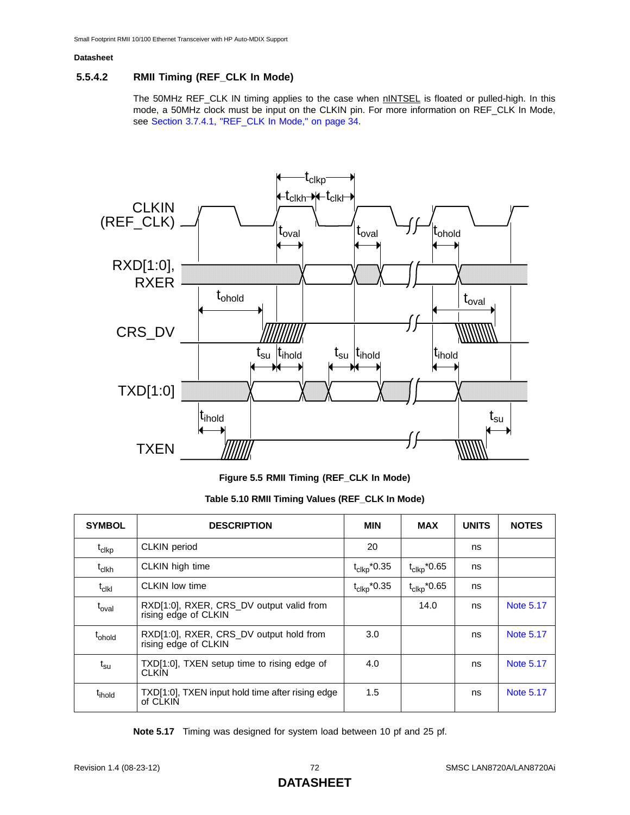### **5.5.4.2 RMII Timing (REF\_CLK In Mode)**

The 50MHz REF\_CLK IN timing applies to the case when **nINTSEL** is floated or pulled-high. In this mode, a 50MHz clock must be input on the CLKIN pin. For more information on REF\_CLK In Mode, see [Section 3.7.4.1, "REF\\_CLK In Mode," on page 34](#page-33-1).



**Figure 5.5 RMII Timing (REF\_CLK In Mode)** 

| Table 5.10 RMII Timing Values (REF_CLK In Mode) |  |  |  |  |  |
|-------------------------------------------------|--|--|--|--|--|
|-------------------------------------------------|--|--|--|--|--|

| <b>SYMBOL</b>          | <b>DESCRIPTION</b>                                               | MIN                     | MAX                                 | <b>UNITS</b> | <b>NOTES</b> |
|------------------------|------------------------------------------------------------------|-------------------------|-------------------------------------|--------------|--------------|
| t <sub>clkp</sub>      | <b>CLKIN</b> period                                              | 20                      |                                     | ns           |              |
| $t_{\rm clkh}$         | CLKIN high time                                                  | $t_{\text{clkp}}$ *0.35 | $t_{\text{clkp}}$ *0.65             | ns           |              |
| $t_{c}$ <sub>Ikl</sub> | <b>CLKIN</b> low time                                            | $t_{\text{clkp}}$ *0.35 | $t_{\text{clkp}}$ <sup>*</sup> 0.65 | ns           |              |
| $t_{\text{oval}}$      | RXD[1:0], RXER, CRS_DV output valid from<br>rising edge of CLKIN |                         | 14.0                                | ns           | Note 5.17    |
| t <sub>ohold</sub>     | RXD[1:0], RXER, CRS DV output hold from<br>rising edge of CLKIN  | 3.0                     |                                     | ns           | Note 5.17    |
| $t_{\textsf{su}}$      | TXD[1:0], TXEN setup time to rising edge of<br><b>CLKIN</b>      | 4.0                     |                                     | ns           | Note 5.17    |
| t <sub>ihold</sub>     | TXD[1:0], TXEN input hold time after rising edge<br>of CLKIN     | 1.5                     |                                     | ns           | Note 5.17    |

<span id="page-71-0"></span>**Note 5.17** Timing was designed for system load between 10 pf and 25 pf.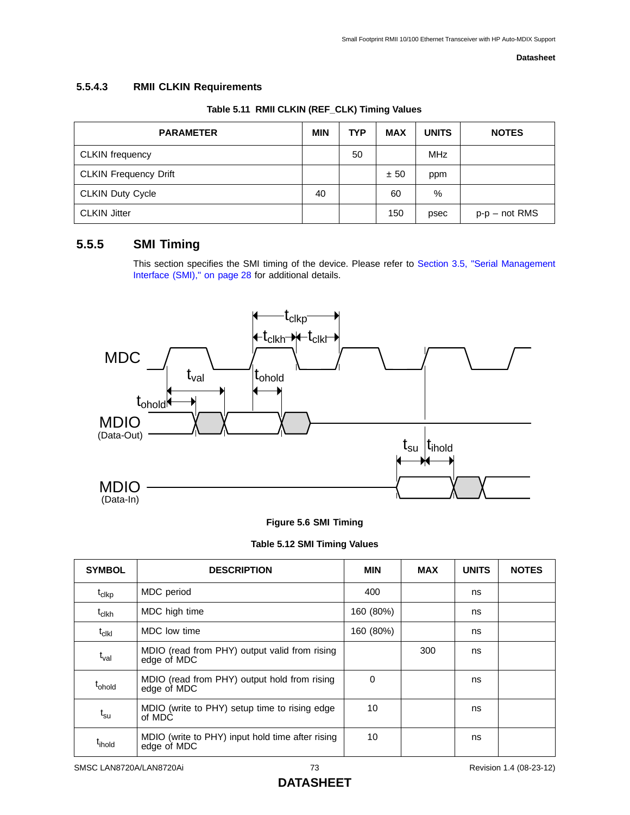# **5.5.4.3 RMII CLKIN Requirements**

| <b>PARAMETER</b>             | <b>MIN</b> | <b>TYP</b> | <b>MAX</b> | <b>UNITS</b> | <b>NOTES</b>    |
|------------------------------|------------|------------|------------|--------------|-----------------|
| <b>CLKIN</b> frequency       |            | 50         |            | MHz          |                 |
| <b>CLKIN Frequency Drift</b> |            |            | ± 50       | ppm          |                 |
| <b>CLKIN Duty Cycle</b>      | 40         |            | 60         | %            |                 |
| <b>CLKIN Jitter</b>          |            |            | 150        | psec         | $p-p$ – not RMS |

# **Table 5.11 RMII CLKIN (REF\_CLK) Timing Values**

# **5.5.5 SMI Timing**

This section specifies the SMI timing of the device. Please refer to [Section 3.5, "Serial Management](#page-27-0) [Interface \(SMI\)," on page 28](#page-27-0) for additional details.



## **Figure 5.6 SMI Timing**

**Table 5.12 SMI Timing Values**

| <b>SYMBOL</b>          | <b>DESCRIPTION</b>                                              | <b>MIN</b> | <b>MAX</b> | <b>UNITS</b> | <b>NOTES</b> |
|------------------------|-----------------------------------------------------------------|------------|------------|--------------|--------------|
| $t_{\text{clkp}}$      | MDC period                                                      | 400        |            | ns           |              |
| $t_{\text{Clkh}}$      | MDC high time                                                   | 160 (80%)  |            | ns           |              |
| $t_{c}$ <sub>Ikl</sub> | MDC low time                                                    | 160 (80%)  |            | ns           |              |
| t <sub>val</sub>       | MDIO (read from PHY) output valid from rising<br>edge of MDC    |            | 300        | ns           |              |
| t <sub>ohold</sub>     | MDIO (read from PHY) output hold from rising<br>edge of MDC     | $\Omega$   |            | ns           |              |
| $t_{\rm su}$           | MDIO (write to PHY) setup time to rising edge<br>of MDC         | 10         |            | ns           |              |
| t <sub>ihold</sub>     | MDIO (write to PHY) input hold time after rising<br>edge of MDC | 10         |            | ns           |              |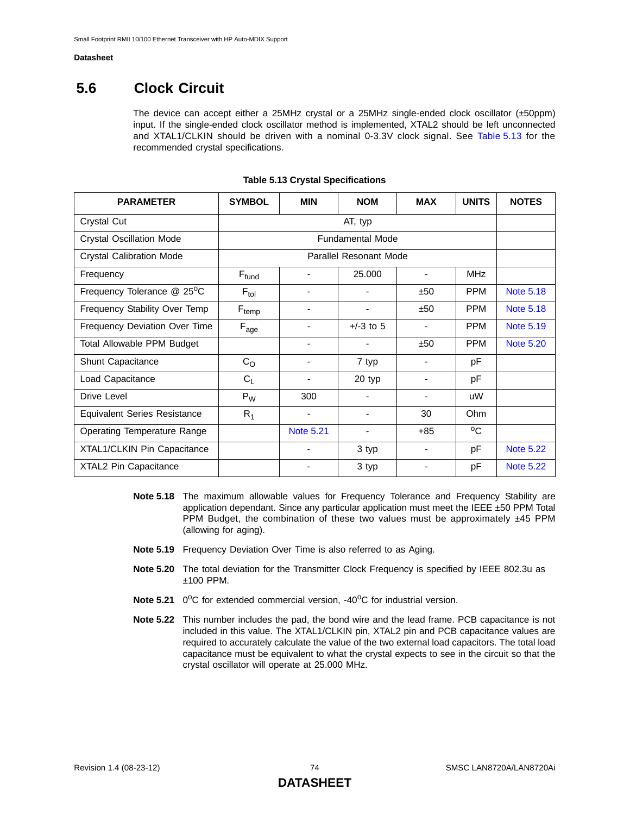# **5.6 Clock Circuit**

The device can accept either a 25MHz crystal or a 25MHz single-ended clock oscillator (±50ppm) input. If the single-ended clock oscillator method is implemented, XTAL2 should be left unconnected and XTAL1/CLKIN should be driven with a nominal 0-3.3V clock signal. See [Table 5.13](#page-73-0) for the recommended crystal specifications.

<span id="page-73-0"></span>

| <b>PARAMETER</b>                    | <b>SYMBOL</b>             | <b>MIN</b>       | <b>NOM</b>              | <b>MAX</b>               | <b>UNITS</b> | <b>NOTES</b>     |
|-------------------------------------|---------------------------|------------------|-------------------------|--------------------------|--------------|------------------|
| Crystal Cut                         |                           |                  | AT, typ                 |                          |              |                  |
| <b>Crystal Oscillation Mode</b>     |                           |                  | <b>Fundamental Mode</b> |                          |              |                  |
| <b>Crystal Calibration Mode</b>     |                           |                  | Parallel Resonant Mode  |                          |              |                  |
| Frequency                           | $F_{fund}$                |                  | 25,000                  | $\blacksquare$           | <b>MHz</b>   |                  |
| Frequency Tolerance @ 25°C          | $F_{tol}$                 | ۰                |                         | ±50                      | <b>PPM</b>   | <b>Note 5.18</b> |
| Frequency Stability Over Temp       | $F_{temp}$                | ٠                |                         | ±50                      | <b>PPM</b>   | <b>Note 5.18</b> |
| Frequency Deviation Over Time       | $\mathsf{F}_\mathsf{age}$ | -                | $+/-3$ to 5             |                          | <b>PPM</b>   | <b>Note 5.19</b> |
| Total Allowable PPM Budget          |                           | ٠                |                         | ±50                      | <b>PPM</b>   | <b>Note 5.20</b> |
| Shunt Capacitance                   | $C_{\rm O}$               | ۰                | 7 typ                   | $\overline{\phantom{a}}$ | рF           |                  |
| Load Capacitance                    | $C_L$                     | ٠                | 20 typ                  | $\blacksquare$           | pF           |                  |
| Drive Level                         | $P_W$                     | 300              |                         |                          | uW           |                  |
| <b>Equivalent Series Resistance</b> | $R_1$                     | ۰                |                         | 30                       | Ohm          |                  |
| <b>Operating Temperature Range</b>  |                           | <b>Note 5.21</b> | $\blacksquare$          | $+85$                    | °C           |                  |
| XTAL1/CLKIN Pin Capacitance         |                           |                  | 3 typ                   |                          | pF           | <b>Note 5.22</b> |
| XTAL2 Pin Capacitance               |                           | ٠                | 3 typ                   |                          | pF           | <b>Note 5.22</b> |

#### **Table 5.13 Crystal Specifications**

- <span id="page-73-1"></span>**Note 5.18** The maximum allowable values for Frequency Tolerance and Frequency Stability are application dependant. Since any particular application must meet the IEEE  $\pm$ 50 PPM Total PPM Budget, the combination of these two values must be approximately  $\pm$ 45 PPM (allowing for aging).
- <span id="page-73-2"></span>**Note 5.19** Frequency Deviation Over Time is also referred to as Aging.
- <span id="page-73-3"></span>**Note 5.20** The total deviation for the Transmitter Clock Frequency is specified by IEEE 802.3u as ±100 PPM.
- <span id="page-73-5"></span>**Note 5.21** 0<sup>o</sup>C for extended commercial version, -40<sup>o</sup>C for industrial version.
- <span id="page-73-4"></span>**Note 5.22** This number includes the pad, the bond wire and the lead frame. PCB capacitance is not included in this value. The XTAL1/CLKIN pin, XTAL2 pin and PCB capacitance values are required to accurately calculate the value of the two external load capacitors. The total load capacitance must be equivalent to what the crystal expects to see in the circuit so that the crystal oscillator will operate at 25.000 MHz.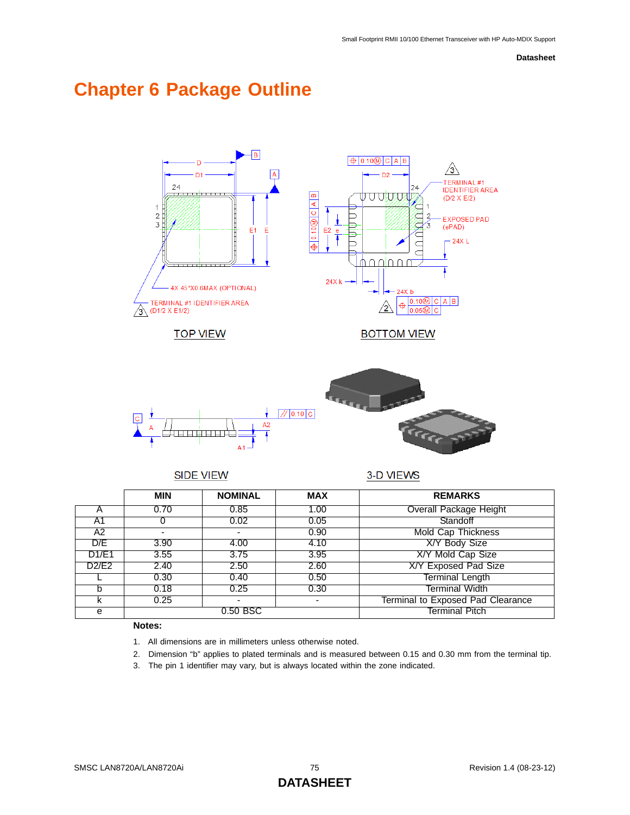# **Chapter 6 Package Outline**



# SIDE VIEW

3-D VIEWS

|       | <b>MIN</b> | <b>NOMINAL</b> | <b>MAX</b>     | <b>REMARKS</b>                    |
|-------|------------|----------------|----------------|-----------------------------------|
|       | 0.70       | 0.85           | 1.00           | <b>Overall Package Height</b>     |
| A1    |            | 0.02           | 0.05           | Standoff                          |
| A2    |            |                | 0.90           | Mold Cap Thickness                |
| D/E   | 3.90       | 4.00           | 4.10           | X/Y Body Size                     |
| D1/E1 | 3.55       | 3.75           | 3.95           | X/Y Mold Cap Size                 |
| D2/E2 | 2.40       | 2.50           | 2.60           | X/Y Exposed Pad Size              |
|       | 0.30       | 0.40           | 0.50           | <b>Terminal Length</b>            |
|       | 0.18       | 0.25           | 0.30           | Terminal Width                    |
|       | 0.25       | ۰.             |                | Terminal to Exposed Pad Clearance |
| е     | 0.50 BSC   |                | Terminal Pitch |                                   |

## **Notes:**

- 1. All dimensions are in millimeters unless otherwise noted.
- 2. Dimension "b" applies to plated terminals and is measured between 0.15 and 0.30 mm from the terminal tip.
- 3. The pin 1 identifier may vary, but is always located within the zone indicated.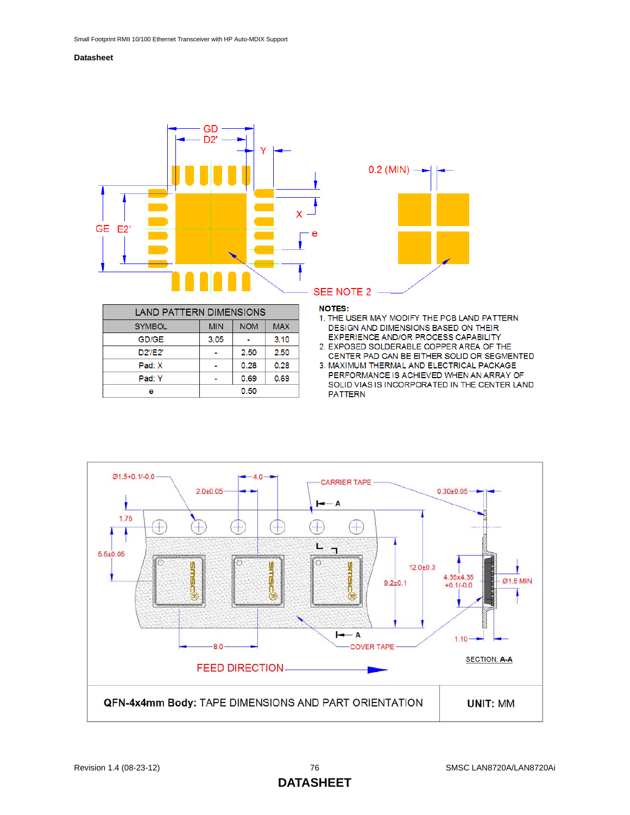



| LAND PATTERN DIMENSIONS |                                        |      |      |  |  |
|-------------------------|----------------------------------------|------|------|--|--|
| <b>SYMBOL</b>           | <b>NOM</b><br><b>MAX</b><br><b>MIN</b> |      |      |  |  |
| GD/GE                   | 3.05                                   |      | 3.10 |  |  |
| D2'/E2'                 |                                        | 2.50 | 2.50 |  |  |
| Pad: X                  |                                        | 0.28 | 0.28 |  |  |
| Pad: Y                  | 0.69<br>0.69                           |      |      |  |  |
| е                       | 0.50                                   |      |      |  |  |

#### **NOTES:**

- 1. THE USER MAY MODIFY THE PCB LAND PATTERN DESIGN AND DIMENSIONS BASED ON THEIR EXPERIENCE AND/OR PROCESS CAPABILITY
- 2. EXPOSED SOLDERABLE COPPER AREA OF THE CENTER PAD CAN BE EITHER SOLID OR SEGMENTED
- 3. MAXIMUM THERMAL AND ELECTRICAL PACKAGE PERFORMANCE IS ACHIEVED WHEN AN ARRAY OF SOLID VIAS IS INCORPORATED IN THE CENTER LAND **PATTERN**

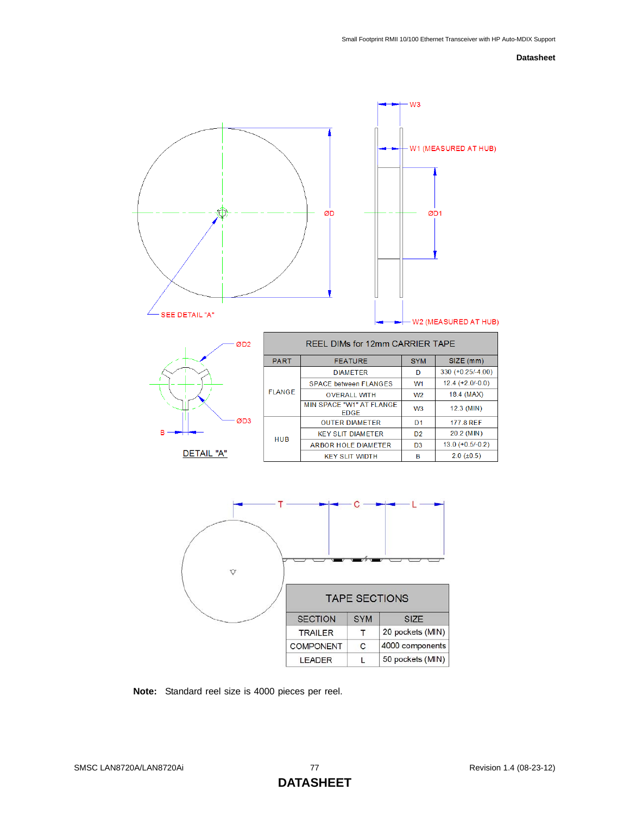



| RFFL DIMs for 12mm CARRIFR TAPF                          |                                         |                |                     |  |  |
|----------------------------------------------------------|-----------------------------------------|----------------|---------------------|--|--|
| SIZE (mm)<br><b>SYM</b><br><b>PART</b><br><b>FEATURE</b> |                                         |                |                     |  |  |
|                                                          | <b>DIAMETER</b>                         | D              | $330 (+0.25/-4.00)$ |  |  |
| <b>FLANGE</b>                                            | <b>SPACE between FLANGES</b>            | W <sub>1</sub> | $12.4 (+2.0/-0.0)$  |  |  |
|                                                          | <b>OVERALL WITH</b>                     | W <sub>2</sub> | 18.4 (MAX)          |  |  |
|                                                          | MIN SPACE "W1" AT FLANGE<br><b>FDGF</b> | W <sub>3</sub> | $12.3$ (MIN)        |  |  |
|                                                          | <b>OUTER DIAMETER</b>                   | D <sub>1</sub> | <b>177 8 RFF</b>    |  |  |
| <b>HUB</b>                                               | <b>KEY SLIT DIAMETER</b>                | D <sub>2</sub> | 20.2 (MIN)          |  |  |
|                                                          | ARBOR HOLE DIAMETER                     | D <sub>3</sub> | $13.0 (+0.5/-0.2)$  |  |  |
|                                                          | <b>KEY SLIT WIDTH</b>                   | в              | $2.0$ ( $\pm$ 0.5)  |  |  |



**Note:** Standard reel size is 4000 pieces per reel.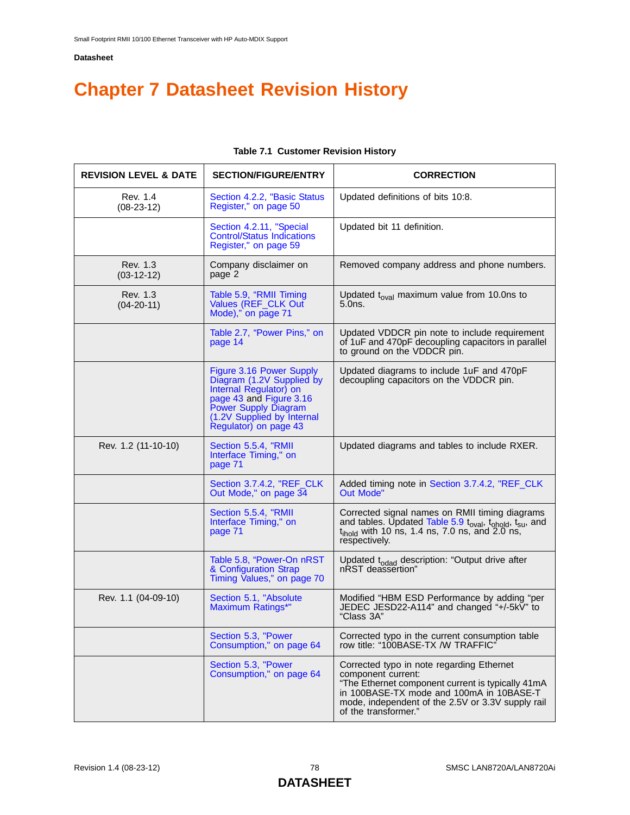# **Chapter 7 Datasheet Revision History**

| <b>REVISION LEVEL &amp; DATE</b> | <b>SECTION/FIGURE/ENTRY</b>                                                                                                                                                               | <b>CORRECTION</b>                                                                                                                                                                                                                             |
|----------------------------------|-------------------------------------------------------------------------------------------------------------------------------------------------------------------------------------------|-----------------------------------------------------------------------------------------------------------------------------------------------------------------------------------------------------------------------------------------------|
| Rev. 1.4<br>$(08-23-12)$         | Section 4.2.2, "Basic Status<br>Register," on page 50                                                                                                                                     | Updated definitions of bits 10:8.                                                                                                                                                                                                             |
|                                  | Section 4.2.11, "Special<br><b>Control/Status Indications</b><br>Register," on page 59                                                                                                    | Updated bit 11 definition.                                                                                                                                                                                                                    |
| Rev. 1.3<br>$(03-12-12)$         | Company disclaimer on<br>page 2                                                                                                                                                           | Removed company address and phone numbers.                                                                                                                                                                                                    |
| Rev. 1.3<br>$(04-20-11)$         | Table 5.9, "RMII Timing<br>Values (REF_CLK Out<br>Mode)," on page 71                                                                                                                      | Updated $t_{\text{oval}}$ maximum value from 10.0ns to<br>5.0ns.                                                                                                                                                                              |
|                                  | Table 2.7, "Power Pins," on<br>page 14                                                                                                                                                    | Updated VDDCR pin note to include requirement<br>of 1uF and 470pF decoupling capacitors in parallel<br>to ground on the VDDCR pin.                                                                                                            |
|                                  | Figure 3.16 Power Supply<br>Diagram (1.2V Supplied by<br>Internal Regulator) on<br>page 43 and Figure 3.16<br>Power Supply Diagram<br>(1.2V Supplied by Internal<br>Regulator) on page 43 | Updated diagrams to include 1uF and 470pF<br>decoupling capacitors on the VDDCR pin.                                                                                                                                                          |
| Rev. 1.2 (11-10-10)              | Section 5.5.4, "RMII<br>Interface Timing," on<br>page 71                                                                                                                                  | Updated diagrams and tables to include RXER.                                                                                                                                                                                                  |
|                                  | Section 3.7.4.2, "REF_CLK<br>Out Mode," on page 34                                                                                                                                        | Added timing note in Section 3.7.4.2, "REF_CLK<br><b>Out Mode"</b>                                                                                                                                                                            |
|                                  | Section 5.5.4, "RMII<br>Interface Timing," on<br>page 71                                                                                                                                  | Corrected signal names on RMII timing diagrams<br>and tables. Updated Table 5.9 t <sub>oval</sub> , t <sub>ohold</sub> , t <sub>su</sub> , and<br>$t_{\text{ihold}}$ with 10 ns, 1.4 ns, 7.0 ns, and 2.0 ns,<br>respectively.                 |
|                                  | Table 5.8, "Power-On nRST<br>& Configuration Strap<br>Timing Values," on page 70                                                                                                          | Updated t <sub>odad</sub> description: "Output drive after<br>nRST deassertion"                                                                                                                                                               |
| Rev. 1.1 (04-09-10)              | Section 5.1, "Absolute<br>Maximum Ratings*"                                                                                                                                               | Modified "HBM ESD Performance by adding "per<br>JEDEC JESD22-A114" and changed "+/-5kV" to<br>"Class 3A"                                                                                                                                      |
|                                  | Section 5.3, "Power<br>Consumption," on page 64                                                                                                                                           | Corrected typo in the current consumption table<br>row title: "100BASE-TX /W TRAFFIC"                                                                                                                                                         |
|                                  | Section 5.3, "Power<br>Consumption," on page 64                                                                                                                                           | Corrected typo in note regarding Ethernet<br>component current:<br>"The Ethernet component current is typically 41mA<br>in 100BASE-TX mode and 100mA in 10BASE-T<br>mode, independent of the 2.5V or 3.3V supply rail<br>of the transformer." |

## **Table 7.1 Customer Revision History**